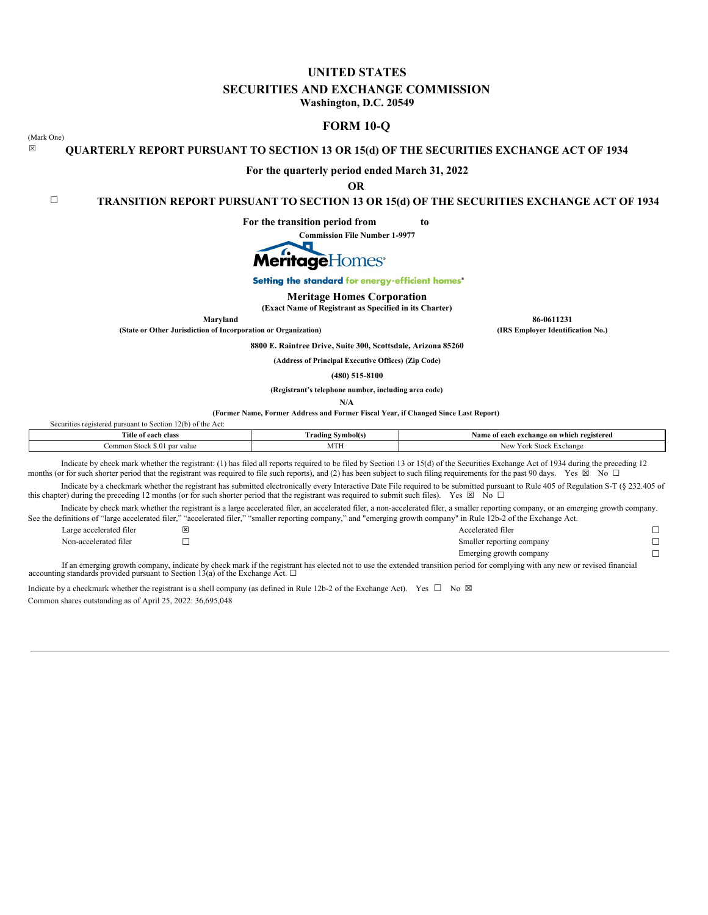# **UNITED STATES**

# **SECURITIES AND EXCHANGE COMMISSION**

**Washington, D.C. 20549**

# **FORM 10-Q**

(Mark One)

# ☒ **QUARTERLY REPORT PURSUANT TO SECTION 13 OR 15(d) OF THE SECURITIES EXCHANGE ACT OF 1934**

**For the quarterly period ended March 31, 2022**

**OR**

☐ **TRANSITION REPORT PURSUANT TO SECTION 13 OR 15(d) OF THE SECURITIES EXCHANGE ACT OF 1934**

**For the transition period from to**

**Commission File Number 1-9977**



Setting the standard for energy-efficient homes'

### **Meritage Homes Corporation**

**(Exact Name of Registrant as Specified in its Charter)**

**(State or Other Jurisdiction of Incorporation or Organization) (IRS Employer Identification No.)**

**8800 E. Raintree Drive, Suite 300, Scottsdale, Arizona 85260**

**Maryland 86-0611231**

**(Address of Principal Executive Offices) (Zip Code)**

**(480) 515-8100**

**(Registrant's telephone number, including area code)**

**N/A**

**(Former Name, Former Address and Former Fiscal Year, if Changed Since Last Report)**

| $12(b)$ of the Act:<br>d nursuant to Section.<br>Securities registered |                          |                                                |
|------------------------------------------------------------------------|--------------------------|------------------------------------------------|
| Title of each class                                                    | <b>Trading Symbol(s)</b> | Name of each exchange on which registered      |
| Common Stock \$.01<br>' par value                                      | MTH                      | York<br>: Stock Exchange<br><b>Nev</b><br>NU 1 |

Indicate by check mark whether the registrant: (1) has filed all reports required to be filed by Section 13 or 15(d) of the Securities Exchange Act of 1934 during the preceding 12 months (or for such shorter period that the registrant was required to file such reports), and (2) has been subject to such filing requirements for the past 90 days. Yes  $\boxtimes$  No  $\Box$ 

Indicate by a checkmark whether the registrant has submitted electronically every Interactive Date File required to be submitted pursuant to Rule 405 of Regulation S-T (§ 232.405 of this chapter) during the preceding 12 months (or for such shorter period that the registrant was required to submit such files). Yes  $\boxtimes$  No  $\Box$ 

Indicate by check mark whether the registrant is a large accelerated filer, an accelerated filer, a non-accelerated filer, a smaller reporting company, or an emerging growth company. See the definitions of "large accelerated filer," "accelerated filer," "emaller

| ee the definitions of "large accelerated filer," accelerated filer, " |  | "smaller reporting company," and "emerging growth company" in Rule 126-2 of the Exchange Act. |  |
|-----------------------------------------------------------------------|--|-----------------------------------------------------------------------------------------------|--|
| Large accelerated filer                                               |  | Accelerated filer                                                                             |  |
| Non-accelerated filer                                                 |  | Smaller reporting company                                                                     |  |
|                                                                       |  | Emerging growth company                                                                       |  |
|                                                                       |  |                                                                                               |  |

If an emerging growth company, indicate by check mark if the registrant has elected not to use the extended transition period for complying with any new or revised financial accounting standards provided pursuant to Secti

Indicate by a checkmark whether the registrant is a shell company (as defined in Rule 12b-2 of the Exchange Act). Yes  $\Box$  No  $\boxtimes$ Common shares outstanding as of April 25, 2022: 36,695,048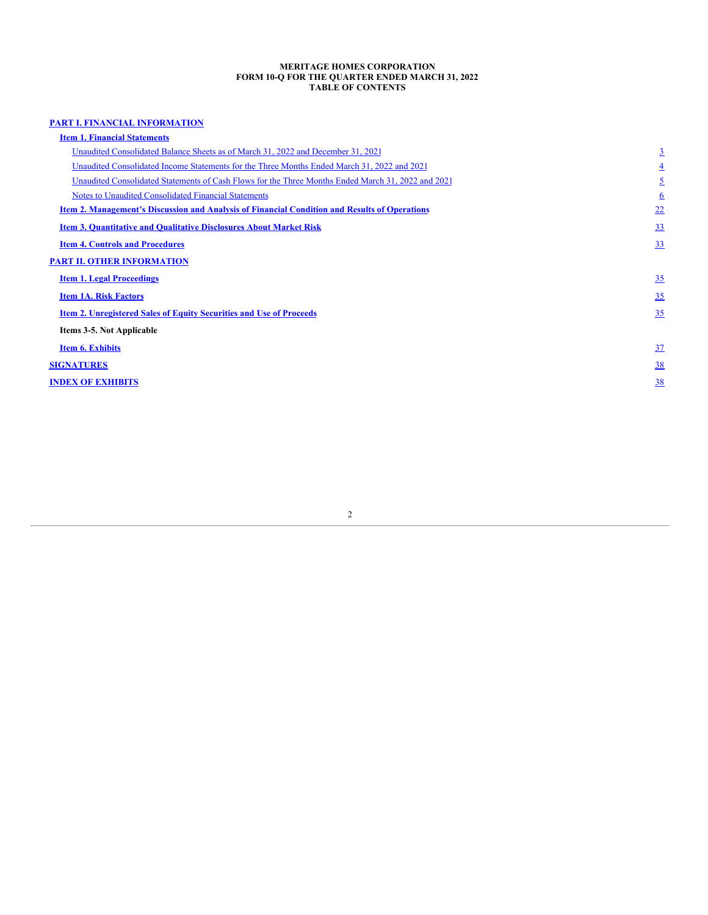#### **MERITAGE HOMES CORPORATION FORM 10-Q FOR THE QUARTER ENDED MARCH 31, 2022 TABLE OF CONTENTS**

# **PART I. FINANCIAL [INFORMATION](#page-1-0)**

<span id="page-1-2"></span><span id="page-1-1"></span><span id="page-1-0"></span>

| <b>Item 1. Financial Statements</b>                                                                  |                 |
|------------------------------------------------------------------------------------------------------|-----------------|
| Unaudited Consolidated Balance Sheets as of March 31, 2022 and December 31, 2021                     | $\overline{3}$  |
| Unaudited Consolidated Income Statements for the Three Months Ended March 31, 2022 and 2021          | $\overline{4}$  |
| Unaudited Consolidated Statements of Cash Flows for the Three Months Ended March 31, 2022 and 2021   | <u>٤</u>        |
| <b>Notes to Unaudited Consolidated Financial Statements</b>                                          | $6\overline{6}$ |
| <b>Item 2. Management's Discussion and Analysis of Financial Condition and Results of Operations</b> | 22              |
| <b>Item 3. Quantitative and Qualitative Disclosures About Market Risk</b>                            | <u>33</u>       |
| <b>Item 4. Controls and Procedures</b>                                                               | 33              |
| <b>PART II. OTHER INFORMATION</b>                                                                    |                 |
| <b>Item 1. Legal Proceedings</b>                                                                     | 35              |
| <b>Item 1A. Risk Factors</b>                                                                         | 35              |
| <b>Item 2. Unregistered Sales of Equity Securities and Use of Proceeds</b>                           | 35              |
| Items 3-5. Not Applicable                                                                            |                 |
| <b>Item 6. Exhibits</b>                                                                              | 37              |
| <b>SIGNATURES</b>                                                                                    | $\frac{38}{5}$  |
| <b>INDEX OF EXHIBITS</b>                                                                             | 38              |
|                                                                                                      |                 |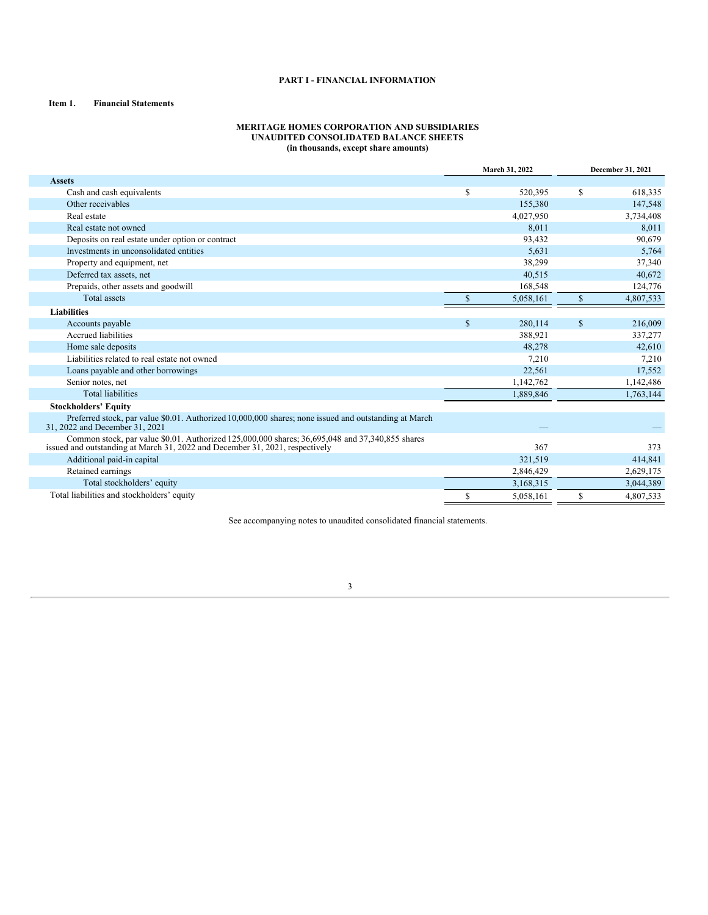### **PART I - FINANCIAL INFORMATION**

## **Item 1. Financial Statements**

### **MERITAGE HOMES CORPORATION AND SUBSIDIARIES UNAUDITED CONSOLIDATED BALANCE SHEETS (in thousands, except share amounts)**

|                                                                                                                                                                                 | March 31, 2022 |           | <b>December 31, 2021</b> |           |
|---------------------------------------------------------------------------------------------------------------------------------------------------------------------------------|----------------|-----------|--------------------------|-----------|
| <b>Assets</b>                                                                                                                                                                   |                |           |                          |           |
| Cash and cash equivalents                                                                                                                                                       | S              | 520,395   | S                        | 618,335   |
| Other receivables                                                                                                                                                               |                | 155,380   |                          | 147,548   |
| Real estate                                                                                                                                                                     |                | 4,027,950 |                          | 3,734,408 |
| Real estate not owned                                                                                                                                                           |                | 8,011     |                          | 8,011     |
| Deposits on real estate under option or contract                                                                                                                                |                | 93,432    |                          | 90,679    |
| Investments in unconsolidated entities                                                                                                                                          |                | 5,631     |                          | 5,764     |
| Property and equipment, net                                                                                                                                                     |                | 38,299    |                          | 37,340    |
| Deferred tax assets, net                                                                                                                                                        |                | 40,515    |                          | 40,672    |
| Prepaids, other assets and goodwill                                                                                                                                             |                | 168,548   |                          | 124,776   |
| <b>Total assets</b>                                                                                                                                                             |                | 5,058,161 | \$                       | 4,807,533 |
| <b>Liabilities</b>                                                                                                                                                              |                |           |                          |           |
| Accounts payable                                                                                                                                                                | $\mathbf S$    | 280,114   | \$                       | 216,009   |
| Accrued liabilities                                                                                                                                                             |                | 388,921   |                          | 337,277   |
| Home sale deposits                                                                                                                                                              |                | 48,278    |                          | 42,610    |
| Liabilities related to real estate not owned                                                                                                                                    |                | 7,210     |                          | 7,210     |
| Loans payable and other borrowings                                                                                                                                              |                | 22,561    |                          | 17,552    |
| Senior notes, net                                                                                                                                                               |                | 1,142,762 |                          | 1,142,486 |
| <b>Total liabilities</b>                                                                                                                                                        |                | 1,889,846 |                          | 1,763,144 |
| <b>Stockholders' Equity</b>                                                                                                                                                     |                |           |                          |           |
| Preferred stock, par value \$0.01. Authorized 10,000,000 shares; none issued and outstanding at March<br>31, 2022 and December 31, 2021                                         |                |           |                          |           |
| Common stock, par value \$0.01. Authorized 125,000,000 shares; 36,695,048 and 37,340,855 shares<br>issued and outstanding at March 31, 2022 and December 31, 2021, respectively |                | 367       |                          | 373       |
| Additional paid-in capital                                                                                                                                                      |                | 321.519   |                          | 414,841   |
| Retained earnings                                                                                                                                                               |                | 2,846,429 |                          | 2,629,175 |
| Total stockholders' equity                                                                                                                                                      |                | 3,168,315 |                          | 3,044,389 |
| Total liabilities and stockholders' equity                                                                                                                                      | S              | 5,058,161 | S                        | 4,807,533 |

<span id="page-2-0"></span>See accompanying notes to unaudited consolidated financial statements.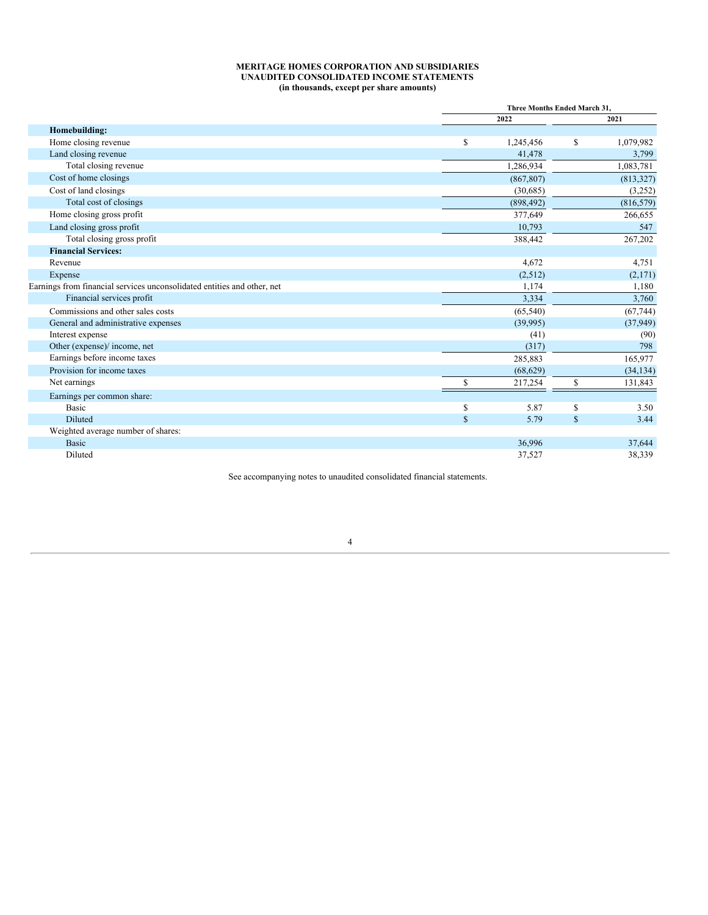#### **MERITAGE HOMES CORPORATION AND SUBSIDIARIES UNAUDITED CONSOLIDATED INCOME STATEMENTS (in thousands, except per share amounts)**

|                                                                         |              | Three Months Ended March 31, |             |            |  |
|-------------------------------------------------------------------------|--------------|------------------------------|-------------|------------|--|
|                                                                         |              | 2022                         | 2021        |            |  |
| Homebuilding:                                                           |              |                              |             |            |  |
| Home closing revenue                                                    | \$           | 1,245,456                    | \$          | 1,079,982  |  |
| Land closing revenue                                                    |              | 41,478                       |             | 3,799      |  |
| Total closing revenue                                                   |              | 1,286,934                    |             | 1,083,781  |  |
| Cost of home closings                                                   |              | (867, 807)                   |             | (813, 327) |  |
| Cost of land closings                                                   |              | (30,685)                     |             | (3,252)    |  |
| Total cost of closings                                                  |              | (898, 492)                   |             | (816, 579) |  |
| Home closing gross profit                                               |              | 377,649                      |             | 266,655    |  |
| Land closing gross profit                                               |              | 10,793                       |             | 547        |  |
| Total closing gross profit                                              |              | 388,442                      |             | 267,202    |  |
| <b>Financial Services:</b>                                              |              |                              |             |            |  |
| Revenue                                                                 |              | 4,672                        |             | 4,751      |  |
| Expense                                                                 |              | (2,512)                      |             | (2,171)    |  |
| Earnings from financial services unconsolidated entities and other, net |              | 1,174                        |             | 1,180      |  |
| Financial services profit                                               |              | 3,334                        |             | 3,760      |  |
| Commissions and other sales costs                                       |              | (65, 540)                    |             | (67, 744)  |  |
| General and administrative expenses                                     |              | (39,995)                     |             | (37, 949)  |  |
| Interest expense                                                        |              | (41)                         |             | (90)       |  |
| Other (expense)/ income, net                                            |              | (317)                        |             | 798        |  |
| Earnings before income taxes                                            |              | 285,883                      |             | 165,977    |  |
| Provision for income taxes                                              |              | (68, 629)                    |             | (34, 134)  |  |
| Net earnings                                                            | S            | 217,254                      | \$          | 131,843    |  |
| Earnings per common share:                                              |              |                              |             |            |  |
| <b>Basic</b>                                                            | \$           | 5.87                         | S           | 3.50       |  |
| <b>Diluted</b>                                                          | $\mathbb{S}$ | 5.79                         | $\mathbf S$ | 3.44       |  |
| Weighted average number of shares:                                      |              |                              |             |            |  |
| <b>Basic</b>                                                            |              | 36,996                       |             | 37,644     |  |
| Diluted                                                                 |              | 37,527                       |             | 38,339     |  |
|                                                                         |              |                              |             |            |  |

<span id="page-3-0"></span>See accompanying notes to unaudited consolidated financial statements.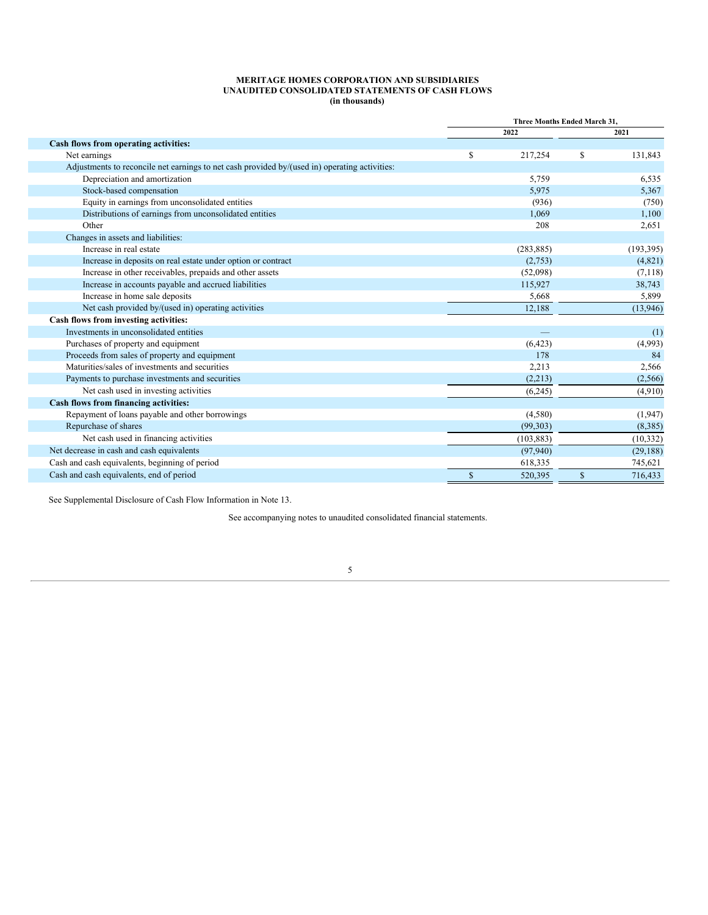#### **MERITAGE HOMES CORPORATION AND SUBSIDIARIES UNAUDITED CONSOLIDATED STATEMENTS OF CASH FLOWS (in thousands)**

|                                                                                               | Three Months Ended March 31, |            |             |            |  |
|-----------------------------------------------------------------------------------------------|------------------------------|------------|-------------|------------|--|
|                                                                                               |                              | 2022       |             | 2021       |  |
| Cash flows from operating activities:                                                         |                              |            |             |            |  |
| Net earnings                                                                                  | \$                           | 217,254    | \$          | 131,843    |  |
| Adjustments to reconcile net earnings to net cash provided by/(used in) operating activities: |                              |            |             |            |  |
| Depreciation and amortization                                                                 |                              | 5,759      |             | 6,535      |  |
| Stock-based compensation                                                                      |                              | 5,975      |             | 5,367      |  |
| Equity in earnings from unconsolidated entities                                               |                              | (936)      |             | (750)      |  |
| Distributions of earnings from unconsolidated entities                                        |                              | 1,069      |             | 1,100      |  |
| Other                                                                                         |                              | 208        |             | 2,651      |  |
| Changes in assets and liabilities:                                                            |                              |            |             |            |  |
| Increase in real estate                                                                       |                              | (283, 885) |             | (193, 395) |  |
| Increase in deposits on real estate under option or contract                                  |                              | (2,753)    |             | (4,821)    |  |
| Increase in other receivables, prepaids and other assets                                      |                              | (52,098)   |             | (7,118)    |  |
| Increase in accounts payable and accrued liabilities                                          |                              | 115,927    |             | 38,743     |  |
| Increase in home sale deposits                                                                |                              | 5,668      |             | 5,899      |  |
| Net cash provided by/(used in) operating activities                                           |                              | 12,188     |             | (13,946)   |  |
| Cash flows from investing activities:                                                         |                              |            |             |            |  |
| Investments in unconsolidated entities                                                        |                              |            |             | (1)        |  |
| Purchases of property and equipment                                                           |                              | (6,423)    |             | (4,993)    |  |
| Proceeds from sales of property and equipment                                                 |                              | 178        |             | 84         |  |
| Maturities/sales of investments and securities                                                |                              | 2,213      |             | 2,566      |  |
| Payments to purchase investments and securities                                               |                              | (2,213)    |             | (2,566)    |  |
| Net cash used in investing activities                                                         |                              | (6,245)    |             | (4,910)    |  |
| Cash flows from financing activities:                                                         |                              |            |             |            |  |
| Repayment of loans payable and other borrowings                                               |                              | (4,580)    |             | (1, 947)   |  |
| Repurchase of shares                                                                          |                              | (99, 303)  |             | (8,385)    |  |
| Net cash used in financing activities                                                         |                              | (103, 883) |             | (10, 332)  |  |
| Net decrease in cash and cash equivalents                                                     |                              | (97, 940)  |             | (29, 188)  |  |
| Cash and cash equivalents, beginning of period                                                |                              | 618,335    |             | 745,621    |  |
| Cash and cash equivalents, end of period                                                      | $\mathbf S$                  | 520,395    | $\mathbf S$ | 716,433    |  |

<span id="page-4-0"></span>See Supplemental Disclosure of Cash Flow Information in Note 13.

See accompanying notes to unaudited consolidated financial statements.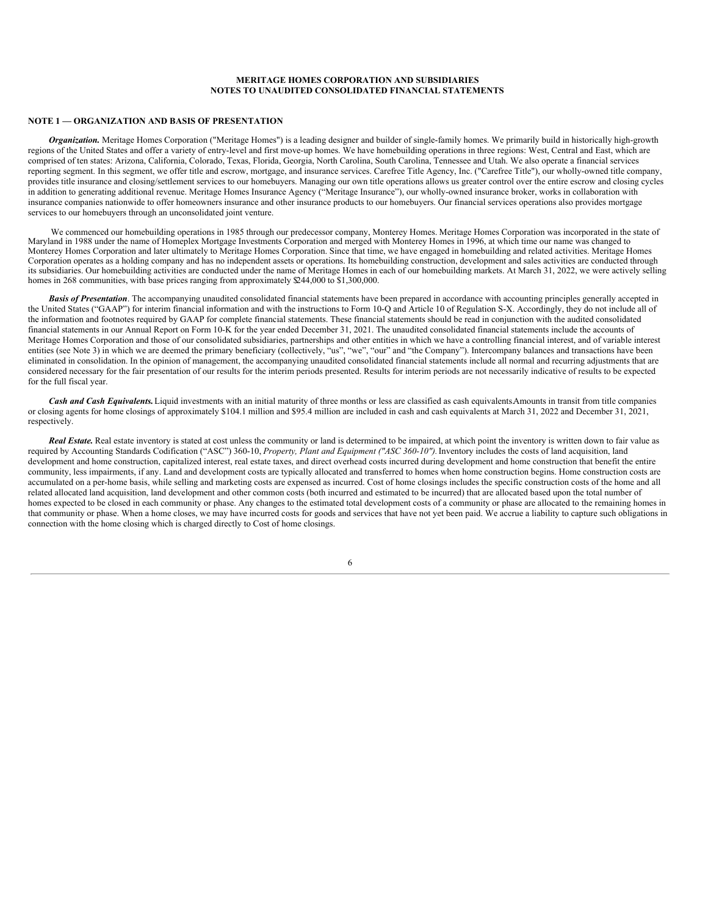#### **MERITAGE HOMES CORPORATION AND SUBSIDIARIES NOTES TO UNAUDITED CONSOLIDATED FINANCIAL STATEMENTS**

# **NOTE 1 — ORGANIZATION AND BASIS OF PRESENTATION**

*Organization.* Meritage Homes Corporation ("Meritage Homes") is a leading designer and builder of single-family homes. We primarily build in historically high-growth regions of the United States and offer a variety of entry-level and first move-up homes. We have homebuilding operations in three regions: West, Central and East, which are comprised of ten states: Arizona, California, Colorado, Texas, Florida, Georgia, North Carolina, South Carolina, Tennessee and Utah. We also operate a financial services reporting segment. In this segment, we offer title and escrow, mortgage, and insurance services. Carefree Title Agency, Inc. ("Carefree Title"), our wholly-owned title company, provides title insurance and closing/settlement services to our homebuyers. Managing our own title operations allows us greater control over the entire escrow and closing cycles in addition to generating additional revenue. Meritage Homes Insurance Agency ("Meritage Insurance"), our wholly-owned insurance broker, works in collaboration with insurance companies nationwide to offer homeowners insurance and other insurance products to our homebuyers. Our financial services operations also provides mortgage services to our homebuyers through an unconsolidated joint venture.

We commenced our homebuilding operations in 1985 through our predecessor company, Monterey Homes. Meritage Homes Corporation was incorporated in the state of Maryland in 1988 under the name of Homeplex Mortgage Investments Corporation and merged with Monterey Homes in 1996, at which time our name was changed to Monterey Homes Corporation and later ultimately to Meritage Homes Corporation. Since that time, we have engaged in homebuilding and related activities. Meritage Homes Corporation operates as a holding company and has no independent assets or operations. Its homebuilding construction, development and sales activities are conducted through its subsidiaries. Our homebuilding activities are conducted under the name of Meritage Homes in each of our homebuilding markets. At March 31, 2022, we were actively selling homes in 268 communities, with base prices ranging from approximately \$244,000 to \$1,300,000.

**Basis of Presentation**. The accompanying unaudited consolidated financial statements have been prepared in accordance with accounting principles generally accepted in the United States ("GAAP") for interim financial information and with the instructions to Form 10-Q and Article 10 of Regulation S-X. Accordingly, they do not include all of the information and footnotes required by GAAP for complete financial statements. These financial statements should be read in conjunction with the audited consolidated financial statements in our Annual Report on Form 10-K for the year ended December 31, 2021. The unaudited consolidated financial statements include the accounts of Meritage Homes Corporation and those of our consolidated subsidiaries, partnerships and other entities in which we have a controlling financial interest, and of variable interest entities (see Note 3) in which we are deemed the primary beneficiary (collectively, "us", "we", "our" and "the Company"). Intercompany balances and transactions have been eliminated in consolidation. In the opinion of management, the accompanying unaudited consolidated financial statements include all normal and recurring adjustments that are considered necessary for the fair presentation of our results for the interim periods presented. Results for interim periods are not necessarily indicative of results to be expected for the full fiscal year.

*Cash and Cash Equivalents.*Liquid investments with an initial maturity of three months or less are classified as cash equivalents.Amounts in transit from title companies or closing agents for home closings of approximately \$104.1 million and \$95.4 million are included in cash and cash equivalents at March 31, 2022 and December 31, 2021, respectively.

*Real Estate.* Real estate inventory is stated at cost unless the community or land is determined to be impaired, at which point the inventory is written down to fair value as required by Accounting Standards Codification ("ASC") 360-10, *Property, Plant and Equipment ("ASC 360-10").*Inventory includes the costs of land acquisition, land development and home construction, capitalized interest, real estate taxes, and direct overhead costs incurred during development and home construction that benefit the entire community, less impairments, if any. Land and development costs are typically allocated and transferred to homes when home construction begins. Home construction costs are accumulated on a per-home basis, while selling and marketing costs are expensed as incurred. Cost of home closings includes the specific construction costs of the home and all related allocated land acquisition, land development and other common costs (both incurred and estimated to be incurred) that are allocated based upon the total number of homes expected to be closed in each community or phase. Any changes to the estimated total development costs of a community or phase are allocated to the remaining homes in that community or phase. When a home closes, we may have incurred costs for goods and services that have not yet been paid. We accrue a liability to capture such obligations in connection with the home closing which is charged directly to Cost of home closings.

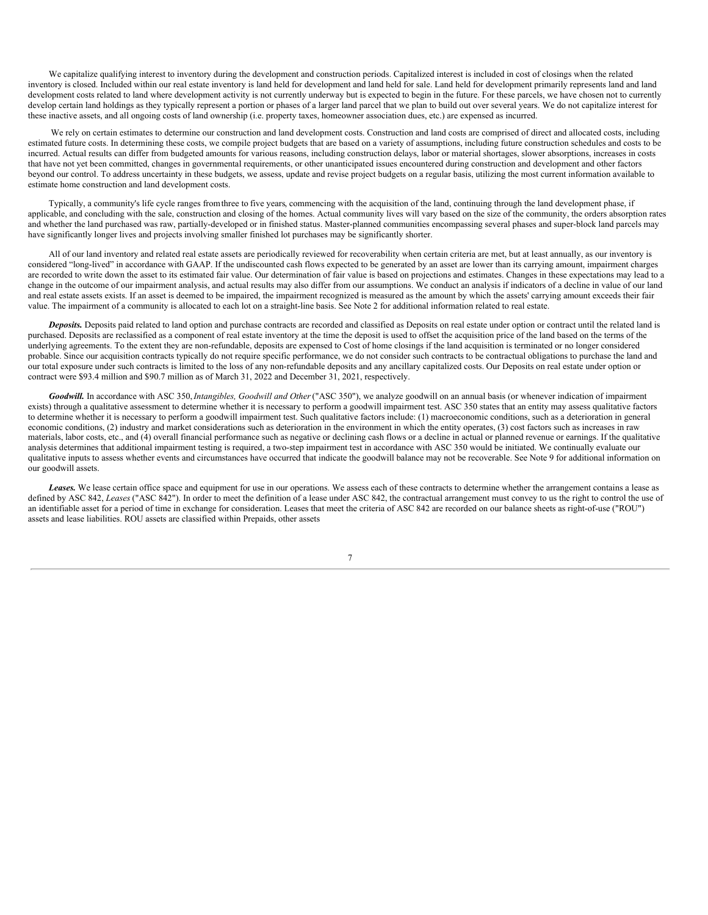We capitalize qualifying interest to inventory during the development and construction periods. Capitalized interest is included in cost of closings when the related inventory is closed. Included within our real estate inventory is land held for development and land held for sale. Land held for development primarily represents land and land development costs related to land where development activity is not currently underway but is expected to begin in the future. For these parcels, we have chosen not to currently develop certain land holdings as they typically represent a portion or phases of a larger land parcel that we plan to build out over several years. We do not capitalize interest for these inactive assets, and all ongoing costs of land ownership (i.e. property taxes, homeowner association dues, etc.) are expensed as incurred.

We rely on certain estimates to determine our construction and land development costs. Construction and land costs are comprised of direct and allocated costs, including estimated future costs. In determining these costs, we compile project budgets that are based on a variety of assumptions, including future construction schedules and costs to be incurred. Actual results can differ from budgeted amounts for various reasons, including construction delays, labor or material shortages, slower absorptions, increases in costs that have not yet been committed, changes in governmental requirements, or other unanticipated issues encountered during construction and development and other factors beyond our control. To address uncertainty in these budgets, we assess, update and revise project budgets on a regular basis, utilizing the most current information available to estimate home construction and land development costs.

Typically, a community's life cycle ranges fromthree to five years, commencing with the acquisition of the land, continuing through the land development phase, if applicable, and concluding with the sale, construction and closing of the homes. Actual community lives will vary based on the size of the community, the orders absorption rates and whether the land purchased was raw, partially-developed or in finished status. Master-planned communities encompassing several phases and super-block land parcels may have significantly longer lives and projects involving smaller finished lot purchases may be significantly shorter.

All of our land inventory and related real estate assets are periodically reviewed for recoverability when certain criteria are met, but at least annually, as our inventory is considered "long-lived" in accordance with GAAP. If the undiscounted cash flows expected to be generated by an asset are lower than its carrying amount, impairment charges are recorded to write down the asset to its estimated fair value. Our determination of fair value is based on projections and estimates. Changes in these expectations may lead to a change in the outcome of our impairment analysis, and actual results may also differ from our assumptions. We conduct an analysis if indicators of a decline in value of our land and real estate assets exists. If an asset is deemed to be impaired, the impairment recognized is measured as the amount by which the assets' carrying amount exceeds their fair value. The impairment of a community is allocated to each lot on a straight-line basis. See Note 2 for additional information related to real estate.

*Deposits.* Deposits paid related to land option and purchase contracts are recorded and classified as Deposits on real estate under option or contract until the related land is purchased. Deposits are reclassified as a component of real estate inventory at the time the deposit is used to offset the acquisition price of the land based on the terms of the underlying agreements. To the extent they are non-refundable, deposits are expensed to Cost of home closings if the land acquisition is terminated or no longer considered probable. Since our acquisition contracts typically do not require specific performance, we do not consider such contracts to be contractual obligations to purchase the land and our total exposure under such contracts is limited to the loss of any non-refundable deposits and any ancillary capitalized costs. Our Deposits on real estate under option or contract were \$93.4 million and \$90.7 million as of March 31, 2022 and December 31, 2021, respectively.

*Goodwill.* In accordance with ASC 350,*Intangibles, Goodwill and Other*("ASC 350"), we analyze goodwill on an annual basis (or whenever indication of impairment exists) through a qualitative assessment to determine whether it is necessary to perform a goodwill impairment test. ASC 350 states that an entity may assess qualitative factors to determine whether it is necessary to perform a goodwill impairment test. Such qualitative factors include: (1) macroeconomic conditions, such as a deterioration in general economic conditions, (2) industry and market considerations such as deterioration in the environment in which the entity operates, (3) cost factors such as increases in raw materials, labor costs, etc., and (4) overall financial performance such as negative or declining cash flows or a decline in actual or planned revenue or earnings. If the qualitative analysis determines that additional impairment testing is required, a two-step impairment test in accordance with ASC 350 would be initiated. We continually evaluate our qualitative inputs to assess whether events and circumstances have occurred that indicate the goodwill balance may not be recoverable. See Note 9 for additional information on our goodwill assets.

Leases. We lease certain office space and equipment for use in our operations. We assess each of these contracts to determine whether the arrangement contains a lease as defined by ASC 842, *Leases* ("ASC 842"). In order to meet the definition of a lease under ASC 842, the contractual arrangement must convey to us the right to control the use of an identifiable asset for a period of time in exchange for consideration. Leases that meet the criteria of ASC 842 are recorded on our balance sheets as right-of-use ("ROU") assets and lease liabilities. ROU assets are classified within Prepaids, other assets

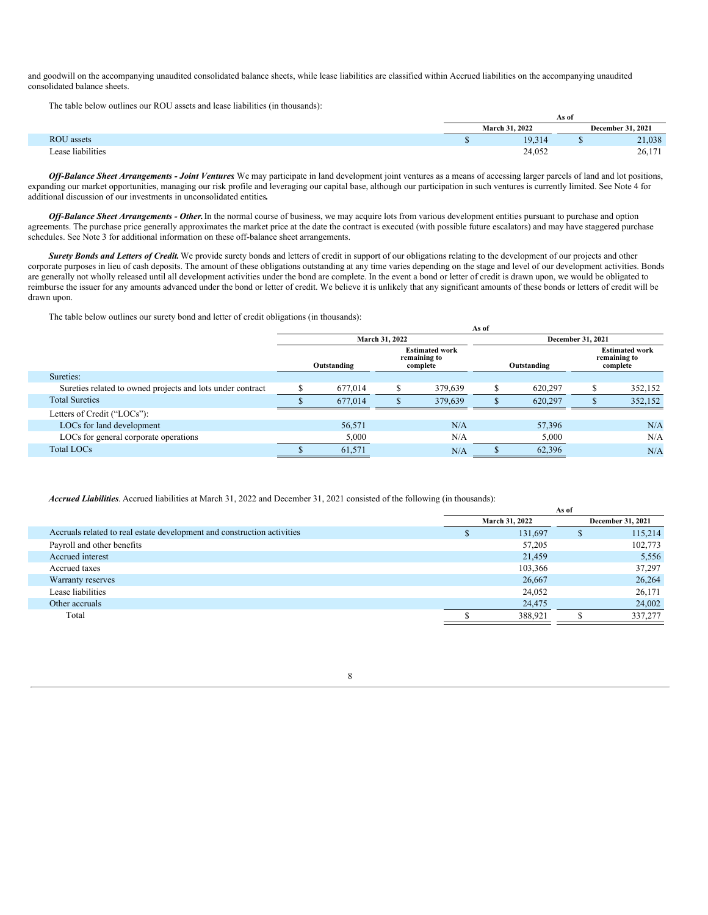and goodwill on the accompanying unaudited consolidated balance sheets, while lease liabilities are classified within Accrued liabilities on the accompanying unaudited consolidated balance sheets.

The table below outlines our ROU assets and lease liabilities (in thousands):

|                   |  |  |                       |        | As of                    |        |  |
|-------------------|--|--|-----------------------|--------|--------------------------|--------|--|
|                   |  |  | <b>March 31, 2022</b> |        | <b>December 31, 2021</b> |        |  |
| <b>ROU</b> assets |  |  |                       | 19,314 |                          | 21,038 |  |
| Lease liabilities |  |  |                       | 24,052 |                          | 26,171 |  |

*Of -Balance Sheet Arrangements - Joint Ventures*. We may participate in land development joint ventures as a means of accessing larger parcels of land and lot positions, expanding our market opportunities, managing our risk profile and leveraging our capital base, although our participation in such ventures is currently limited. See Note 4 for additional discussion of our investments in unconsolidated entities*.*

*Of -Balance Sheet Arrangements - Other.*In the normal course of business, we may acquire lots from various development entities pursuant to purchase and option agreements. The purchase price generally approximates the market price at the date the contract is executed (with possible future escalators) and may have staggered purchase schedules. See Note 3 for additional information on these off-balance sheet arrangements.

*Surety Bonds and Letters of Credit.*We provide surety bonds and letters of credit in support of our obligations relating to the development of our projects and other corporate purposes in lieu of cash deposits. The amount of these obligations outstanding at any time varies depending on the stage and level of our development activities. Bonds are generally not wholly released until all development activities under the bond are complete. In the event a bond or letter of credit is drawn upon, we would be obligated to reimburse the issuer for any amounts advanced under the bond or letter of credit. We believe it is unlikely that any significant amounts of these bonds or letters of credit will be drawn upon.

The table below outlines our surety bond and letter of credit obligations (in thousands):

|         |                                                   |                | <b>December 31, 2021</b> |                                                   |         |  |
|---------|---------------------------------------------------|----------------|--------------------------|---------------------------------------------------|---------|--|
|         | <b>Estimated work</b><br>remaining to<br>complete |                |                          | <b>Estimated work</b><br>remaining to<br>complete |         |  |
|         |                                                   |                |                          |                                                   |         |  |
| 677,014 |                                                   | 379,639        | 620,297                  | æэ.                                               | 352,152 |  |
| 677,014 |                                                   | 379,639        | 620.297                  |                                                   | 352,152 |  |
|         |                                                   |                |                          |                                                   |         |  |
| 56,571  |                                                   | N/A            | 57,396                   |                                                   | N/A     |  |
| 5,000   |                                                   | N/A            | 5,000                    |                                                   | N/A     |  |
| 61,571  |                                                   | N/A            | 62,396                   |                                                   | N/A     |  |
|         | Outstanding                                       | March 31, 2022 | As of                    | Outstanding                                       |         |  |

*Accrued Liabilities*. Accrued liabilities at March 31, 2022 and December 31, 2021 consisted of the following (in thousands):

|                                                                         | As of          |  |                   |  |  |
|-------------------------------------------------------------------------|----------------|--|-------------------|--|--|
|                                                                         | March 31, 2022 |  | December 31, 2021 |  |  |
| Accruals related to real estate development and construction activities | 131,697        |  | 115,214           |  |  |
| Payroll and other benefits                                              | 57,205         |  | 102,773           |  |  |
| Accrued interest                                                        | 21,459         |  | 5,556             |  |  |
| Accrued taxes                                                           | 103,366        |  | 37,297            |  |  |
| Warranty reserves                                                       | 26,667         |  | 26,264            |  |  |
| Lease liabilities                                                       | 24,052         |  | 26,171            |  |  |
| Other accruals                                                          | 24,475         |  | 24,002            |  |  |
| Total                                                                   | 388,921        |  | 337,277           |  |  |
|                                                                         |                |  |                   |  |  |

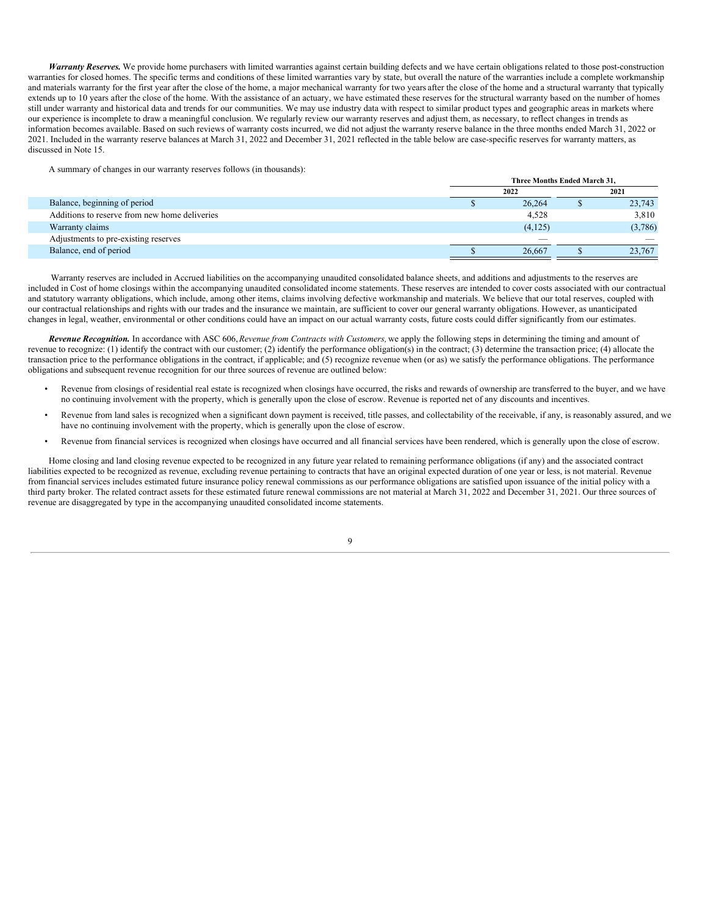*Warranty Reserves.* We provide home purchasers with limited warranties against certain building defects and we have certain obligations related to those post-construction warranties for closed homes. The specific terms and conditions of these limited warranties vary by state, but overall the nature of the warranties include a complete workmanship and materials warranty for the first year after the close of the home, a major mechanical warranty for two years after the close of the home and a structural warranty that typically extends up to 10 years after the close of the home. With the assistance of an actuary, we have estimated these reserves for the structural warranty based on the number of homes still under warranty and historical data and trends for our communities. We may use industry data with respect to similar product types and geographic areas in markets where our experience is incomplete to draw a meaningful conclusion. We regularly review our warranty reserves and adjust them, as necessary, to reflect changes in trends as information becomes available. Based on such reviews of warranty costs incurred, we did not adjust the warranty reserve balance in the three months ended March 31, 2022 or 2021. Included in the warranty reserve balances at March 31, 2022 and December 31, 2021 reflected in the table below are case-specific reserves for warranty matters, as discussed in Note 15.

A summary of changes in our warranty reserves follows (in thousands):

|                                               | Three Months Ended March 31, |          |  |                          |
|-----------------------------------------------|------------------------------|----------|--|--------------------------|
|                                               |                              | 2022     |  | 2021                     |
| Balance, beginning of period                  |                              | 26,264   |  | 23,743                   |
| Additions to reserve from new home deliveries |                              | 4,528    |  | 3,810                    |
| Warranty claims                               |                              | (4, 125) |  | (3,786)                  |
| Adjustments to pre-existing reserves          |                              | $\sim$   |  | $\overline{\phantom{a}}$ |
| Balance, end of period                        |                              | 26,667   |  | 23,767                   |

Warranty reserves are included in Accrued liabilities on the accompanying unaudited consolidated balance sheets, and additions and adjustments to the reserves are included in Cost of home closings within the accompanying unaudited consolidated income statements. These reserves are intended to cover costs associated with our contractual and statutory warranty obligations, which include, among other items, claims involving defective workmanship and materials. We believe that our total reserves, coupled with our contractual relationships and rights with our trades and the insurance we maintain, are sufficient to cover our general warranty obligations. However, as unanticipated changes in legal, weather, environmental or other conditions could have an impact on our actual warranty costs, future costs could differ significantly from our estimates.

*Revenue Recognition.* In accordance with ASC 606,*Revenue from Contracts with Customers,* we apply the following steps in determining the timing and amount of revenue to recognize: (1) identify the contract with our customer; (2) identify the performance obligation(s) in the contract; (3) determine the transaction price; (4) allocate the transaction price to the performance obligations in the contract, if applicable; and (5) recognize revenue when (or as) we satisfy the performance obligations. The performance obligations and subsequent revenue recognition for our three sources of revenue are outlined below:

- Revenue from closings of residential real estate is recognized when closings have occurred, the risks and rewards of ownership are transferred to the buyer, and we have no continuing involvement with the property, which is generally upon the close of escrow. Revenue is reported net of any discounts and incentives.
- Revenue from land sales is recognized when a significant down payment is received, title passes, and collectability of the receivable, if any, is reasonably assured, and we have no continuing involvement with the property, which is generally upon the close of escrow.
- Revenue from financial services is recognized when closings have occurred and all financial services have been rendered, which is generally upon the close of escrow.

Home closing and land closing revenue expected to be recognized in any future year related to remaining performance obligations (if any) and the associated contract liabilities expected to be recognized as revenue, excluding revenue pertaining to contracts that have an original expected duration of one year or less, is not material. Revenue from financial services includes estimated future insurance policy renewal commissions as our performance obligations are satisfied upon issuance of the initial policy with a third party broker. The related contract assets for these estimated future renewal commissions are not material at March 31, 2022 and December 31, 2021. Our three sources of revenue are disaggregated by type in the accompanying unaudited consolidated income statements.

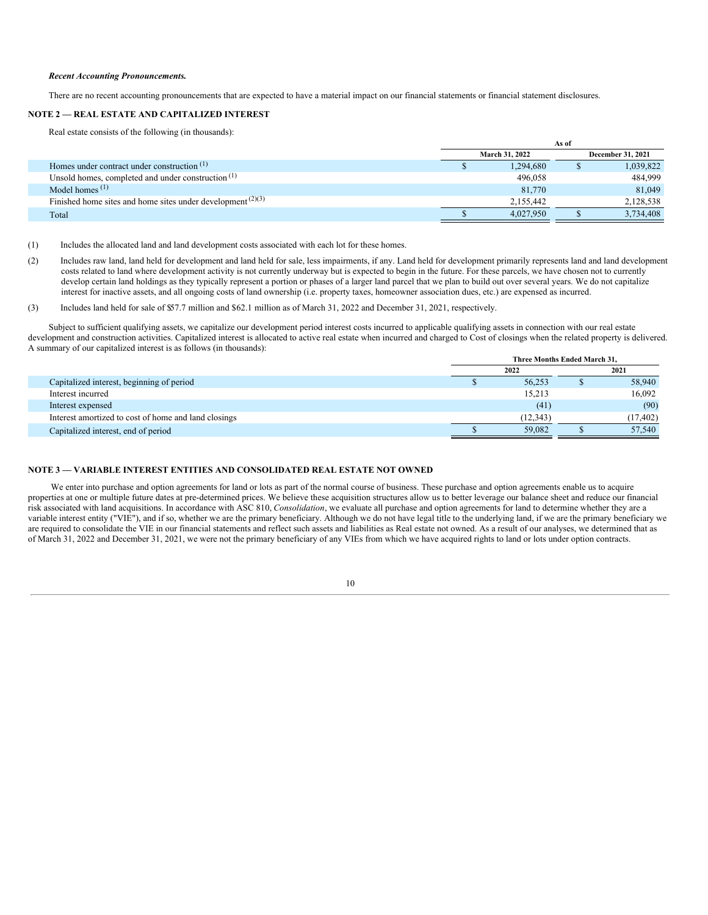#### *Recent Accounting Pronouncements.*

There are no recent accounting pronouncements that are expected to have a material impact on our financial statements or financial statement disclosures.

#### **NOTE 2 — REAL ESTATE AND CAPITALIZED INTEREST**

Real estate consists of the following (in thousands):

|                                                               | As of |                       |                   |           |  |
|---------------------------------------------------------------|-------|-----------------------|-------------------|-----------|--|
|                                                               |       | <b>March 31, 2022</b> | December 31, 2021 |           |  |
| Homes under contract under construction $(1)$                 |       | 1,294,680             |                   | 1,039,822 |  |
| Unsold homes, completed and under construction $(1)$          |       | 496,058               |                   | 484,999   |  |
| Model homes $(1)$                                             |       | 81,770                |                   | 81,049    |  |
| Finished home sites and home sites under development $(2)(3)$ |       | 2.155.442             |                   | 2,128,538 |  |
| Total                                                         |       | 4.027.950             |                   | 3,734,408 |  |

(1) Includes the allocated land and land development costs associated with each lot for these homes.

(2) Includes raw land, land held for development and land held for sale, less impairments, if any. Land held for development primarily represents land and land development costs related to land where development activity is not currently underway but is expected to begin in the future. For these parcels, we have chosen not to currently develop certain land holdings as they typically represent a portion or phases of a larger land parcel that we plan to build out over several years. We do not capitalize interest for inactive assets, and all ongoing costs of land ownership (i.e. property taxes, homeowner association dues, etc.) are expensed as incurred.

(3) Includes land held for sale of \$57.7 million and \$62.1 million as of March 31, 2022 and December 31, 2021, respectively.

Subject to sufficient qualifying assets, we capitalize our development period interest costs incurred to applicable qualifying assets in connection with our real estate development and construction activities. Capitalized interest is allocated to active real estate when incurred and charged to Cost of closings when the related property is delivered. A summary of our capitalized interest is as follows (in thousands):

|                                                      | Three Months Ended March 31. |           |  |           |
|------------------------------------------------------|------------------------------|-----------|--|-----------|
|                                                      |                              | 2022      |  | 2021      |
| Capitalized interest, beginning of period            |                              | 56.253    |  | 58,940    |
| Interest incurred                                    |                              | 15,213    |  | 16,092    |
| Interest expensed                                    |                              | (41)      |  | (90)      |
| Interest amortized to cost of home and land closings |                              | (12, 343) |  | (17, 402) |
| Capitalized interest, end of period                  |                              | 59.082    |  | 57,540    |

## **NOTE 3 — VARIABLE INTEREST ENTITIES AND CONSOLIDATED REAL ESTATE NOT OWNED**

We enter into purchase and option agreements for land or lots as part of the normal course of business. These purchase and option agreements enable us to acquire properties at one or multiple future dates at pre-determined prices. We believe these acquisition structures allow us to better leverage our balance sheet and reduce our financial risk associated with land acquisitions. In accordance with ASC 810, *Consolidation*, we evaluate all purchase and option agreements for land to determine whether they are a variable interest entity ("VIE"), and if so, whether we are the primary beneficiary. Although we do not have legal title to the underlying land, if we are the primary beneficiary we are required to consolidate the VIE in our financial statements and reflect such assets and liabilities as Real estate not owned. As a result of our analyses, we determined that as of March 31, 2022 and December 31, 2021, we were not the primary beneficiary of any VIEs from which we have acquired rights to land or lots under option contracts.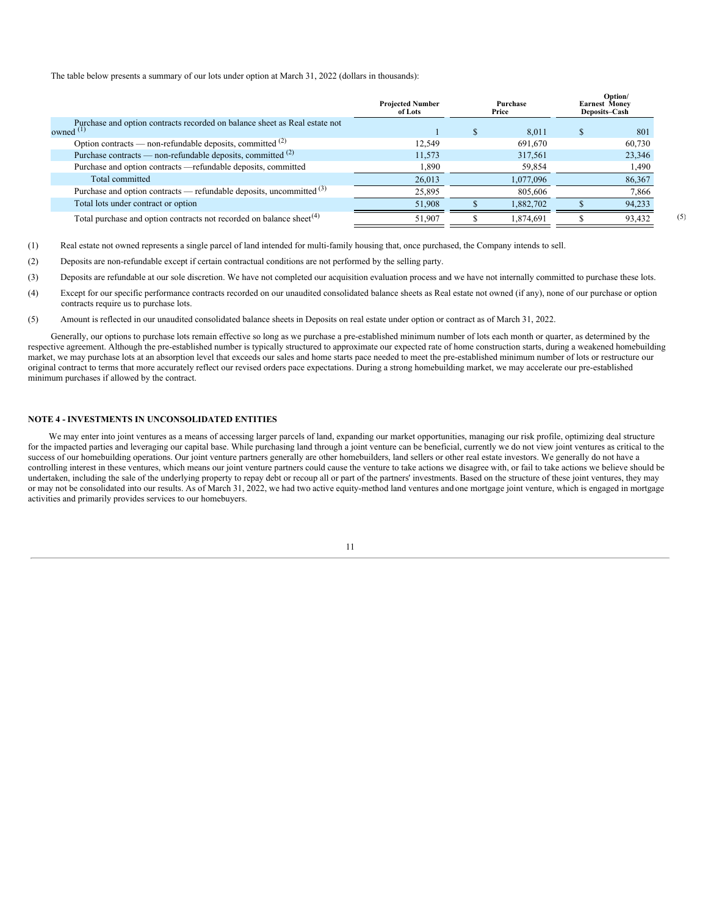The table below presents a summary of our lots under option at March 31, 2022 (dollars in thousands):

|                                                                                           | <b>Projected Number</b><br>of Lots | Purchase<br>Price | Option/<br><b>Earnest Money</b><br>Deposits-Cash |        |
|-------------------------------------------------------------------------------------------|------------------------------------|-------------------|--------------------------------------------------|--------|
| Purchase and option contracts recorded on balance sheet as Real estate not<br>owned $(1)$ |                                    | 8.011             |                                                  | 801    |
| Option contracts — non-refundable deposits, committed $(2)$                               | 12.549                             | 691,670           |                                                  | 60,730 |
| Purchase contracts — non-refundable deposits, committed (2)                               | 11.573                             | 317,561           |                                                  | 23,346 |
| Purchase and option contracts - refundable deposits, committed                            | 1,890                              | 59,854            |                                                  | 1,490  |
| Total committed                                                                           | 26,013                             | 1,077,096         |                                                  | 86,367 |
| Purchase and option contracts — refundable deposits, uncommitted $(3)$                    | 25,895                             | 805,606           |                                                  | 7,866  |
| Total lots under contract or option                                                       | 51,908                             | 1,882,702         |                                                  | 94,233 |
| Total purchase and option contracts not recorded on balance sheet <sup>(4)</sup>          | 51,907                             | 1,874,691         |                                                  | 93,432 |

(5)

(1) Real estate not owned represents a single parcel of land intended for multi-family housing that, once purchased, the Company intends to sell.

- (2) Deposits are non-refundable except if certain contractual conditions are not performed by the selling party.
- (3) Deposits are refundable at our sole discretion. We have not completed our acquisition evaluation process and we have not internally committed to purchase these lots.
- (4) Except for our specific performance contracts recorded on our unaudited consolidated balance sheets as Real estate not owned (if any), none of our purchase or option contracts require us to purchase lots.
- (5) Amount is reflected in our unaudited consolidated balance sheets in Deposits on real estate under option or contract as of March 31, 2022.

Generally, our options to purchase lots remain effective so long as we purchase a pre-established minimum number of lots each month or quarter, as determined by the respective agreement. Although the pre-established number is typically structured to approximate our expected rate of home construction starts, during a weakened homebuilding market, we may purchase lots at an absorption level that exceeds our sales and home starts pace needed to meet the pre-established minimum number of lots or restructure our original contract to terms that more accurately reflect our revised orders pace expectations. During a strong homebuilding market, we may accelerate our pre-established minimum purchases if allowed by the contract.

### **NOTE 4 - INVESTMENTS IN UNCONSOLIDATED ENTITIES**

We may enter into joint ventures as a means of accessing larger parcels of land, expanding our market opportunities, managing our risk profile, optimizing deal structure for the impacted parties and leveraging our capital base. While purchasing land through a joint venture can be beneficial, currently we do not view joint ventures as critical to the success of our homebuilding operations. Our joint venture partners generally are other homebuilders, land sellers or other real estate investors. We generally do not have a controlling interest in these ventures, which means our joint venture partners could cause the venture to take actions we disagree with, or fail to take actions we believe should be undertaken, including the sale of the underlying property to repay debt or recoup all or part of the partners' investments. Based on the structure of these joint ventures, they may or may not be consolidated into our results. As of March 31, 2022, we had two active equity-method land ventures and one mortgage joint venture, which is engaged in mortgage activities and primarily provides services to our homebuyers.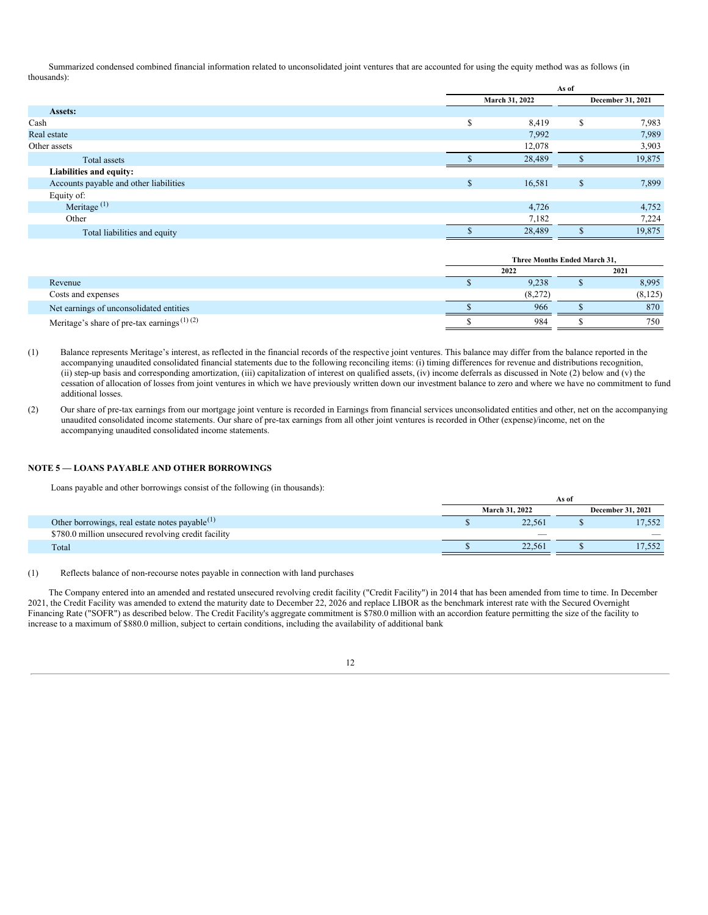Summarized condensed combined financial information related to unconsolidated joint ventures that are accounted for using the equity method was as follows (in thousands):

|                                        |    | As of          |                   |        |  |
|----------------------------------------|----|----------------|-------------------|--------|--|
|                                        |    | March 31, 2022 | December 31, 2021 |        |  |
| Assets:                                |    |                |                   |        |  |
| Cash                                   | S  | 8,419          | ъ                 | 7,983  |  |
| Real estate                            |    | 7,992          |                   | 7,989  |  |
| Other assets                           |    | 12,078         |                   | 3,903  |  |
| Total assets                           |    | 28,489         |                   | 19,875 |  |
| Liabilities and equity:                |    |                |                   |        |  |
| Accounts payable and other liabilities | \$ | 16,581         | $\mathbb{S}$      | 7,899  |  |
| Equity of:                             |    |                |                   |        |  |
| Meritage $(1)$                         |    | 4,726          |                   | 4,752  |  |
| Other                                  |    | 7,182          |                   | 7,224  |  |
| Total liabilities and equity           |    | 28,489         |                   | 19,875 |  |

|                                                        | Three Months Ended March 31. |  |          |  |  |  |
|--------------------------------------------------------|------------------------------|--|----------|--|--|--|
|                                                        | 2022                         |  |          |  |  |  |
| Revenue                                                | 9,238                        |  | 8,995    |  |  |  |
| Costs and expenses                                     | (8,272)                      |  | (8, 125) |  |  |  |
| Net earnings of unconsolidated entities                | 966                          |  | 870      |  |  |  |
| Meritage's share of pre-tax earnings <sup>(1)(2)</sup> | 984                          |  | 750      |  |  |  |

(1) Balance represents Meritage's interest, as reflected in the financial records of the respective joint ventures. This balance may differ from the balance reported in the accompanying unaudited consolidated financial statements due to the following reconciling items: (i) timing differences for revenue and distributions recognition, (ii) step-up basis and corresponding amortization, (iii) capitalization of interest on qualified assets, (iv) income deferrals as discussed in Note (2) below and (v) the cessation of allocation of losses from joint ventures in which we have previously written down our investment balance to zero and where we have no commitment to fund additional losses.

(2) Our share of pre-tax earnings from our mortgage joint venture is recorded in Earnings from financial services unconsolidated entities and other, net on the accompanying unaudited consolidated income statements. Our share of pre-tax earnings from all other joint ventures is recorded in Other (expense)/income, net on the accompanying unaudited consolidated income statements.

#### **NOTE 5 — LOANS PAYABLE AND OTHER BORROWINGS**

Loans payable and other borrowings consist of the following (in thousands):

|                                                     | As of                    |                          |                          |  |  |
|-----------------------------------------------------|--------------------------|--------------------------|--------------------------|--|--|
|                                                     | <b>March 31, 2022</b>    | <b>December 31, 2021</b> |                          |  |  |
| Other borrowings, real estate notes payable $(1)$   | 22.561                   |                          | 17,552                   |  |  |
| \$780.0 million unsecured revolving credit facility | $\overline{\phantom{a}}$ |                          | $\overline{\phantom{a}}$ |  |  |
| Total                                               | 22.561                   |                          | 17.552                   |  |  |

(1) Reflects balance of non-recourse notes payable in connection with land purchases.

The Company entered into an amended and restated unsecured revolving credit facility ("Credit Facility") in 2014 that has been amended from time to time. In December 2021, the Credit Facility was amended to extend the maturity date to December 22, 2026 and replace LIBOR as the benchmark interest rate with the Secured Overnight Financing Rate ("SOFR") as described below. The Credit Facility's aggregate commitment is \$780.0 million with an accordion feature permitting the size of the facility to increase to a maximum of \$880.0 million, subject to certain conditions, including the availability of additional bank

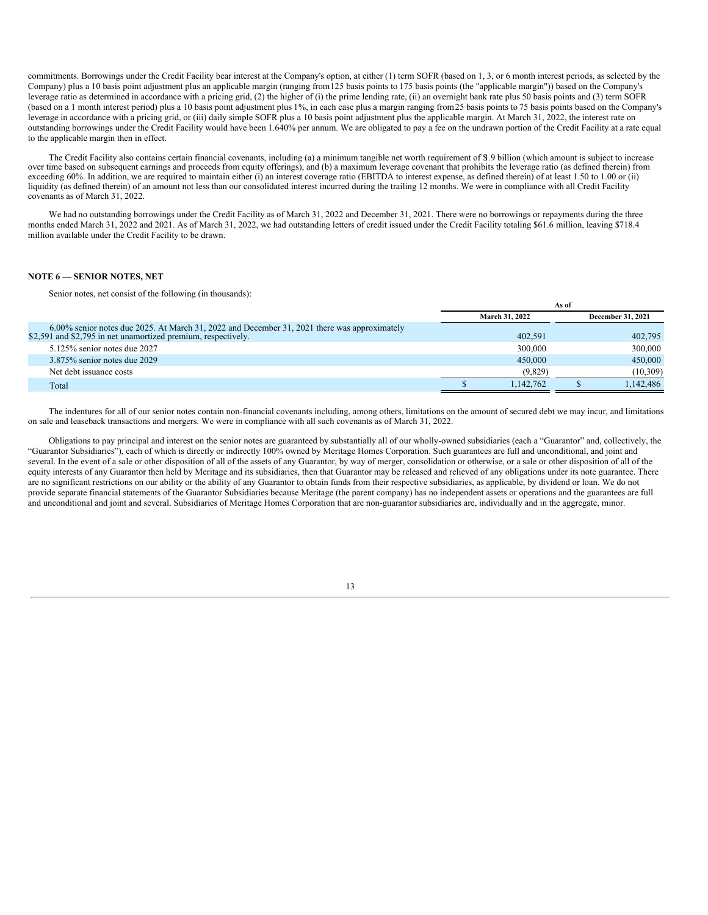commitments. Borrowings under the Credit Facility bear interest at the Company's option, at either (1) term SOFR (based on 1, 3, or 6 month interest periods, as selected by the Company) plus a 10 basis point adjustment plus an applicable margin (ranging from125 basis points to 175 basis points (the "applicable margin")) based on the Company's leverage ratio as determined in accordance with a pricing grid, (2) the higher of (i) the prime lending rate, (ii) an overnight bank rate plus 50 basis points and (3) term SOFR (based on a 1 month interest period) plus a 10 basis point adjustment plus 1%, in each case plus a margin ranging from25 basis points to 75 basis points based on the Company's leverage in accordance with a pricing grid, or (iii) daily simple SOFR plus a 10 basis point adjustment plus the applicable margin. At March 31, 2022, the interest rate on outstanding borrowings under the Credit Facility would have been 1.640% per annum. We are obligated to pay a fee on the undrawn portion of the Credit Facility at a rate equal to the applicable margin then in effect.

The Credit Facility also contains certain financial covenants, including (a) a minimum tangible net worth requirement of \$1.9 billion (which amount is subject to increase over time based on subsequent earnings and proceeds from equity offerings), and (b) a maximum leverage covenant that prohibits the leverage ratio (as defined therein) from exceeding 60%. In addition, we are required to maintain either (i) an interest coverage ratio (EBITDA to interest expense, as defined therein) of at least 1.50 to 1.00 or (ii) liquidity (as defined therein) of an amount not less than our consolidated interest incurred during the trailing 12 months. We were in compliance with all Credit Facility covenants as of March 31, 2022.

We had no outstanding borrowings under the Credit Facility as of March 31, 2022 and December 31, 2021. There were no borrowings or repayments during the three months ended March 31, 2022 and 2021. As of March 31, 2022, we had outstanding letters of credit issued under the Credit Facility totaling \$61.6 million, leaving \$718.4 million available under the Credit Facility to be drawn.

#### **NOTE 6 — SENIOR NOTES, NET**

Senior notes, net consist of the following (in thousands):

|                                                                                                                                                               | As of |                       |  |                          |  |
|---------------------------------------------------------------------------------------------------------------------------------------------------------------|-------|-----------------------|--|--------------------------|--|
|                                                                                                                                                               |       | <b>March 31, 2022</b> |  | <b>December 31, 2021</b> |  |
| 6.00% senior notes due 2025. At March 31, 2022 and December 31, 2021 there was approximately<br>\$2,591 and \$2,795 in net unamortized premium, respectively. |       | 402.591               |  | 402,795                  |  |
| $5.125\%$ senior notes due 2027                                                                                                                               |       | 300,000               |  | 300,000                  |  |
| $3.875\%$ senior notes due 2029                                                                                                                               |       | 450,000               |  | 450,000                  |  |
| Net debt issuance costs                                                                                                                                       |       | (9,829)               |  | (10,309)                 |  |
| Total                                                                                                                                                         |       | 1.142.762             |  | 1.142.486                |  |

The indentures for all of our senior notes contain non-financial covenants including, among others, limitations on the amount of secured debt we may incur, and limitations on sale and leaseback transactions and mergers. We were in compliance with all such covenants as of March 31, 2022.

Obligations to pay principal and interest on the senior notes are guaranteed by substantially all of our wholly-owned subsidiaries (each a "Guarantor" and, collectively, the "Guarantor Subsidiaries"), each of which is directly or indirectly 100% owned by Meritage Homes Corporation. Such guarantees are full and unconditional, and joint and several. In the event of a sale or other disposition of all of the assets of any Guarantor, by way of merger, consolidation or otherwise, or a sale or other disposition of all of the equity interests of any Guarantor then held by Meritage and its subsidiaries, then that Guarantor may be released and relieved of any obligations under its note guarantee. There are no significant restrictions on our ability or the ability of any Guarantor to obtain funds from their respective subsidiaries, as applicable, by dividend or loan. We do not provide separate financial statements of the Guarantor Subsidiaries because Meritage (the parent company) has no independent assets or operations and the guarantees are full and unconditional and joint and several. Subsidiaries of Meritage Homes Corporation that are non-guarantor subsidiaries are, individually and in the aggregate, minor.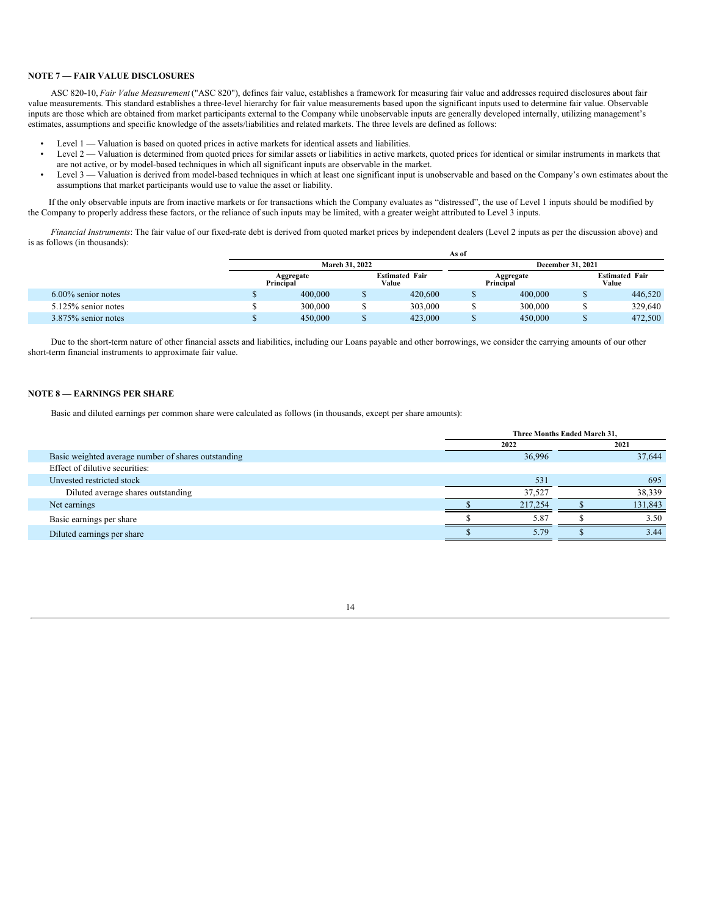#### **NOTE 7 — FAIR VALUE DISCLOSURES**

ASC 820-10, *Fair Value Measurement* ("ASC 820"), defines fair value, establishes a framework for measuring fair value and addresses required disclosures about fair value measurements. This standard establishes a three-level hierarchy for fair value measurements based upon the significant inputs used to determine fair value. Observable inputs are those which are obtained from market participants external to the Company while unobservable inputs are generally developed internally, utilizing management's estimates, assumptions and specific knowledge of the assets/liabilities and related markets. The three levels are defined as follows:

- Level 1 Valuation is based on quoted prices in active markets for identical assets and liabilities.
- Level 2 Valuation is determined from quoted prices for similar assets or liabilities in active markets, quoted prices for identical or similar instruments in markets that are not active, or by model-based techniques in which all significant inputs are observable in the market.
- Level 3 Valuation is derived from model-based techniques in which at least one significant input is unobservable and based on the Company's own estimates about the assumptions that market participants would use to value the asset or liability.

If the only observable inputs are from inactive markets or for transactions which the Company evaluates as "distressed", the use of Level 1 inputs should be modified by the Company to properly address these factors, or the reliance of such inputs may be limited, with a greater weight attributed to Level 3 inputs.

*Financial Instruments*: The fair value of our fixed-rate debt is derived from quoted market prices by independent dealers (Level 2 inputs as per the discussion above) and is as follows (in thousands):

|                        |                        |  |                                | As of |                        |                                |         |
|------------------------|------------------------|--|--------------------------------|-------|------------------------|--------------------------------|---------|
|                        | <b>March 31, 2022</b>  |  |                                |       |                        | <b>December 31, 2021</b>       |         |
|                        | Aggregate<br>Principal |  | <b>Estimated Fair</b><br>Value |       | Aggregate<br>Principal | <b>Estimated Fair</b><br>Value |         |
| $6.00\%$ senior notes  | 400,000                |  | 420,600                        |       | 400,000                |                                | 446,520 |
| $5.125\%$ senior notes | 300,000                |  | 303,000                        |       | 300,000                |                                | 329,640 |
| $3.875\%$ senior notes | 450,000                |  | 423,000                        |       | 450,000                |                                | 472,500 |

Due to the short-term nature of other financial assets and liabilities, including our Loans payable and other borrowings, we consider the carrying amounts of our other short-term financial instruments to approximate fair value.

# **NOTE 8 — EARNINGS PER SHARE**

Basic and diluted earnings per common share were calculated as follows (in thousands, except per share amounts):

|                                                     | Three Months Ended March 31, |         |  |         |  |  |
|-----------------------------------------------------|------------------------------|---------|--|---------|--|--|
|                                                     |                              | 2021    |  |         |  |  |
| Basic weighted average number of shares outstanding |                              | 36,996  |  | 37,644  |  |  |
| Effect of dilutive securities:                      |                              |         |  |         |  |  |
| Unvested restricted stock                           |                              | 531     |  | 695     |  |  |
| Diluted average shares outstanding                  |                              | 37,527  |  | 38,339  |  |  |
| Net earnings                                        |                              | 217,254 |  | 131,843 |  |  |
| Basic earnings per share                            |                              | 5.87    |  | 3.50    |  |  |
| Diluted earnings per share                          |                              | 5.79    |  | 3.44    |  |  |
|                                                     |                              |         |  |         |  |  |

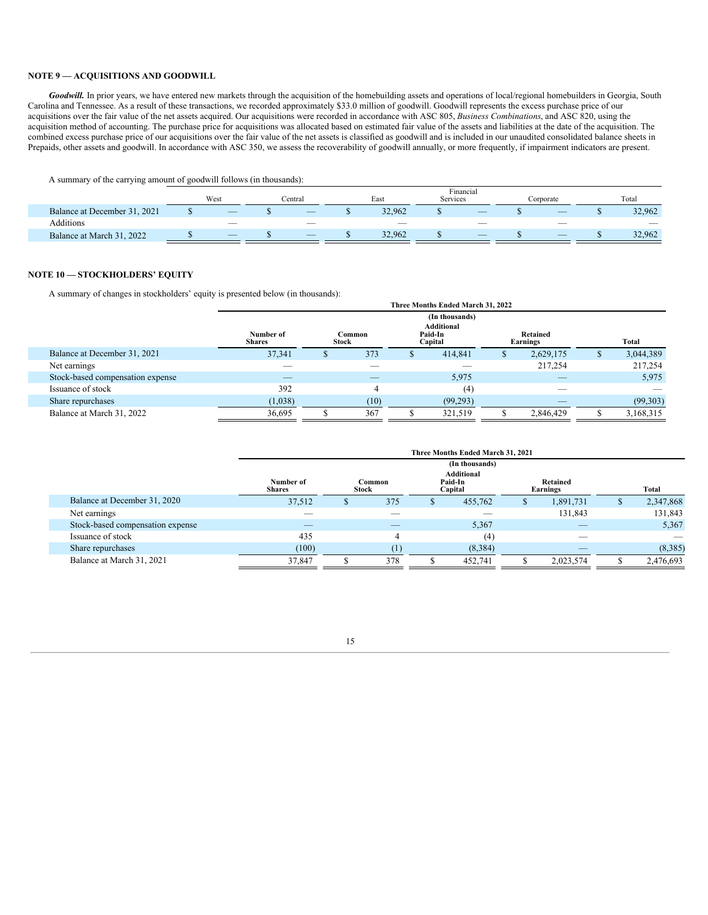# **NOTE 9 — ACQUISITIONS AND GOODWILL**

Goodwill. In prior years, we have entered new markets through the acquisition of the homebuilding assets and operations of local/regional homebuilders in Georgia, South Carolina and Tennessee. As a result of these transactions, we recorded approximately \$33.0 million of goodwill. Goodwill represents the excess purchase price of our acquisitions over the fair value of the net assets acquired. Our acquisitions were recorded in accordance with ASC 805, *Business Combinations*, and ASC 820, using the acquisition method of accounting. The purchase price for acquisitions was allocated based on estimated fair value of the assets and liabilities at the date of the acquisition. The combined excess purchase price of our acquisitions over the fair value of the net assets is classified as goodwill and is included in our unaudited consolidated balance sheets in Prepaids, other assets and goodwill. In accordance with ASC 350, we assess the recoverability of goodwill annually, or more frequently, if impairment indicators are present.

A summary of the carrying amount of goodwill follows (in thousands):

|                              | Financial                |         |                          |      |                          |          |                          |           |                          |       |        |
|------------------------------|--------------------------|---------|--------------------------|------|--------------------------|----------|--------------------------|-----------|--------------------------|-------|--------|
|                              | West                     | Central |                          | East |                          | Services |                          | Corporate |                          | Total |        |
| Balance at December 31, 2021 | $\overline{\phantom{a}}$ |         | $-$                      |      | 32,962                   |          | $\overline{\phantom{a}}$ |           | $\overline{\phantom{a}}$ |       | 32,962 |
| <b>Additions</b>             | $\overline{\phantom{a}}$ |         | $\overline{\phantom{a}}$ |      | $\overline{\phantom{a}}$ |          | $\sim$                   |           | $\sim$                   |       |        |
| Balance at March 31, 2022    | $\overline{\phantom{a}}$ |         | $\overline{\phantom{a}}$ |      | 32,962                   |          | $-$                      |           | $\overline{\phantom{a}}$ |       | 32,962 |

# **NOTE 10 — STOCKHOLDERS' EQUITY**

A summary of changes in stockholders' equity is presented below (in thousands):

| -<br>$\overline{\phantom{0}}$<br>- |                            | Three Months Ended March 31, 2022 |                |  |                                  |          |                          |  |           |  |
|------------------------------------|----------------------------|-----------------------------------|----------------|--|----------------------------------|----------|--------------------------|--|-----------|--|
|                                    |                            |                                   |                |  | (In thousands)                   |          |                          |  |           |  |
|                                    | Number of<br><b>Shares</b> | Stock                             | Common         |  | Additional<br>Paid-In<br>Capital |          | Retained<br>Earnings     |  | Total     |  |
| Balance at December 31, 2021       | 37.341                     |                                   | 373            |  | 414,841                          | <b>J</b> | 2,629,175                |  | 3,044,389 |  |
| Net earnings                       |                            |                                   |                |  |                                  |          | 217,254                  |  | 217,254   |  |
| Stock-based compensation expense   | _                          |                                   |                |  | 5,975                            |          |                          |  | 5,975     |  |
| Issuance of stock                  | 392                        |                                   | $\overline{4}$ |  | (4)                              |          | $\overline{\phantom{a}}$ |  |           |  |
| Share repurchases                  | (1,038)                    |                                   | (10)           |  | (99,293)                         |          |                          |  | (99,303)  |  |
| Balance at March 31, 2022          | 36,695                     |                                   | 367            |  | 321,519                          |          | 2,846,429                |  | 3,168,315 |  |

|                                  | Three Months Ended March 31, 2021 |              |        |  |                                  |   |                      |  |           |
|----------------------------------|-----------------------------------|--------------|--------|--|----------------------------------|---|----------------------|--|-----------|
|                                  |                                   |              |        |  | (In thousands)                   |   |                      |  |           |
|                                  | Number of<br><b>Shares</b>        | <b>Stock</b> | Common |  | Additional<br>Paid-In<br>Capital |   | Retained<br>Earnings |  | Total     |
| Balance at December 31, 2020     | 37,512                            |              | 375    |  | 455,762                          | ъ | 1,891,731            |  | 2,347,868 |
| Net earnings                     |                                   |              |        |  |                                  |   | 131,843              |  | 131,843   |
| Stock-based compensation expense |                                   |              |        |  | 5,367                            |   |                      |  | 5,367     |
| Issuance of stock                | 435                               |              | 4      |  | (4)                              |   | $\sim$               |  |           |
| Share repurchases                | (100)                             |              |        |  | (8,384)                          |   |                      |  | (8,385)   |
| Balance at March 31, 2021        | 37.847                            |              | 378    |  | 452.741                          |   | 2,023,574            |  | 2,476,693 |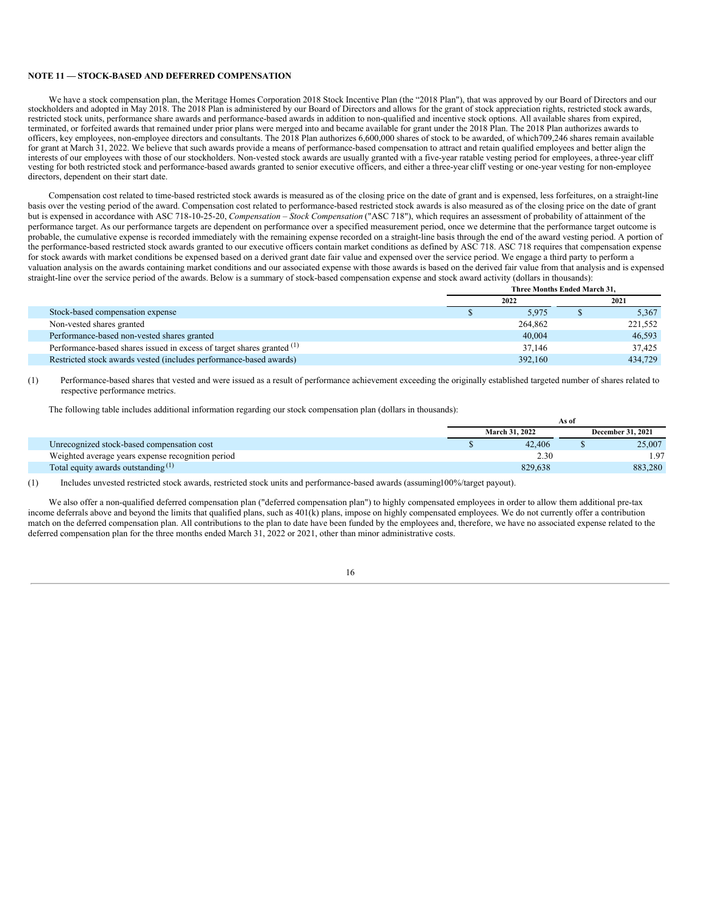#### **NOTE 11 — STOCK-BASED AND DEFERRED COMPENSATION**

We have a stock compensation plan, the Meritage Homes Corporation 2018 Stock Incentive Plan (the "2018 Plan"), that was approved by our Board of Directors and our stockholders and adopted in May 2018. The 2018 Plan is administered by our Board of Directors and allows for the grant of stock appreciation rights, restricted stock awards, restricted stock units, performance share awards and performance-based awards in addition to non-qualified and incentive stock options. All available shares from expired, terminated, or forfeited awards that remained under prior plans were merged into and became available for grant under the 2018 Plan. The 2018 Plan authorizes awards to officers, key employees, non-employee directors and consultants. The 2018 Plan authorizes 6,600,000 shares of stock to be awarded, of which709,246 shares remain available for grant at March 31, 2022. We believe that such awards provide a means of performance-based compensation to attract and retain qualified employees and better align the interests of our employees with those of our stockholders. Non-vested stock awards are usually granted with a five-year ratable vesting period for employees, a three-year cliff vesting for both restricted stock and performance-based awards granted to senior executive officers, and either a three-year cliff vesting or one-year vesting for non-employee directors, dependent on their start date.

Compensation cost related to time-based restricted stock awards is measured as of the closing price on the date of grant and is expensed, less forfeitures, on a straight-line basis over the vesting period of the award. Compensation cost related to performance-based restricted stock awards is also measured as of the closing price on the date of grant but is expensed in accordance with ASC 718-10-25-20, *Compensation – Stock Compensation* ("ASC 718"), which requires an assessment of probability of attainment of the performance target. As our performance targets are dependent on performance over a specified measurement period, once we determine that the performance target outcome is probable, the cumulative expense is recorded immediately with the remaining expense recorded on a straight-line basis through the end of the award vesting period. A portion of the performance-based restricted stock awards granted to our executive officers contain market conditions as defined by ASC 718. ASC 718 requires that compensation expense for stock awards with market conditions be expensed based on a derived grant date fair value and expensed over the service period. We engage a third party to perform a valuation analysis on the awards containing market conditions and our associated expense with those awards is based on the derived fair value from that analysis and is expensed straight-line over the service period of the awards. Below is a summary of stock-based compensation expense and stock award activity (dollars in thousands):

|                                                                                   | Three Months Ended March 31, |      |         |  |  |
|-----------------------------------------------------------------------------------|------------------------------|------|---------|--|--|
|                                                                                   | 2022                         | 2021 |         |  |  |
| Stock-based compensation expense                                                  | 5.975                        |      | 5,367   |  |  |
| Non-vested shares granted                                                         | 264,862                      |      | 221,552 |  |  |
| Performance-based non-vested shares granted                                       | 40,004                       |      | 46,593  |  |  |
| Performance-based shares issued in excess of target shares granted <sup>(1)</sup> | 37.146                       |      | 37.425  |  |  |
| Restricted stock awards vested (includes performance-based awards)                | 392,160                      |      | 434,729 |  |  |

(1) Performance-based shares that vested and were issued as a result of performance achievement exceeding the originally established targeted number of shares related to respective performance metrics.

The following table includes additional information regarding our stock compensation plan (dollars in thousands):

|                                                   | As of                 |                          |         |  |  |
|---------------------------------------------------|-----------------------|--------------------------|---------|--|--|
|                                                   | <b>March 31, 2022</b> | <b>December 31, 2021</b> |         |  |  |
| Unrecognized stock-based compensation cost        | 42,406                |                          | 25,007  |  |  |
| Weighted average years expense recognition period | 2.30                  |                          | .97     |  |  |
| Total equity awards outstanding $(1)$             | 829.638               |                          | 883.280 |  |  |

(1) Includes unvested restricted stock awards, restricted stock units and performance-based awards (assuming100%/target payout).

We also offer a non-qualified deferred compensation plan ("deferred compensation plan") to highly compensated employees in order to allow them additional pre-tax income deferrals above and beyond the limits that qualified plans, such as  $401(k)$  plans, impose on highly compensated employees. We do not currently offer a contribution match on the deferred compensation plan. All contributions to the plan to date have been funded by the employees and, therefore, we have no associated expense related to the deferred compensation plan for the three months ended March 31, 2022 or 2021, other than minor administrative costs.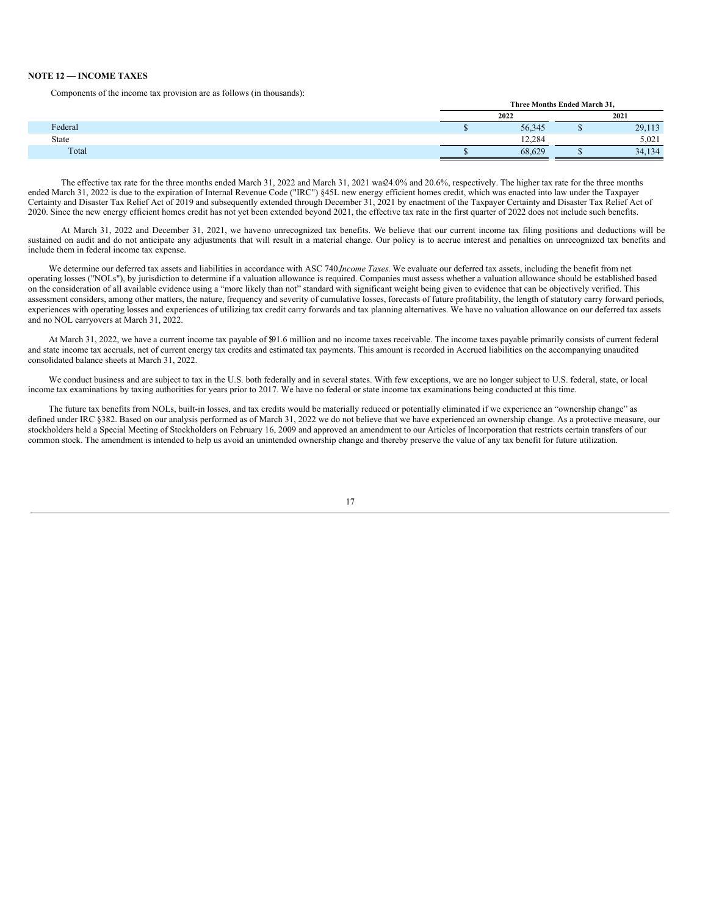#### **NOTE 12 — INCOME TAXES**

Components of the income tax provision are as follows (in thousands):

|         | Three Months Ended March 31, |      |        |  |
|---------|------------------------------|------|--------|--|
|         | 2022                         | 2021 |        |  |
| Federal | 56,345                       |      | 29,113 |  |
| State   | 12.284                       |      | 5.021  |  |
| Total   | 68,629                       |      | 34,134 |  |
|         |                              |      |        |  |

**Three Months Ended March 31,**

The effective tax rate for the three months ended March 31, 2022 and March 31, 2021 was24.0% and 20.6%, respectively. The higher tax rate for the three months ended March 31, 2022 is due to the expiration of Internal Revenue Code ("IRC") §45L new energy efficient homes credit, which was enacted into law under the Taxpayer Certainty and Disaster Tax Relief Act of 2019 and subsequently extended through December 31, 2021 by enactment of the Taxpayer Certainty and Disaster Tax Relief Act of 2020. Since the new energy efficient homes credit has not yet been extended beyond 2021, the effective tax rate in the first quarter of 2022 does not include such benefits.

At March 31, 2022 and December 31, 2021, we haveno unrecognized tax benefits. We believe that our current income tax filing positions and deductions will be sustained on audit and do not anticipate any adjustments that will result in a material change. Our policy is to accrue interest and penalties on unrecognized tax benefits and include them in federal income tax expense.

We determine our deferred tax assets and liabilities in accordance with ASC 740,*Income Taxes*. We evaluate our deferred tax assets, including the benefit from net operating losses ("NOLs"), by jurisdiction to determine if a valuation allowance is required. Companies must assess whether a valuation allowance should be established based on the consideration of all available evidence using a "more likely than not" standard with significant weight being given to evidence that can be objectively verified. This assessment considers, among other matters, the nature, frequency and severity of cumulative losses, forecasts of future profitability, the length of statutory carry forward periods, experiences with operating losses and experiences of utilizing tax credit carry forwards and tax planning alternatives. We have no valuation allowance on our deferred tax assets and no NOL carryovers at March 31, 2022.

At March 31, 2022, we have a current income tax payable of \$91.6 million and no income taxes receivable. The income taxes payable primarily consists of current federal and state income tax accruals, net of current energy tax credits and estimated tax payments. This amount is recorded in Accrued liabilities on the accompanying unaudited consolidated balance sheets at March 31, 2022.

We conduct business and are subject to tax in the U.S. both federally and in several states. With few exceptions, we are no longer subject to U.S. federal, state, or local income tax examinations by taxing authorities for years prior to 2017. We have no federal or state income tax examinations being conducted at this time.

The future tax benefits from NOLs, built-in losses, and tax credits would be materially reduced or potentially eliminated if we experience an "ownership change" as defined under IRC §382. Based on our analysis performed as of March 31, 2022 we do not believe that we have experienced an ownership change. As a protective measure, our stockholders held a Special Meeting of Stockholders on February 16, 2009 and approved an amendment to our Articles of Incorporation that restricts certain transfers of our common stock. The amendment is intended to help us avoid an unintended ownership change and thereby preserve the value of any tax benefit for future utilization.

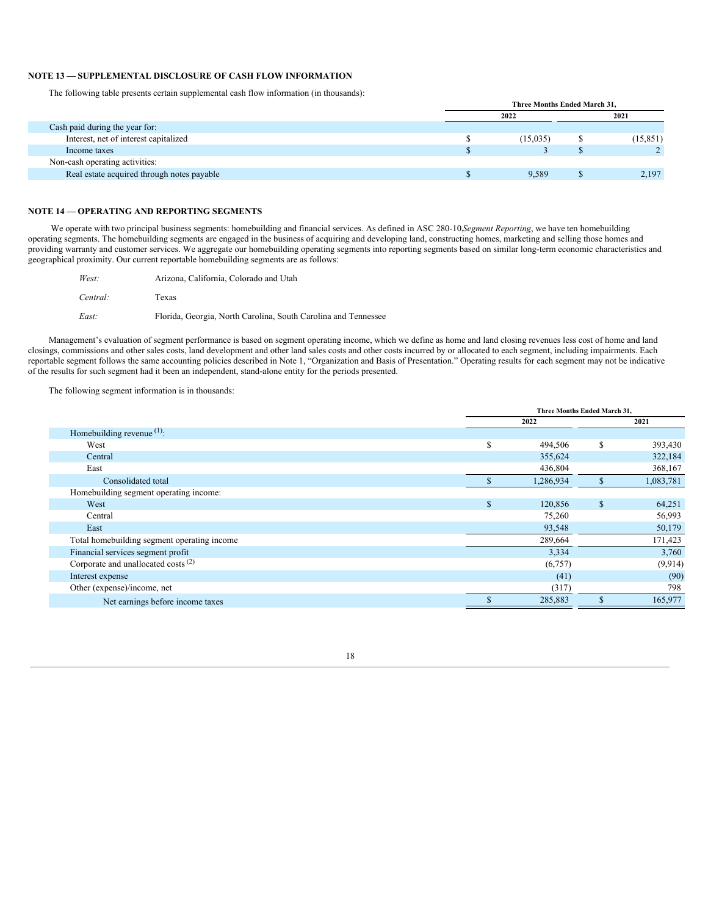### **NOTE 13 — SUPPLEMENTAL DISCLOSURE OF CASH FLOW INFORMATION**

The following table presents certain supplemental cash flow information (in thousands):

|                                            | Three Months Ended March 31. |          |  |           |
|--------------------------------------------|------------------------------|----------|--|-----------|
|                                            |                              | 2022     |  | 2021      |
| Cash paid during the year for:             |                              |          |  |           |
| Interest, net of interest capitalized      |                              | (15,035) |  | (15, 851) |
| Income taxes                               |                              |          |  |           |
| Non-cash operating activities:             |                              |          |  |           |
| Real estate acquired through notes payable |                              | 9.589    |  | 2.197     |
|                                            |                              |          |  |           |

### **NOTE 14 — OPERATING AND REPORTING SEGMENTS**

We operate with two principal business segments: homebuilding and financial services. As defined in ASC 280-10,*Segment Reporting*, we have ten homebuilding operating segments. The homebuilding segments are engaged in the business of acquiring and developing land, constructing homes, marketing and selling those homes and providing warranty and customer services. We aggregate our homebuilding operating segments into reporting segments based on similar long-term economic characteristics and geographical proximity. Our current reportable homebuilding segments are as follows:

| West:    | Arizona, California, Colorado and Utah                         |
|----------|----------------------------------------------------------------|
| Central: | Texas                                                          |
| East:    | Florida, Georgia, North Carolina, South Carolina and Tennessee |

Management's evaluation of segment performance is based on segment operating income, which we define as home and land closing revenues less cost of home and land closings, commissions and other sales costs, land development and other land sales costs and other costs incurred by or allocated to each segment, including impairments. Each reportable segment follows the same accounting policies described in Note 1, "Organization and Basis of Presentation." Operating results for each segment may not be indicative of the results for such segment had it been an independent, stand-alone entity for the periods presented.

The following segment information is in thousands:

|                                                |     | Three Months Ended March 31, |              |           |  |
|------------------------------------------------|-----|------------------------------|--------------|-----------|--|
|                                                |     | 2022                         |              | 2021      |  |
| Homebuilding revenue $(1)$ :                   |     |                              |              |           |  |
| West                                           | S   | 494,506                      | \$           | 393,430   |  |
| Central                                        |     | 355,624                      |              | 322,184   |  |
| East                                           |     | 436,804                      |              | 368,167   |  |
| Consolidated total                             |     | 1,286,934                    | \$           | 1,083,781 |  |
| Homebuilding segment operating income:         |     |                              |              |           |  |
| West                                           | \$. | 120,856                      | $\mathbb{S}$ | 64,251    |  |
| Central                                        |     | 75,260                       |              | 56,993    |  |
| East                                           |     | 93,548                       |              | 50,179    |  |
| Total homebuilding segment operating income    |     | 289,664                      |              | 171,423   |  |
| Financial services segment profit              |     | 3,334                        |              | 3,760     |  |
| Corporate and unallocated costs <sup>(2)</sup> |     | (6,757)                      |              | (9, 914)  |  |
| Interest expense                               |     | (41)                         |              | (90)      |  |
| Other (expense)/income, net                    |     | (317)                        |              | 798       |  |
| Net earnings before income taxes               |     | 285,883                      |              | 165,977   |  |
|                                                |     |                              |              |           |  |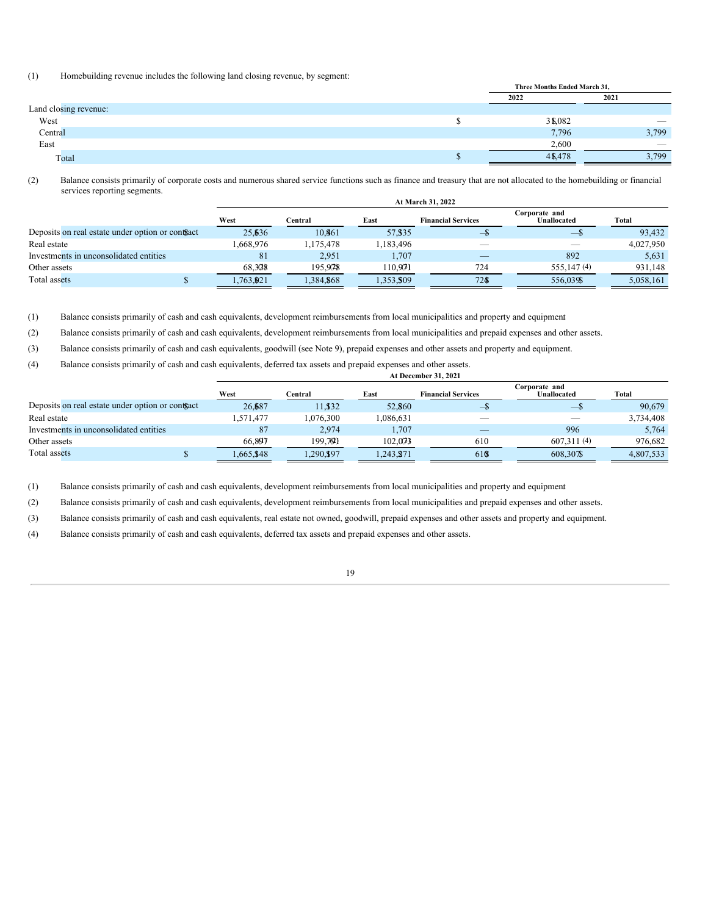### (1) Homebuilding revenue includes the following land closing revenue, by segment:

|                       |    | Three Months Ended March 31, |                                 |  |
|-----------------------|----|------------------------------|---------------------------------|--|
|                       |    | 2022                         | 2021                            |  |
| Land closing revenue: |    |                              |                                 |  |
| West                  |    | 3\$,082                      | $\hspace{0.1mm}-\hspace{0.1mm}$ |  |
| Central               |    | 7,796                        | 3,799                           |  |
| East                  |    | 2,600                        |                                 |  |
| Total                 | ٨D | 4\$478                       | 3,799                           |  |

(2) Balance consists primarily of corporate costs and numerous shared service functions such as finance and treasury that are not allocated to the homebuilding or financial services reporting segments.

|                                                  |           | At March 31, 2022 |           |                           |                                     |           |  |  |  |
|--------------------------------------------------|-----------|-------------------|-----------|---------------------------|-------------------------------------|-----------|--|--|--|
|                                                  | West      | ⊡entral           | East      | <b>Financial Services</b> | Corporate and<br><b>Unallocated</b> | Total     |  |  |  |
| Deposits on real estate under option or contract | 25.636    | 10.861            | 57, \$35  |                           | $\sim$                              | 93.432    |  |  |  |
| Real estate                                      | 1.668.976 | ,175,478          | 1,183,496 |                           |                                     | 4,027,950 |  |  |  |
| Investments in unconsolidated entities           | 81        | 2.951             | 1,707     |                           | 892                                 | 5,631     |  |  |  |
| Other assets                                     | 68.3028   | 195.978           | 110.971   | 724                       | 555, 147 (4)                        | 931.148   |  |  |  |
| Total assets                                     | 1,763,921 | 1,384,868         | 1,353,509 | 724                       | 556,039\$                           | 5,058,161 |  |  |  |

(1) Balance consists primarily of cash and cash equivalents, development reimbursements from local municipalities and property and equipmen.t

(2) Balance consists primarily of cash and cash equivalents, development reimbursements from local municipalities and prepaid expenses and other assets.

(3) Balance consists primarily of cash and cash equivalents, goodwill (see Note 9), prepaid expenses and other assets and property and equipment.

(4) Balance consists primarily of cash and cash equivalents, deferred tax assets and prepaid expenses and other assets. **At December 31, 2021**

|                                                  | West      | ⊡entral  | East      | <b>Financial Services</b> | Corporate and<br><b>Unallocated</b> | Total     |
|--------------------------------------------------|-----------|----------|-----------|---------------------------|-------------------------------------|-----------|
| Deposits on real estate under option or contract | 26.687    | 11.832   | 52,860    |                           | $\overline{\phantom{0}}$            | 90,679    |
| Real estate                                      | .571.477  | .076.300 | 1.086.631 | __                        |                                     | 3.734.408 |
| Investments in unconsolidated entities           | 87        | 2.974    | 1,707     | _                         | 996                                 | 5,764     |
| Other assets                                     | 66.807    | 199.791  | 102.073   | 610                       | 607.311(4)                          | 976,682   |
| Total assets                                     | 1.665.848 | .290.897 | 1,243,871 | 616                       | 608.307\$                           | 4.807.533 |

(1) Balance consists primarily of cash and cash equivalents, development reimbursements from local municipalities and property and equipmen.t

(2) Balance consists primarily of cash and cash equivalents, development reimbursements from local municipalities and prepaid expenses and other assets.

(3) Balance consists primarily of cash and cash equivalents, real estate not owned, goodwill, prepaid expenses and other assets and property and equipment.

(4) Balance consists primarily of cash and cash equivalents, deferred tax assets and prepaid expenses and other assets.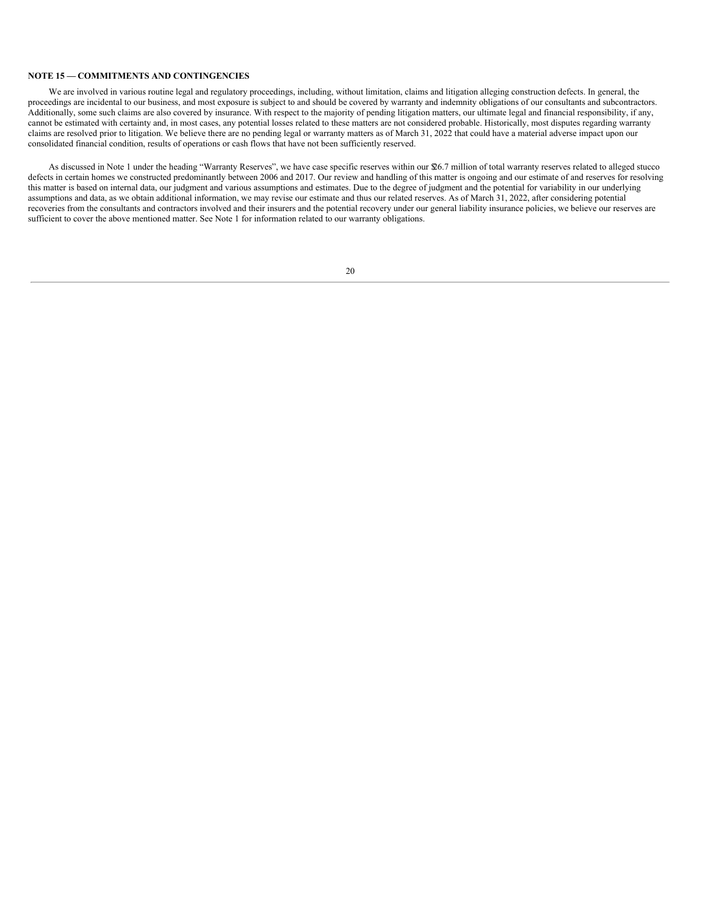#### **NOTE 15 — COMMITMENTS AND CONTINGENCIES**

We are involved in various routine legal and regulatory proceedings, including, without limitation, claims and litigation alleging construction defects. In general, the proceedings are incidental to our business, and most exposure is subject to and should be covered by warranty and indemnity obligations of our consultants and subcontractors. Additionally, some such claims are also covered by insurance. With respect to the majority of pending litigation matters, our ultimate legal and financial responsibility, if any, cannot be estimated with certainty and, in most cases, any potential losses related to these matters are not considered probable. Historically, most disputes regarding warranty claims are resolved prior to litigation. We believe there are no pending legal or warranty matters as of March 31, 2022 that could have a material adverse impact upon our consolidated financial condition, results of operations or cash flows that have not been sufficiently reserved.

As discussed in Note 1 under the heading "Warranty Reserves", we have case specific reserves within our \$26.7 million of total warranty reserves related to alleged stucco defects in certain homes we constructed predominantly between 2006 and 2017. Our review and handling of this matter is ongoing and our estimate of and reserves for resolving this matter is based on internal data, our judgment and various assumptions and estimates. Due to the degree of judgment and the potential for variability in our underlying assumptions and data, as we obtain additional information, we may revise our estimate and thus our related reserves. As of March 31, 2022, after considering potential recoveries from the consultants and contractors involved and their insurers and the potential recovery under our general liability insurance policies, we believe our reserves are sufficient to cover the above mentioned matter. See Note 1 for information related to our warranty obligations.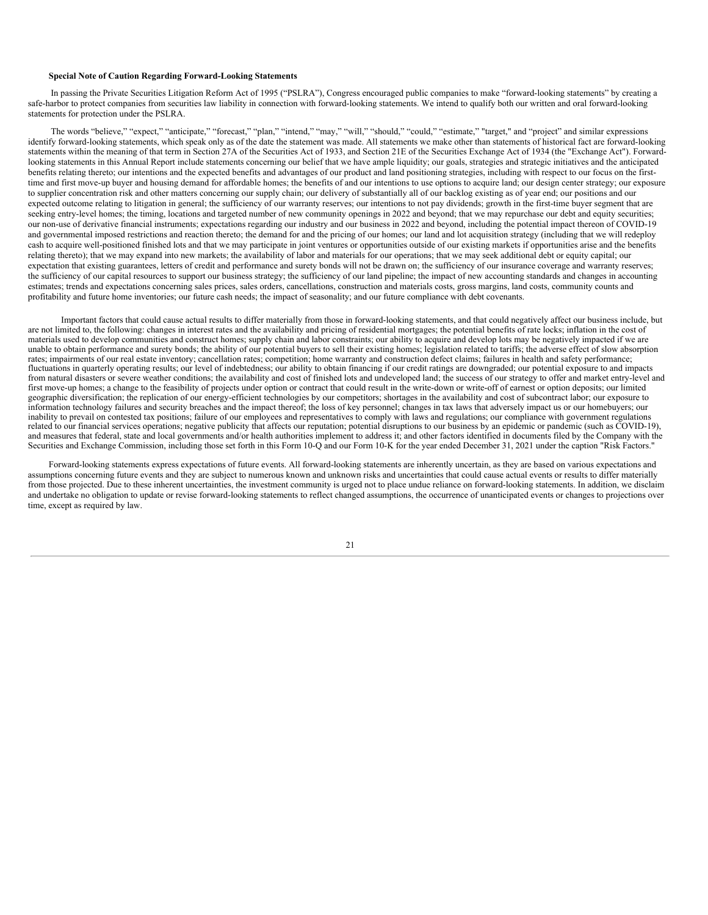#### **Special Note of Caution Regarding Forward-Looking Statements**

In passing the Private Securities Litigation Reform Act of 1995 ("PSLRA"), Congress encouraged public companies to make "forward-looking statements" by creating a safe-harbor to protect companies from securities law liability in connection with forward-looking statements. We intend to qualify both our written and oral forward-looking statements for protection under the PSLRA.

The words "believe," "expect," "anticipate," "forecast," "plan," "intend," "may," "will," "should," "could," "estimate," "target," and "project" and similar expressions identify forward-looking statements, which speak only as of the date the statement was made. All statements we make other than statements of historical fact are forward-looking statements within the meaning of that term in Section 27A of the Securities Act of 1933, and Section 21E of the Securities Exchange Act of 1934 (the "Exchange Act"). Forwardlooking statements in this Annual Report include statements concerning our belief that we have ample liquidity; our goals, strategies and strategic initiatives and the anticipated benefits relating thereto; our intentions and the expected benefits and advantages of our product and land positioning strategies, including with respect to our focus on the firsttime and first move-up buyer and housing demand for affordable homes; the benefits of and our intentions to use options to acquire land; our design center strategy; our exposure to supplier concentration risk and other matters concerning our supply chain; our delivery of substantially all of our backlog existing as of year end; our positions and our expected outcome relating to litigation in general; the sufficiency of our warranty reserves; our intentions to not pay dividends; growth in the first-time buyer segment that are seeking entry-level homes; the timing, locations and targeted number of new community openings in 2022 and beyond; that we may repurchase our debt and equity securities; our non-use of derivative financial instruments; expectations regarding our industry and our business in 2022 and beyond, including the potential impact thereon of COVID-19 and governmental imposed restrictions and reaction thereto; the demand for and the pricing of our homes; our land and lot acquisition strategy (including that we will redeploy cash to acquire well-positioned finished lots and that we may participate in joint ventures or opportunities outside of our existing markets if opportunities arise and the benefits relating thereto); that we may expand into new markets; the availability of labor and materials for our operations; that we may seek additional debt or equity capital; our expectation that existing guarantees, letters of credit and performance and surety bonds will not be drawn on; the sufficiency of our insurance coverage and warranty reserves; the sufficiency of our capital resources to support our business strategy; the sufficiency of our land pipeline; the impact of new accounting standards and changes in accounting estimates; trends and expectations concerning sales prices, sales orders, cancellations, construction and materials costs, gross margins, land costs, community counts and profitability and future home inventories; our future cash needs; the impact of seasonality; and our future compliance with debt covenants.

Important factors that could cause actual results to differ materially from those in forward-looking statements, and that could negatively affect our business include, but are not limited to, the following: changes in interest rates and the availability and pricing of residential mortgages; the potential benefits of rate locks; inflation in the cost of materials used to develop communities and construct homes; supply chain and labor constraints; our ability to acquire and develop lots may be negatively impacted if we are unable to obtain performance and surety bonds; the ability of our potential buyers to sell their existing homes; legislation related to tariffs; the adverse effect of slow absorption rates; impairments of our real estate inventory; cancellation rates; competition; home warranty and construction defect claims; failures in health and safety performance; fluctuations in quarterly operating results; our level of indebtedness; our ability to obtain financing if our credit ratings are downgraded; our potential exposure to and impacts from natural disasters or severe weather conditions; the availability and cost of finished lots and undeveloped land; the success of our strategy to offer and market entry-level and first move-up homes; a change to the feasibility of projects under option or contract that could result in the write-down or write-off of earnest or option deposits; our limited geographic diversification; the replication of our energy-efficient technologies by our competitors; shortages in the availability and cost of subcontract labor; our exposure to information technology failures and security breaches and the impact thereof; the loss of key personnel; changes in tax laws that adversely impact us or our homebuyers; our inability to prevail on contested tax positions; failure of our employees and representatives to comply with laws and regulations; our compliance with government regulations related to our financial services operations; negative publicity that affects our reputation; potential disruptions to our business by an epidemic or pandemic (such as COVID-19), and measures that federal, state and local governments and/or health authorities implement to address it; and other factors identified in documents filed by the Company with the Securities and Exchange Commission, including those set forth in this Form 10-Q and our Form 10-K for the year ended December 31, 2021 under the caption "Risk Factors."

Forward-looking statements express expectations of future events. All forward-looking statements are inherently uncertain, as they are based on various expectations and assumptions concerning future events and they are subject to numerous known and unknown risks and uncertainties that could cause actual events or results to differ materially from those projected. Due to these inherent uncertainties, the investment community is urged not to place undue reliance on forward-looking statements. In addition, we disclaim and undertake no obligation to update or revise forward-looking statements to reflect changed assumptions, the occurrence of unanticipated events or changes to projections over time, except as required by law.

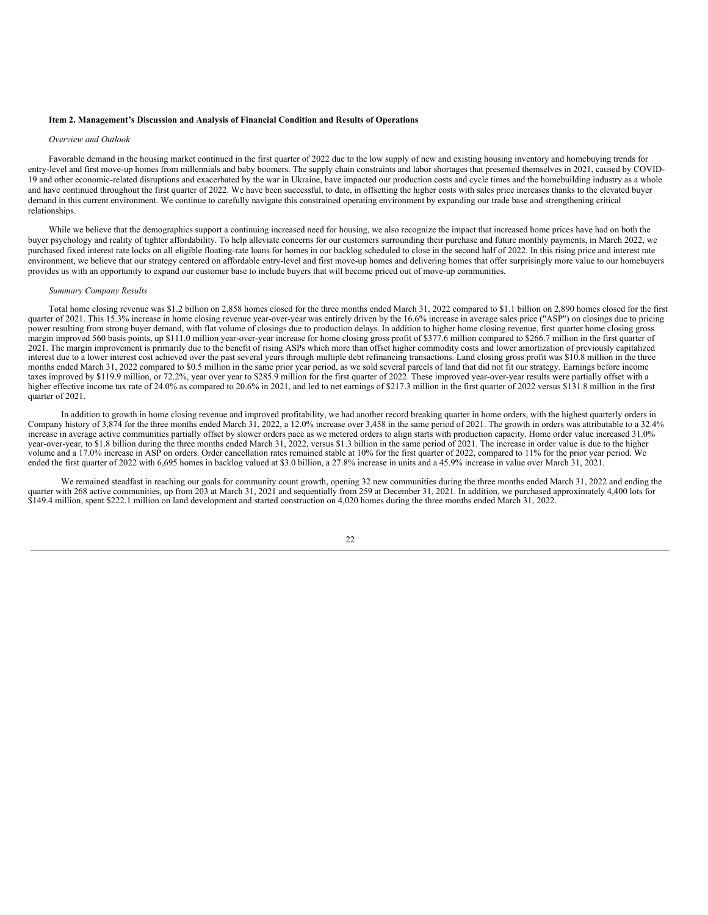#### <span id="page-21-1"></span><span id="page-21-0"></span>**Item 2. Management's Discussion and Analysis of Financial Condition and Results of Operations**

#### *Overview and Outlook*

Favorable demand in the housing market continued in the first quarter of 2022 due to the low supply of new and existing housing inventory and homebuying trends for entry-level and first move-up homes from millennials and baby boomers. The supply chain constraints and labor shortages that presented themselves in 2021, caused by COVID-19 and other economic-related disruptions and exacerbated by the war in Ukraine, have impacted our production costs and cycle times and the homebuilding industry as a whole and have continued throughout the first quarter of 2022. We have been successful, to date, in offsetting the higher costs with sales price increases thanks to the elevated buyer demand in this current environment. We continue to carefully navigate this constrained operating environment by expanding our trade base and strengthening critical relationships.

While we believe that the demographics support a continuing increased need for housing, we also recognize the impact that increased home prices have had on both the buyer psychology and reality of tighter affordability. To help alleviate concerns for our customers surrounding their purchase and future monthly payments, in March 2022, we purchased fixed interest rate locks on all eligible floating-rate loans for homes in our backlog scheduled to close in the second half of 2022. In this rising price and interest rate environment, we believe that our strategy centered on affordable entry-level and first move-up homes and delivering homes that offer surprisingly more value to our homebuyers provides us with an opportunity to expand our customer base to include buyers that will become priced out of move-up communities.

#### *Summary Company Results*

Total home closing revenue was \$1.2 billion on 2,858 homes closed for the three months ended March 31, 2022 compared to \$1.1 billion on 2,890 homes closed for the first quarter of 2021. This 15.3% increase in home closing revenue year-over-year was entirely driven by the 16.6% increase in average sales price ("ASP") on closings due to pricing power resulting from strong buyer demand, with flat volume of closings due to production delays. In addition to higher home closing revenue, first quarter home closing gross margin improved 560 basis points, up \$111.0 million year-over-year increase for home closing gross profit of \$377.6 million compared to \$266.7 million in the first quarter of 2021. The margin improvement is primarily due to the benefit of rising ASPs which more than offset higher commodity costs and lower amortization of previously capitalized interest due to a lower interest cost achieved over the past several years through multiple debt refinancing transactions. Land closing gross profit was \$10.8 million in the three months ended March 31, 2022 compared to \$0.5 million in the same prior year period, as we sold several parcels of land that did not fit our strategy. Earnings before income taxes improved by \$119.9 million, or 72.2%, year over year to \$285.9 million for the first quarter of 2022. These improved year-over-year results were partially offset with a higher effective income tax rate of 24.0% as compared to 20.6% in 2021, and led to net earnings of \$217.3 million in the first quarter of 2022 versus \$131.8 million in the first quarter of 2021.

In addition to growth in home closing revenue and improved profitability, we had another record breaking quarter in home orders, with the highest quarterly orders in Company history of 3,874 for the three months ended March 31, 2022, a 12.0% increase over 3,458 in the same period of 2021. The growth in orders was attributable to a 32.4% increase in average active communities partially offset by slower orders pace as we metered orders to align starts with production capacity. Home order value increased 31.0% year-over-year, to \$1.8 billion during the three months ended March 31, 2022, versus \$1.3 billion in the same period of 2021. The increase in order value is due to the higher volume and a 17.0% increase in ASP on orders. Order cancellation rates remained stable at 10% for the first quarter of 2022, compared to 11% for the prior year period. We ended the first quarter of 2022 with 6,695 homes in backlog valued at \$3.0 billion, a 27.8% increase in units and a 45.9% increase in value over March 31, 2021.

We remained steadfast in reaching our goals for community count growth, opening 32 new communities during the three months ended March 31, 2022 and ending the quarter with 268 active communities, up from 203 at March 31, 2021 and sequentially from 259 at December 31, 2021. In addition, we purchased approximately 4,400 lots for \$149.4 million, spent \$222.1 million on land development and started construction on 4,020 homes during the three months ended March 31, 2022.

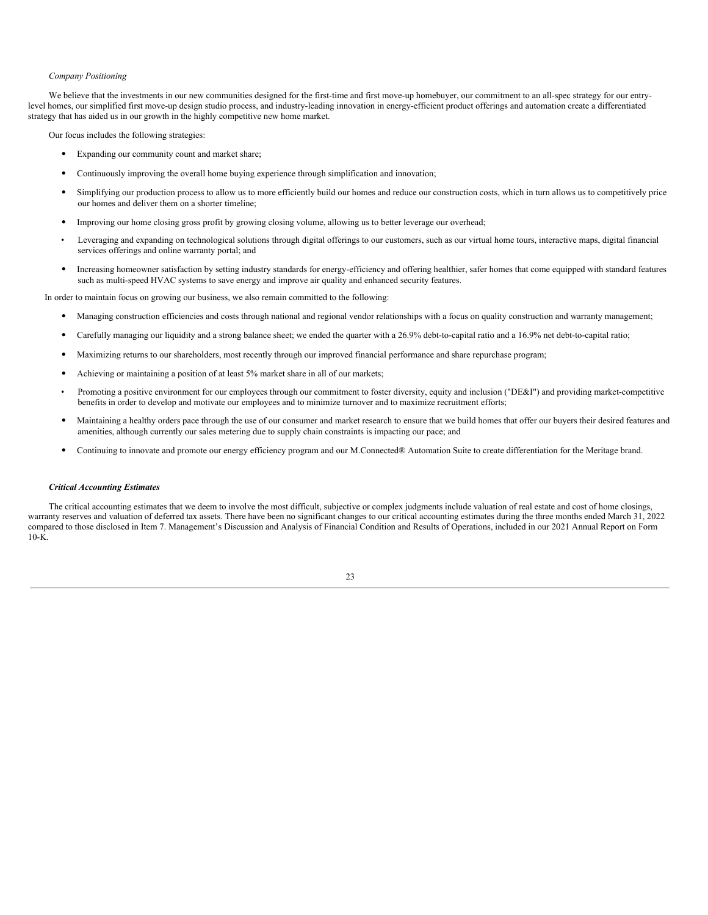#### *Company Positioning*

We believe that the investments in our new communities designed for the first-time and first move-up homebuyer, our commitment to an all-spec strategy for our entrylevel homes, our simplified first move-up design studio process, and industry-leading innovation in energy-efficient product offerings and automation create a differentiated strategy that has aided us in our growth in the highly competitive new home market.

Our focus includes the following strategies:

- Expanding our community count and market share;
- Continuously improving the overall home buying experience through simplification and innovation;
- Simplifying our production process to allow us to more efficiently build our homes and reduce our construction costs, which in turn allows us to competitively price our homes and deliver them on a shorter timeline;
- Improving our home closing gross profit by growing closing volume, allowing us to better leverage our overhead;
- Leveraging and expanding on technological solutions through digital offerings to our customers, such as our virtual home tours, interactive maps, digital financial services offerings and online warranty portal; and
- Increasing homeowner satisfaction by setting industry standards for energy-efficiency and offering healthier, safer homes that come equipped with standard features such as multi-speed HVAC systems to save energy and improve air quality and enhanced security features.

In order to maintain focus on growing our business, we also remain committed to the following:

- Managing construction efficiencies and costs through national and regional vendor relationships with a focus on quality construction and warranty management;
- Carefully managing our liquidity and a strong balance sheet; we ended the quarter with a 26.9% debt-to-capital ratio and a 16.9% net debt-to-capital ratio;
- Maximizing returns to our shareholders, most recently through our improved financial performance and share repurchase program;
- Achieving or maintaining a position of at least 5% market share in all of our markets;
- Promoting a positive environment for our employees through our commitment to foster diversity, equity and inclusion ("DE&I") and providing market-competitive benefits in order to develop and motivate our employees and to minimize turnover and to maximize recruitment efforts;
- Maintaining a healthy orders pace through the use of our consumer and market research to ensure that we build homes that offer our buyers their desired features and amenities, although currently our sales metering due to supply chain constraints is impacting our pace; and
- Continuing to innovate and promote our energy efficiency program and our M.Connected® Automation Suite to create differentiation for the Meritage brand.

#### *Critical Accounting Estimates*

The critical accounting estimates that we deem to involve the most difficult, subjective or complex judgments include valuation of real estate and cost of home closings, warranty reserves and valuation of deferred tax assets. There have been no significant changes to our critical accounting estimates during the three months ended March 31, 2022 compared to those disclosed in Item 7. Management's Discussion and Analysis of Financial Condition and Results of Operations, included in our 2021 Annual Report on Form 10-K.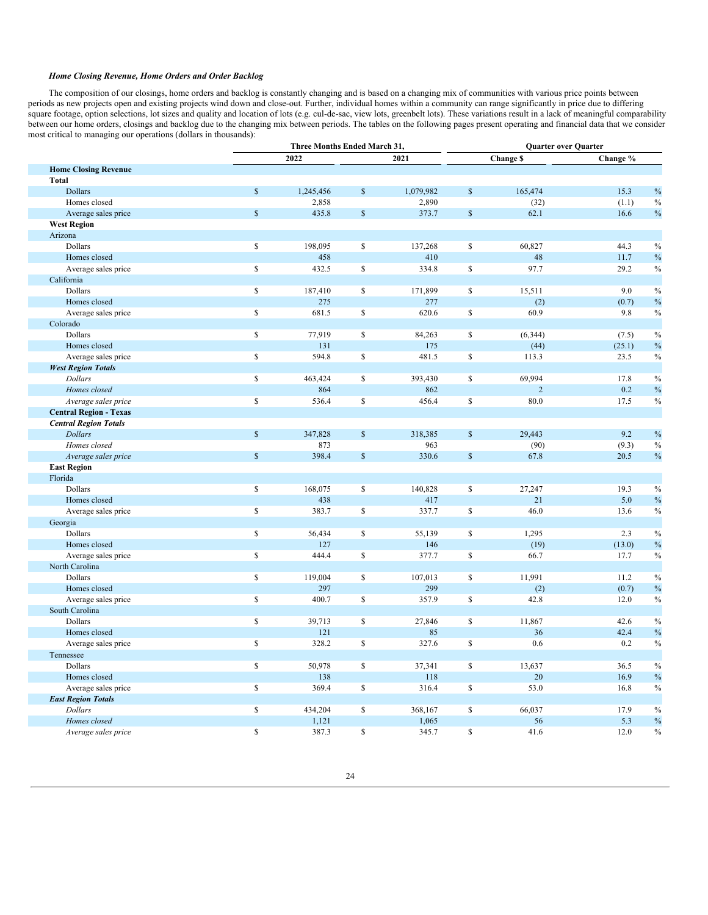#### *Home Closing Revenue, Home Orders and Order Backlog*

The composition of our closings, home orders and backlog is constantly changing and is based on a changing mix of communities with various price points between periods as new projects open and existing projects wind down and close-out. Further, individual homes within a community can range significantly in price due to differing square footage, option selections, lot sizes and quality and location of lots (e.g. cul-de-sac, view lots, greenbelt lots). These variations result in a lack of meaningful comparability square footage, option selections, l between our home orders, closings and backlog due to the changing mix between periods. The tables on the following pages present operating and financial data that we consider most critical to managing our operations (dollars in thousands):

|                               |              | Three Months Ended March 31, |              |           | Quarter over Quarter |                |          |               |
|-------------------------------|--------------|------------------------------|--------------|-----------|----------------------|----------------|----------|---------------|
|                               |              | 2022                         |              | 2021      |                      | Change \$      | Change % |               |
| <b>Home Closing Revenue</b>   |              |                              |              |           |                      |                |          |               |
| <b>Total</b>                  |              |                              |              |           |                      |                |          |               |
| <b>Dollars</b>                | $\mathbb{S}$ | 1,245,456                    | $\mathbb{S}$ | 1,079,982 | $\mathbb{S}$         | 165,474        | 15.3     | $\%$          |
| Homes closed                  |              | 2,858                        |              | 2,890     |                      | (32)           | (1.1)    | $\%$          |
| Average sales price           | $\mathbf S$  | 435.8                        | $\mathbb{S}$ | 373.7     | $\mathbb{S}$         | 62.1           | 16.6     | $\%$          |
| <b>West Region</b>            |              |                              |              |           |                      |                |          |               |
| Arizona                       |              |                              |              |           |                      |                |          |               |
| Dollars                       | \$           | 198,095                      | $\mathbb S$  | 137,268   | \$                   | 60,827         | 44.3     | $\%$          |
| Homes closed                  |              | 458                          |              | 410       |                      | 48             | 11.7     | $\%$          |
| Average sales price           | $\mathbb{S}$ | 432.5                        | $\mathbb S$  | 334.8     | \$                   | 97.7           | 29.2     | $\%$          |
| California                    |              |                              |              |           |                      |                |          |               |
| Dollars                       | \$           | 187,410                      | S            | 171,899   | \$                   | 15,511         | 9.0      | $\%$          |
| Homes closed                  |              | 275                          |              | 277       |                      | (2)            | (0.7)    | $\%$          |
| Average sales price           | $\mathbb{S}$ | 681.5                        | $\mathbb S$  | 620.6     | \$                   | 60.9           | 9.8      | $\%$          |
| Colorado                      |              |                              |              |           |                      |                |          |               |
| Dollars                       | $\mathbb{S}$ | 77,919                       | $\mathbb S$  | 84,263    | \$                   | (6, 344)       | (7.5)    | $\%$          |
| Homes closed                  |              | 131                          |              | 175       |                      | (44)           | (25.1)   | $\%$          |
| Average sales price           | \$           | 594.8                        | \$           | 481.5     | \$                   | 113.3          | 23.5     | $\%$          |
| <b>West Region Totals</b>     |              |                              |              |           |                      |                |          |               |
| <b>Dollars</b>                | $\mathbb{S}$ | 463,424                      | $\mathbb S$  | 393,430   | \$                   | 69,994         | 17.8     | $\frac{0}{0}$ |
| Homes closed                  |              | 864                          |              | 862       |                      | $\overline{2}$ | 0.2      | $\%$          |
| Average sales price           | $\mathbb{S}$ | 536.4                        | $\mathbb S$  | 456.4     | \$                   | 80.0           | 17.5     | $\%$          |
| <b>Central Region - Texas</b> |              |                              |              |           |                      |                |          |               |
| <b>Central Region Totals</b>  |              |                              |              |           |                      |                |          |               |
| <b>Dollars</b>                | $\mathbb{S}$ | 347,828                      | $\mathbb{S}$ | 318,385   | $\mathbb{S}$         | 29,443         | 9.2      | $\%$          |
| Homes closed                  |              | 873                          |              | 963       |                      | (90)           | (9.3)    | $\%$          |
| Average sales price           | $\mathbb{S}$ | 398.4                        | $\mathbb S$  | 330.6     | $\mathbb S$          | 67.8           | 20.5     | $\%$          |
| <b>East Region</b>            |              |                              |              |           |                      |                |          |               |
| Florida                       |              |                              |              |           |                      |                |          |               |
| Dollars                       | \$           | 168,075                      | $\mathbb S$  | 140,828   | \$                   | 27,247         | 19.3     | $\%$          |
| Homes closed                  |              | 438                          |              | 417       |                      | 21             | 5.0      | $\%$          |
| Average sales price           | $\mathbb{S}$ | 383.7                        | $\mathbb S$  | 337.7     | \$                   | 46.0           | 13.6     | $\%$          |
| Georgia                       |              |                              |              |           |                      |                |          |               |
| Dollars                       | \$           | 56,434                       | \$           | 55,139    | \$                   | 1,295          | 2.3      | $\%$          |
| Homes closed                  |              | 127                          |              | 146       |                      | (19)           | (13.0)   | $\%$          |
| Average sales price           | \$           | 444.4                        | $\mathbb{S}$ | 377.7     | \$                   | 66.7           | 17.7     | $\%$          |
| North Carolina                |              |                              |              |           |                      |                |          |               |
| Dollars                       | \$           | 119,004                      | $\mathbb S$  | 107,013   | \$                   | 11,991         | 11.2     | $\%$          |
| Homes closed                  |              | 297                          |              | 299       |                      | (2)            | (0.7)    | $\%$          |
| Average sales price           | $\mathbb{S}$ | 400.7                        | $\mathbb{S}$ | 357.9     | \$                   | 42.8           | 12.0     | $\%$          |
| South Carolina                |              |                              |              |           |                      |                |          |               |
| Dollars                       | \$           | 39,713                       | $\mathbb{S}$ | 27,846    | \$                   | 11,867         | 42.6     | $\%$          |
| Homes closed                  |              | 121                          |              | 85        |                      | 36             | 42.4     | $\%$          |
| Average sales price           | \$           | 328.2                        | $\mathbb S$  | 327.6     | \$                   | 0.6            | 0.2      | $\%$          |
| Tennessee                     |              |                              |              |           |                      |                |          |               |
| Dollars                       | \$           | 50,978                       | S            | 37,341    | \$                   | 13,637         | 36.5     | $\%$          |
| Homes closed                  |              | 138                          |              | 118       |                      | 20             | 16.9     | $\%$          |
| Average sales price           | $\mathbb{S}$ | 369.4                        | $\mathbb{S}$ | 316.4     | \$                   | 53.0           | 16.8     | $\%$          |
| <b>East Region Totals</b>     |              |                              |              |           |                      |                |          |               |
| <b>Dollars</b>                | \$           | 434,204                      | $\mathbb S$  | 368,167   | \$                   | 66,037         | 17.9     | $\%$          |
| Homes closed                  |              | 1,121                        |              | 1,065     |                      | 56             | 5.3      | $\%$          |
| Average sales price           | $\mathbb{S}$ | 387.3                        | $\mathsf S$  | 345.7     | $\mathsf{\$}$        | 41.6           | 12.0     | $\%$          |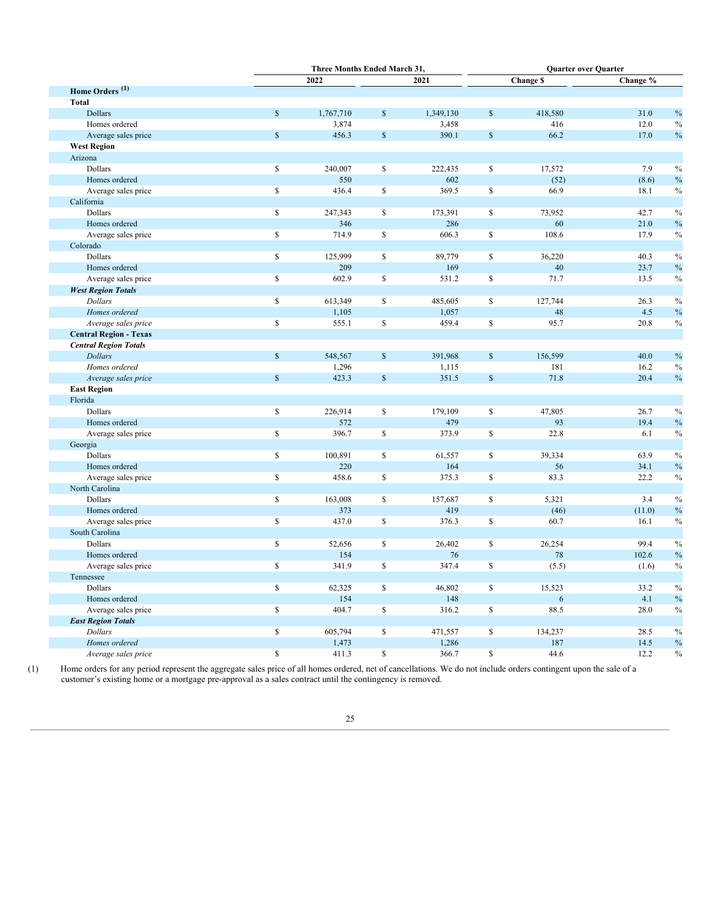|                               |              | Three Months Ended March 31. |              |           | <b>Quarter over Quarter</b> |                  |          |
|-------------------------------|--------------|------------------------------|--------------|-----------|-----------------------------|------------------|----------|
|                               |              | 2022                         |              | 2021      |                             | <b>Change \$</b> | Change % |
| Home Orders <sup>(1)</sup>    |              |                              |              |           |                             |                  |          |
| <b>Total</b>                  |              |                              |              |           |                             |                  |          |
| Dollars                       | $\mathbb{S}$ | 1,767,710                    | \$           | 1,349,130 | $\mathbb{S}$                | 418,580          | 31.0     |
| Homes ordered                 |              | 3,874                        |              | 3,458     |                             | 416              | 12.0     |
| Average sales price           | $\mathbb{S}$ | 456.3                        | \$           | 390.1     | $\mathbb S$                 | 66.2             | 17.0     |
| <b>West Region</b>            |              |                              |              |           |                             |                  |          |
| Arizona                       |              |                              |              |           |                             |                  |          |
| Dollars                       | $\mathbb{S}$ | 240,007                      | \$           | 222,435   | \$                          | 17,572           | 7.9      |
| Homes ordered                 |              | 550                          |              | 602       |                             | (52)             | (8.6)    |
| Average sales price           | $\mathbf S$  | 436.4                        | \$           | 369.5     | $\mathbb{S}$                | 66.9             | 18.1     |
| California                    |              |                              |              |           |                             |                  |          |
| Dollars                       | $\mathbb{S}$ | 247,343                      | \$           | 173,391   | $\mathbb{S}$                | 73,952           | 42.7     |
| Homes ordered                 |              | 346                          |              | 286       |                             | 60               | 21.0     |
| Average sales price           | \$           | 714.9                        | \$           | 606.3     | \$                          | 108.6            | 17.9     |
| Colorado                      |              |                              |              |           |                             |                  |          |
| Dollars                       | $\mathbb{S}$ | 125,999                      | \$           | 89,779    | \$                          | 36,220           | 40.3     |
| Homes ordered                 |              | 209                          |              | 169       |                             | 40               | 23.7     |
| Average sales price           | $\mathbb{S}$ | 602.9                        | \$           | 531.2     | $\mathbb{S}$                | 71.7             | 13.5     |
| <b>West Region Totals</b>     |              |                              |              |           |                             |                  |          |
| Dollars                       | $\mathbb{S}$ | 613,349                      | \$           | 485,605   | \$                          | 127,744          | 26.3     |
| Homes ordered                 |              | 1,105                        |              | 1,057     |                             | 48               | 4.5      |
| Average sales price           | \$           | 555.1                        | \$           | 459.4     | $\mathbb S$                 | 95.7             | 20.8     |
| <b>Central Region - Texas</b> |              |                              |              |           |                             |                  |          |
| <b>Central Region Totals</b>  |              |                              |              |           |                             |                  |          |
| <b>Dollars</b>                | $\mathbb{S}$ | 548,567                      | $\mathbb{S}$ | 391,968   | $\mathbb{S}$                | 156,599          | 40.0     |
| Homes ordered                 |              | 1,296                        |              | 1,115     |                             | 181              | 16.2     |
| Average sales price           | $\mathbb S$  | 423.3                        | $\mathbb{S}$ | 351.5     | $\mathbb{S}$                | 71.8             | 20.4     |
| <b>East Region</b>            |              |                              |              |           |                             |                  |          |
| Florida                       |              |                              |              |           |                             |                  |          |
| Dollars                       | \$           | 226,914                      | \$           | 179,109   | $\mathbb{S}$                | 47,805           | 26.7     |
| Homes ordered                 |              | 572                          |              | 479       |                             | 93               | 19.4     |
| Average sales price           | \$           | 396.7                        | \$           | 373.9     | \$                          | 22.8             | 6.1      |
| Georgia                       |              |                              |              |           |                             |                  |          |
| Dollars                       | \$           | 100,891                      | \$           | 61,557    | \$                          | 39,334           | 63.9     |
| Homes ordered                 |              | 220                          |              | 164       |                             | 56               | 34.1     |
| Average sales price           | \$           | 458.6                        | \$           | 375.3     | $\mathbb{S}$                | 83.3             | 22.2     |
| North Carolina                |              |                              |              |           |                             |                  |          |
| Dollars                       | \$           | 163,008                      | \$           | 157,687   | \$                          | 5,321            | 3.4      |
| Homes ordered                 |              | 373                          |              | 419       |                             | (46)             | (11.0)   |
| Average sales price           | \$           | 437.0                        | \$           | 376.3     | \$                          | 60.7             | 16.1     |
| South Carolina                |              |                              |              |           |                             |                  |          |
| Dollars                       | \$           | 52,656                       | \$           | 26,402    | \$                          | 26,254           | 99.4     |
| Homes ordered                 |              | 154                          |              | 76        |                             | 78               | 102.6    |
| Average sales price           | \$           | 341.9                        | \$           | 347.4     | \$                          | (5.5)            | (1.6)    |
| Tennessee                     |              |                              |              |           |                             |                  |          |
| Dollars                       | \$           | 62,325                       | \$           | 46,802    | \$                          | 15,523           | 33.2     |
| Homes ordered                 |              | 154                          |              | 148       |                             | 6                | 4.1      |
| Average sales price           | \$           | 404.7                        | \$           | 316.2     | $\mathbb{S}$                | 88.5             | 28.0     |
| <b>East Region Totals</b>     |              |                              |              |           |                             |                  |          |
| <b>Dollars</b>                | $\mathbb{S}$ | 605,794                      | \$           | 471,557   | \$                          | 134,237          | 28.5     |
| Homes ordered                 |              | 1,473                        |              | 1,286     |                             | 187              | 14.5     |
| Average sales price           | $\mathbb{S}$ | 411.3                        | \$           | 366.7     | $\mathbb{S}$                | 44.6             | 12.2     |
|                               |              |                              |              |           |                             |                  |          |

(1) Home orders for any period represent the aggregate sales price of all homes ordered, net of cancellations. We do not include orders contingent upon the sale of a customer's existing home or a mortgage pre-approval as a sales contract until the contingency is removed.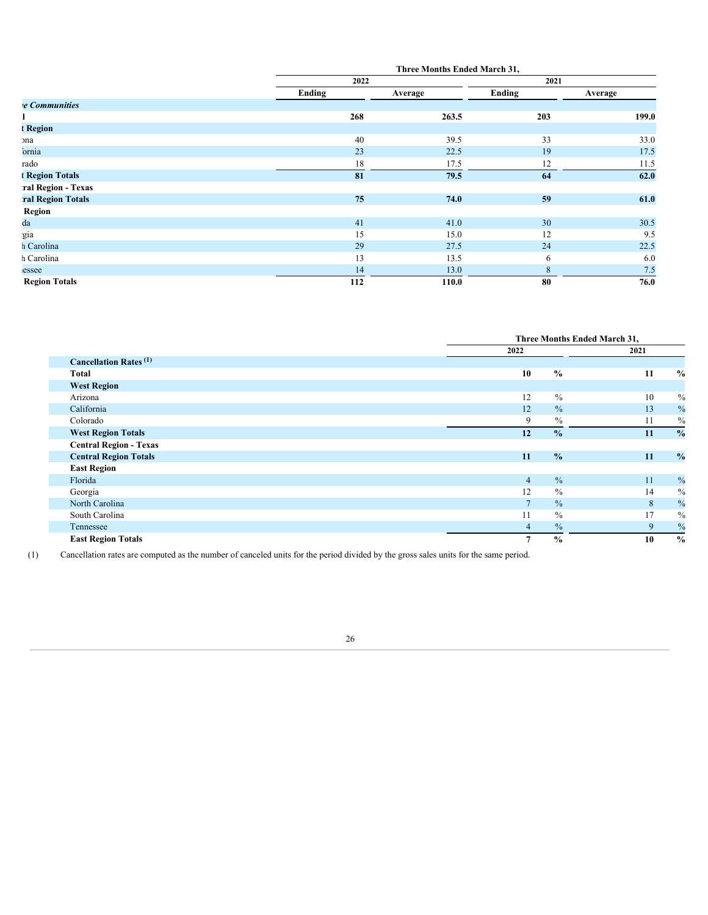|                             |        | Three Months Ended March 31, |             |         |  |  |
|-----------------------------|--------|------------------------------|-------------|---------|--|--|
|                             | 2022   |                              | 2021        |         |  |  |
|                             | Ending | Average                      | Ending      | Average |  |  |
| <b><i>e</i></b> Communities |        |                              |             |         |  |  |
|                             | 268    | 263.5                        | 203         | 199.0   |  |  |
| <b>Region</b>               |        |                              |             |         |  |  |
| <sub>Ina</sub>              | 40     | 39.5                         | 33          | 33.0    |  |  |
| ornia                       | 23     | 22.5                         | 19          | 17.5    |  |  |
| rado                        | 18     | 17.5                         | 12          | 11.5    |  |  |
| <b>Region Totals</b>        | 81     | 79.5                         | 64          | 62.0    |  |  |
| ral Region - Texas          |        |                              |             |         |  |  |
| ral Region Totals           | 75     | 74.0                         | 59          | 61.0    |  |  |
| Region                      |        |                              |             |         |  |  |
| da                          | 41     | 41.0                         | 30          | 30.5    |  |  |
| gia                         | 15     | 15.0                         | 12          | 9.5     |  |  |
| n Carolina                  | 29     | 27.5                         | 24          | 22.5    |  |  |
| n Carolina                  | 13     | 13.5                         | 6           | 6.0     |  |  |
| essee                       | 14     | 13.0                         | $\,$ 8 $\,$ | 7.5     |  |  |
| <b>Region Totals</b>        | 112    | 110.0                        | 80          | 76.0    |  |  |

|                                          |                 | Three Months Ended March 31, |    |               |  |
|------------------------------------------|-----------------|------------------------------|----|---------------|--|
|                                          | 2022            |                              |    |               |  |
| <b>Cancellation Rates</b> <sup>(1)</sup> |                 |                              |    |               |  |
| Total                                    | 10              | $\frac{0}{0}$                | 11 | $\frac{0}{0}$ |  |
| <b>West Region</b>                       |                 |                              |    |               |  |
| Arizona                                  | 12              | $\frac{0}{0}$                | 10 | $\frac{0}{0}$ |  |
| California                               | 12              | $\frac{0}{0}$                | 13 | $\frac{0}{0}$ |  |
| Colorado                                 | 9               | $\frac{0}{0}$                | 11 | $\frac{0}{0}$ |  |
| <b>West Region Totals</b>                | 12              | $\frac{0}{0}$                | 11 | $\frac{0}{0}$ |  |
| <b>Central Region - Texas</b>            |                 |                              |    |               |  |
| <b>Central Region Totals</b>             | 11              | $\frac{0}{0}$                | 11 | $\frac{0}{0}$ |  |
| <b>East Region</b>                       |                 |                              |    |               |  |
| Florida                                  | $\overline{4}$  | $\frac{0}{0}$                | 11 | $\frac{0}{0}$ |  |
| Georgia                                  | 12              | $\frac{0}{0}$                | 14 | $\frac{0}{0}$ |  |
| North Carolina                           | $7\phantom{.0}$ | $\frac{0}{0}$                | 8  | $\frac{0}{0}$ |  |
| South Carolina                           | 11              | $\frac{0}{0}$                | 17 | $\frac{0}{0}$ |  |
| Tennessee                                | $\overline{4}$  | $\%$                         | 9  | $\frac{0}{0}$ |  |
| <b>East Region Totals</b>                | $\overline{7}$  | $\frac{0}{0}$                | 10 | $\frac{0}{0}$ |  |

(1) Cancellation rates are computed as the number of canceled units for the period divided by the gross sales units for the same period.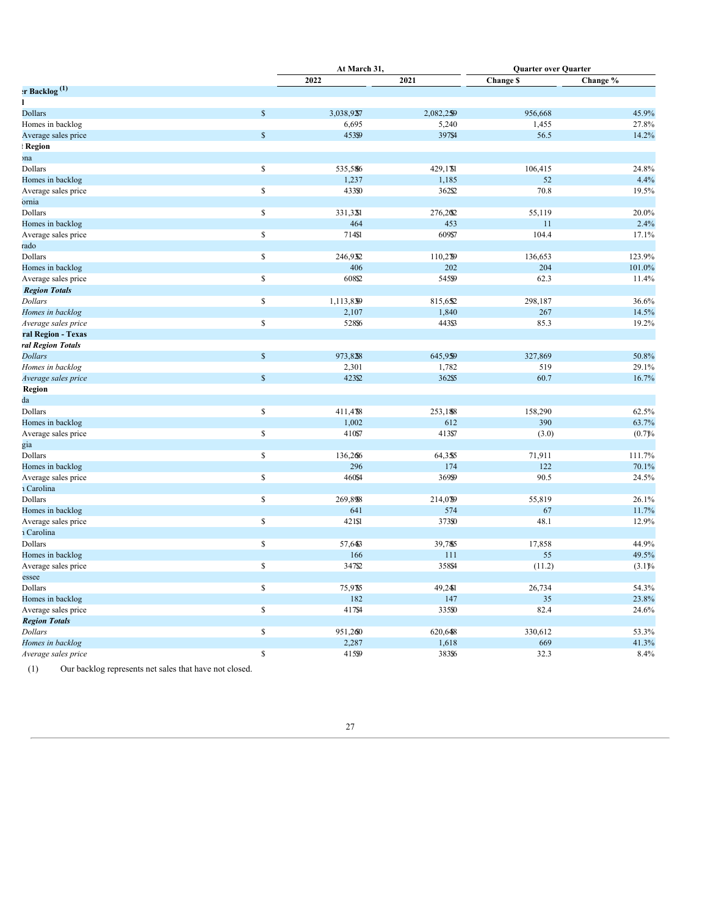|                            |               | At March 31, |           | <b>Quarter over Quarter</b> |          |  |
|----------------------------|---------------|--------------|-----------|-----------------------------|----------|--|
|                            |               | 2022         | 2021      | <b>Change \$</b>            | Change % |  |
| $r$ Backlog <sup>(1)</sup> |               |              |           |                             |          |  |
|                            |               |              |           |                             |          |  |
| <b>Dollars</b>             | $\mathbb S$   | 3,038,9257   | 2,082,259 | 956,668                     | 45.9%    |  |
| Homes in backlog           |               | 6,695        | 5,240     | 1,455                       | 27.8%    |  |
| Average sales price        | $\mathsf{\$}$ | 45399        | 397\$4    | 56.5                        | 14.2%    |  |
| <b>Region</b>              |               |              |           |                             |          |  |
| ma                         |               |              |           |                             |          |  |
| Dollars                    | $\mathbb{S}$  | 535,586      | 429,1%    | 106,415                     | 24.8%    |  |
| Homes in backlog           |               | 1,237        | 1,185     | 52                          | 4.4%     |  |
| Average sales price        | $\mathbb S$   | 43350        | 362\$2    | 70.8                        | 19.5%    |  |
| ornia                      |               |              |           |                             |          |  |
| Dollars                    | $\mathbb{S}$  | 331,3281     | 276,202   | 55,119                      | 20.0%    |  |
| Homes in backlog           |               | 464          | 453       | 11                          | 2.4%     |  |
| Average sales price        | $\mathbb S$   | 714\$1       | 609\$7    | 104.4                       | 17.1%    |  |
| rado                       |               |              |           |                             |          |  |
| Dollars                    | $\mathbb S$   | 246,932      | 110,279   | 136,653                     | 123.9%   |  |
| Homes in backlog           |               | 406          | 202       | 204                         | 101.0%   |  |
| Average sales price        | $\mathbb S$   | 608\$2       | 545\$9    | 62.3                        | 11.4%    |  |
| <b>Region Totals</b>       |               |              |           |                             |          |  |
| <b>Dollars</b>             | $\mathbb S$   | 1,113,839    | 815,652   | 298,187                     | 36.6%    |  |
| Homes in backlog           |               | 2,107        | 1,840     | 267                         | 14.5%    |  |
| Average sales price        | $\mathbb S$   | 528\$6       | 443\$3    | 85.3                        | 19.2%    |  |
| ral Region - Texas         |               |              |           |                             |          |  |
| ral Region Totals          |               |              |           |                             |          |  |
| <b>Dollars</b>             | $\mathbb S$   | 973,828      | 645,959   | 327,869                     | 50.8%    |  |
| Homes in backlog           |               | 2,301        | 1,782     | 519                         | 29.1%    |  |
| Average sales price        | $\mathsf{\$}$ | 42352        | 362\$5    | 60.7                        | 16.7%    |  |
| Region                     |               |              |           |                             |          |  |
| $_{\rm 1a}$                |               |              |           |                             |          |  |
| Dollars                    | $\mathbb{S}$  | 411,478      | 253,188   | 158,290                     | 62.5%    |  |
| Homes in backlog           |               | 1,002        | 612       | 390                         | 63.7%    |  |
| Average sales price        | $\mathbb{S}$  | 410\$7       | 413\$7    | (3.0)                       | (0.7)%   |  |
| gia                        |               |              |           |                             |          |  |
| Dollars                    | $\mathbb S$   | 136,266      | 64,355    | 71,911                      | 111.7%   |  |
| Homes in backlog           |               | 296          | 174       | 122                         | 70.1%    |  |
| Average sales price        | $\mathbb{S}$  | 460\$4       | 36999     | 90.5                        | 24.5%    |  |
| 1 Carolina                 |               |              |           |                             |          |  |
| Dollars                    | $\mathbb{S}$  | 269,898      | 214,079   | 55,819                      | 26.1%    |  |
| Homes in backlog           |               | 641          | 574       | 67                          | 11.7%    |  |
| Average sales price        | $\mathbb S$   | 421\$1       | 37350     | 48.1                        | 12.9%    |  |
| 1 Carolina                 |               |              |           |                             |          |  |
| Dollars                    | $\mathbb S$   | 57,643       | 39,785    | 17,858                      | 44.9%    |  |
| Homes in backlog           |               | 166          | 111       | 55                          | 49.5%    |  |
| Average sales price        | $\mathbb S$   | 347\$2       | 358\$4    | (11.2)                      | (3.1)%   |  |
| essee                      |               |              |           |                             |          |  |
| <b>Dollars</b>             | $\mathbb S$   | 75,9%        | 49,2481   | 26,734                      | 54.3%    |  |
| Homes in backlog           |               | 182          | 147       | 35                          | 23.8%    |  |
| Average sales price        | $\mathbb{S}$  | 417\$4       | 335\$0    | 82.4                        | 24.6%    |  |
| <b>Region Totals</b>       |               |              |           |                             |          |  |
| <b>Dollars</b>             | $\mathbb S$   | 951,260      | 620,648   | 330,612                     | 53.3%    |  |
| Homes in backlog           |               | 2,287        | 1,618     | 669                         | 41.3%    |  |
| Average sales price        | $\mathbb{S}$  | 415\$9       | 383\$6    | 32.3                        | 8.4%     |  |

(1) Our backlog represents net sales that have not closed.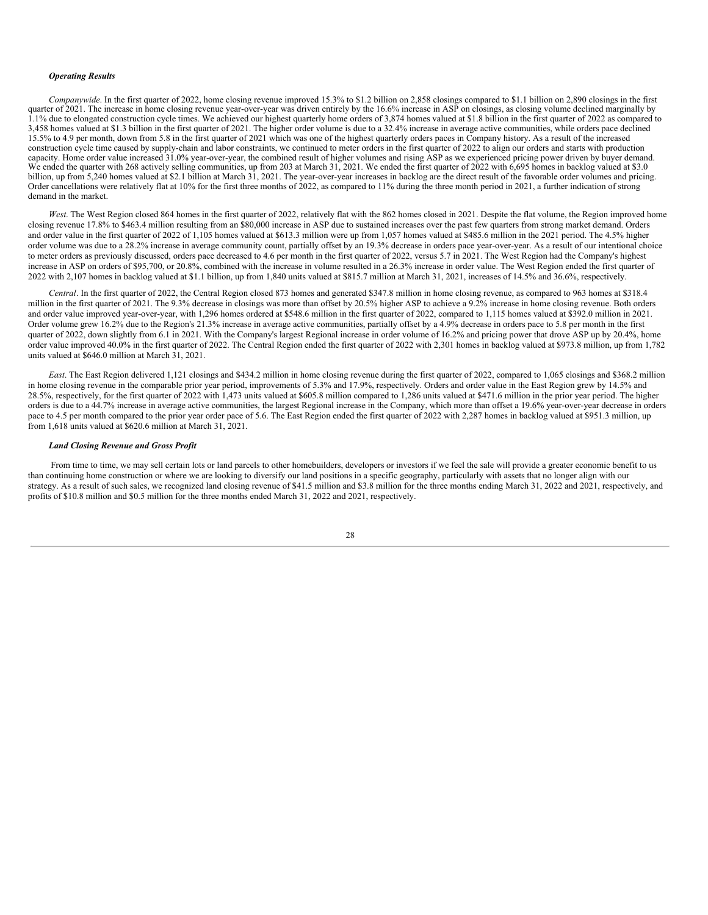#### *Operating Results*

*Companywide*. In the first quarter of 2022, home closing revenue improved 15.3% to \$1.2 billion on 2,858 closings compared to \$1.1 billion on 2,890 closings in the first quarter of 2021. The increase in home closing revenue year-over-year was driven entirely by the 16.6% increase in ASP on closings, as closing volume declined marginally by 1.1% due to elongated construction cycle times. We achieved our highest quarterly home orders of 3,874 homes valued at \$1.8 billion in the first quarter of 2022 as compared to 3,458 homes valued at \$1.3 billion in the first quarter of 2021. The higher order volume is due to a 32.4% increase in average active communities, while orders pace declined 15.5% to 4.9 per month, down from 5.8 in the first quarter of 2021 which was one of the highest quarterly orders paces in Company history. As a result of the increased construction cycle time caused by supply-chain and labor constraints, we continued to meter orders in the first quarter of 2022 to align our orders and starts with production capacity. Home order value increased 31.0% year-over-year, the combined result of higher volumes and rising ASP as we experienced pricing power driven by buyer demand. We ended the quarter with 268 actively selling communities, up from 203 at March 31, 2021. We ended the first quarter of 2022 with 6,695 homes in backlog valued at \$3.0 billion, up from 5,240 homes valued at \$2.1 billion at March 31, 2021. The year-over-year increases in backlog are the direct result of the favorable order volumes and pricing. Order cancellations were relatively flat at 10% for the first three months of 2022, as compared to 11% during the three month period in 2021, a further indication of strong demand in the market.

West. The West Region closed 864 homes in the first quarter of 2022, relatively flat with the 862 homes closed in 2021. Despite the flat volume, the Region improved home closing revenue 17.8% to \$463.4 million resulting from an \$80,000 increase in ASP due to sustained increases over the past few quarters from strong market demand. Orders and order value in the first quarter of 2022 of 1,105 homes valued at \$613.3 million were up from 1,057 homes valued at \$485.6 million in the 2021 period. The 4.5% higher order volume was due to a 28.2% increase in average community count, partially offset by an 19.3% decrease in orders pace year-over-year. As a result of our intentional choice to meter orders as previously discussed, orders pace decreased to 4.6 per month in the first quarter of 2022, versus 5.7 in 2021. The West Region had the Company's highest increase in ASP on orders of \$95,700, or 20.8%, combined with the increase in volume resulted in a 26.3% increase in order value. The West Region ended the first quarter of 2022 with 2,107 homes in backlog valued at \$1.1 billion, up from 1,840 units valued at \$815.7 million at March 31, 2021, increases of 14.5% and 36.6%, respectively.

*Central*. In the first quarter of 2022, the Central Region closed 873 homes and generated \$347.8 million in home closing revenue, as compared to 963 homes at \$318.4 million in the first quarter of 2021. The 9.3% decrease in closings was more than offset by 20.5% higher ASP to achieve a 9.2% increase in home closing revenue. Both orders and order value improved year-over-year, with 1,296 homes ordered at \$548.6 million in the first quarter of 2022, compared to 1,115 homes valued at \$392.0 million in 2021. Order volume grew 16.2% due to the Region's 21.3% increase in average active communities, partially offset by a 4.9% decrease in orders pace to 5.8 per month in the first quarter of 2022, down slightly from 6.1 in 2021. With the Company's largest Regional increase in order volume of 16.2% and pricing power that drove ASP up by 20.4%, home order value improved 40.0% in the first quarter of 2022. The Central Region ended the first quarter of 2022 with 2,301 homes in backlog valued at \$973.8 million, up from 1,782 units valued at \$646.0 million at March 31, 2021.

*East*. The East Region delivered 1,121 closings and \$434.2 million in home closing revenue during the first quarter of 2022, compared to 1,065 closings and \$368.2 million in home closing revenue in the comparable prior year period, improvements of 5.3% and 17.9%, respectively. Orders and order value in the East Region grew by 14.5% and 28.5%, respectively, for the first quarter of 2022 with 1,473 units valued at \$605.8 million compared to 1,286 units valued at \$471.6 million in the prior year period. The higher orders is due to a 44.7% increase in average active communities, the largest Regional increase in the Company, which more than offset a 19.6% year-over-year decrease in orders pace to 4.5 per month compared to the prior year order pace of 5.6. The East Region ended the first quarter of 2022 with 2,287 homes in backlog valued at \$951.3 million, up from 1,618 units valued at \$620.6 million at March 31, 2021.

#### *Land Closing Revenue and Gross Profit*

From time to time, we may sell certain lots or land parcels to other homebuilders, developers or investors if we feel the sale will provide a greater economic benefit to us than continuing home construction or where we are looking to diversify our land positions in a specific geography, particularly with assets that no longer align with our strategy. As a result of such sales, we recognized land closing revenue of \$41.5 million and \$3.8 million for the three months ending March 31, 2022 and 2021, respectively, and profits of \$10.8 million and \$0.5 million for the three months ended March 31, 2022 and 2021, respectively.

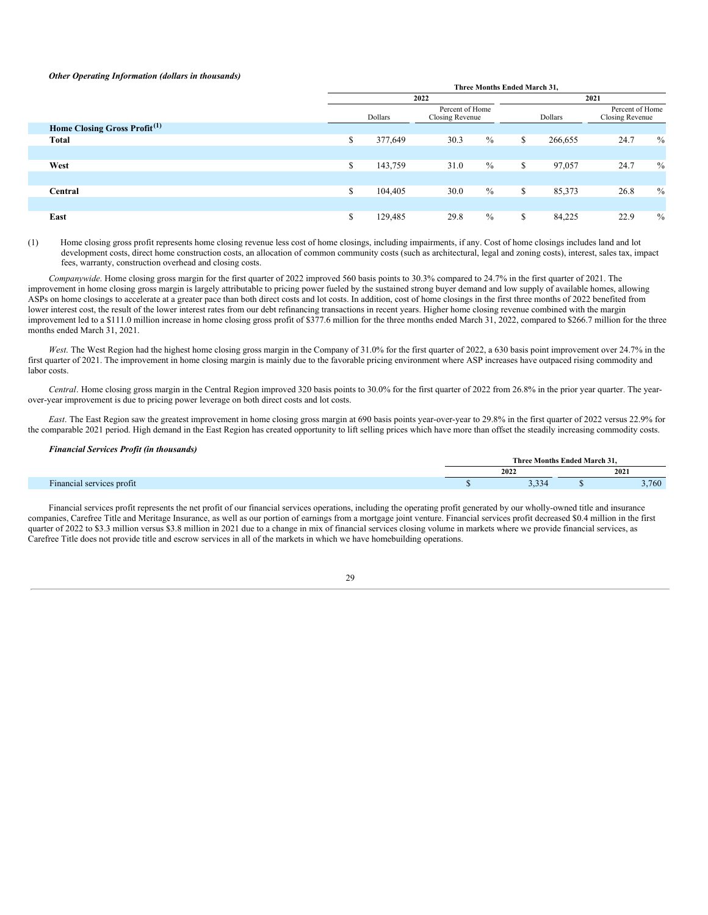#### *Other Operating Information (dollars in thousands)*

|                                          | Three Months Ended March 31, |         |                                    |               |      |         |                                    |               |
|------------------------------------------|------------------------------|---------|------------------------------------|---------------|------|---------|------------------------------------|---------------|
|                                          |                              |         | 2022                               |               | 2021 |         |                                    |               |
|                                          |                              | Dollars | Percent of Home<br>Closing Revenue |               |      | Dollars | Percent of Home<br>Closing Revenue |               |
| Home Closing Gross Profit <sup>(1)</sup> |                              |         |                                    |               |      |         |                                    |               |
| <b>Total</b>                             | \$                           | 377,649 | 30.3                               | $\frac{0}{0}$ | S    | 266,655 | 24.7                               | $\%$          |
|                                          |                              |         |                                    |               |      |         |                                    |               |
| West                                     | \$                           | 143,759 | 31.0                               | $\frac{0}{0}$ | S    | 97,057  | 24.7                               | $\frac{0}{0}$ |
|                                          |                              |         |                                    |               |      |         |                                    |               |
| Central                                  | \$                           | 104,405 | 30.0                               | $\%$          | \$   | 85,373  | 26.8                               | $\frac{0}{0}$ |
|                                          |                              |         |                                    |               |      |         |                                    |               |
| East                                     | \$                           | 129,485 | 29.8                               | $\frac{0}{0}$ | \$   | 84,225  | 22.9                               | $\frac{0}{0}$ |

(1) Home closing gross profit represents home closing revenue less cost of home closings, including impairments, if any. Cost of home closings includes land and lot development costs, direct home construction costs, an allocation of common community costs (such as architectural, legal and zoning costs), interest, sales tax, impact fees, warranty, construction overhead and closing costs.

*Companywide*. Home closing gross margin for the first quarter of 2022 improved 560 basis points to 30.3% compared to 24.7% in the first quarter of 2021. The improvement in home closing gross margin is largely attributable to pricing power fueled by the sustained strong buyer demand and low supply of available homes, allowing ASPs on home closings to accelerate at a greater pace than both direct costs and lot costs. In addition, cost of home closings in the first three months of 2022 benefited from lower interest cost, the result of the lower interest rates from our debt refinancing transactions in recent years. Higher home closing revenue combined with the margin improvement led to a \$111.0 million increase in home closing gross profit of \$377.6 million for the three months ended March 31, 2022, compared to \$266.7 million for the three months ended March 31, 2021.

West. The West Region had the highest home closing gross margin in the Company of 31.0% for the first quarter of 2022, a 630 basis point improvement over 24.7% in the first quarter of 2021. The improvement in home closing margin is mainly due to the favorable pricing environment where ASP increases have outpaced rising commodity and labor costs.

*Central*. Home closing gross margin in the Central Region improved 320 basis points to 30.0% for the first quarter of 2022 from 26.8% in the prior year quarter. The yearover-year improvement is due to pricing power leverage on both direct costs and lot costs.

*East*. The East Region saw the greatest improvement in home closing gross margin at 690 basis points year-over-year to 29.8% in the first quarter of 2022 versus 22.9% for the comparable 2021 period. High demand in the East Region has created opportunity to lift selling prices which have more than offset the steadily increasing commodity costs.

#### *Financial Services Profit (in thousands)*

|                                    | Months<br>Ended March<br>'hre |       |  |       |  |  |
|------------------------------------|-------------------------------|-------|--|-------|--|--|
|                                    | 2022                          |       |  | 2021  |  |  |
| $\sim$<br>inancial services profit |                               | 3,334 |  | 3,760 |  |  |

Financial services profit represents the net profit of our financial services operations, including the operating profit generated by our wholly-owned title and insurance companies, Carefree Title and Meritage Insurance, as well as our portion of earnings from a mortgage joint venture. Financial services profit decreased \$0.4 million in the first quarter of 2022 to \$3.3 million versus \$3.8 million in 2021 due to a change in mix of financial services closing volume in markets where we provide financial services, as Carefree Title does not provide title and escrow services in all of the markets in which we have homebuilding operations.

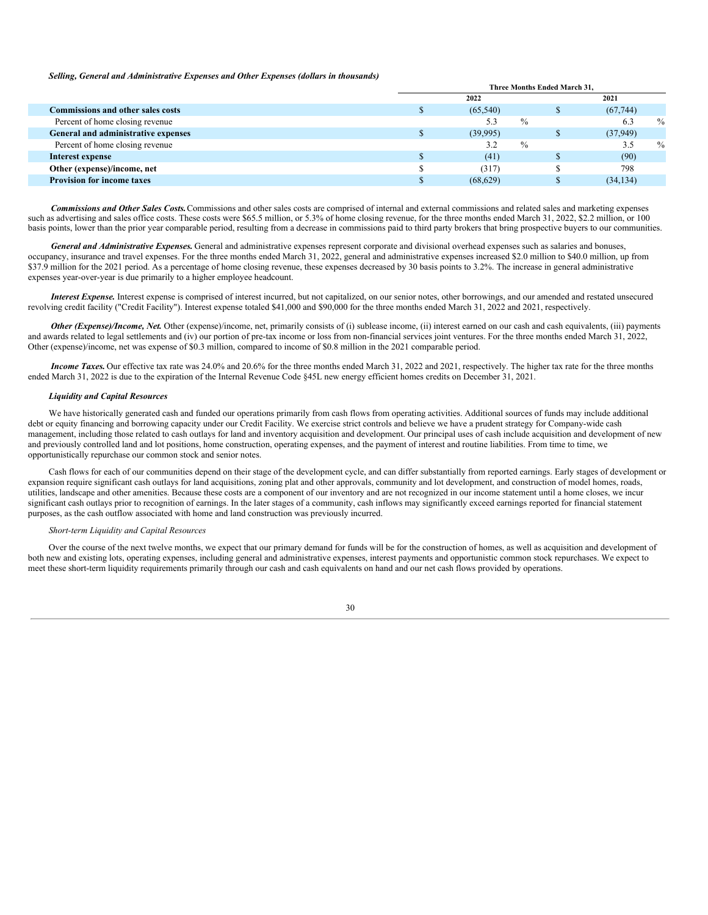#### *Selling, General and Administrative Expenses and Other Expenses (dollars in thousands)*

|                                          | <b>Three Months Ended March 31.</b> |           |               |      |           |               |
|------------------------------------------|-------------------------------------|-----------|---------------|------|-----------|---------------|
|                                          | 2022                                |           |               | 2021 |           |               |
| <b>Commissions and other sales costs</b> |                                     | (65, 540) |               |      | (67, 744) |               |
| Percent of home closing revenue          |                                     | 5.3       | $\frac{0}{0}$ |      | 6.3       | $\frac{0}{0}$ |
| General and administrative expenses      |                                     | (39,995)  |               |      | (37, 949) |               |
| Percent of home closing revenue          |                                     | 3.2       | $\frac{0}{0}$ |      | 3.5       | $\frac{0}{0}$ |
| Interest expense                         |                                     | (41)      |               |      | (90)      |               |
| Other (expense)/income, net              |                                     | (317)     |               |      | 798       |               |
| <b>Provision for income taxes</b>        |                                     | (68, 629) |               |      | (34, 134) |               |

*Commissions and Other Sales Costs.*Commissions and other sales costs are comprised of internal and external commissions and related sales and marketing expenses such as advertising and sales office costs. These costs were \$65.5 million, or 5.3% of home closing revenue, for the three months ended March 31, 2022, \$2.2 million, or 100 basis points, lower than the prior year comparable period, resulting from a decrease in commissions paid to third party brokers that bring prospective buyers to our communities.

*General and Administrative Expenses.* General and administrative expenses represent corporate and divisional overhead expenses such as salaries and bonuses, occupancy, insurance and travel expenses. For the three months ended March 31, 2022, general and administrative expenses increased \$2.0 million to \$40.0 million, up from \$37.9 million for the 2021 period. As a percentage of home closing revenue, these expenses decreased by 30 basis points to 3.2%. The increase in general administrative expenses year-over-year is due primarily to a higher employee headcount.

*Interest Expense.* Interest expense is comprised of interest incurred, but not capitalized, on our senior notes, other borrowings, and our amended and restated unsecured revolving credit facility ("Credit Facility"). Interest expense totaled \$41,000 and \$90,000 for the three months ended March 31, 2022 and 2021, respectively.

*Other (Expense)/Income, Net.* Other (expense)/income, net, primarily consists of (i) sublease income, (ii) interest earned on our cash and cash equivalents, (iii) payments and awards related to legal settlements and (iv) our portion of pre-tax income or loss from non-financial services joint ventures. For the three months ended March 31, 2022, Other (expense)/income, net was expense of \$0.3 million, compared to income of \$0.8 million in the 2021 comparable period.

*Income Taxes.* Our effective tax rate was 24.0% and 20.6% for the three months ended March 31, 2022 and 2021, respectively. The higher tax rate for the three months ended March 31, 2022 is due to the expiration of the Internal Revenue Code §45L new energy efficient homes credits on December 31, 2021.

#### *Liquidity and Capital Resources*

We have historically generated cash and funded our operations primarily from cash flows from operating activities. Additional sources of funds may include additional debt or equity financing and borrowing capacity under our Credit Facility. We exercise strict controls and believe we have a prudent strategy for Company-wide cash management, including those related to cash outlays for land and inventory acquisition and development. Our principal uses of cash include acquisition and development of new and previously controlled land and lot positions, home construction, operating expenses, and the payment of interest and routine liabilities. From time to time, we opportunistically repurchase our common stock and senior notes.

Cash flows for each of our communities depend on their stage of the development cycle, and can differ substantially from reported earnings. Early stages of development or expansion require significant cash outlays for land acquisitions, zoning plat and other approvals, community and lot development, and construction of model homes, roads, utilities, landscape and other amenities. Because these costs are a component of our inventory and are not recognized in our income statement until a home closes, we incur significant cash outlays prior to recognition of earnings. In the later stages of a community, cash inflows may significantly exceed earnings reported for financial statement purposes, as the cash outflow associated with home and land construction was previously incurred.

#### *Short-term Liquidity and Capital Resources*

Over the course of the next twelve months, we expect that our primary demand for funds will be for the construction of homes, as well as acquisition and development of both new and existing lots, operating expenses, including general and administrative expenses, interest payments and opportunistic common stock repurchases. We expect to meet these short-term liquidity requirements primarily through our cash and cash equivalents on hand and our net cash flows provided by operations.

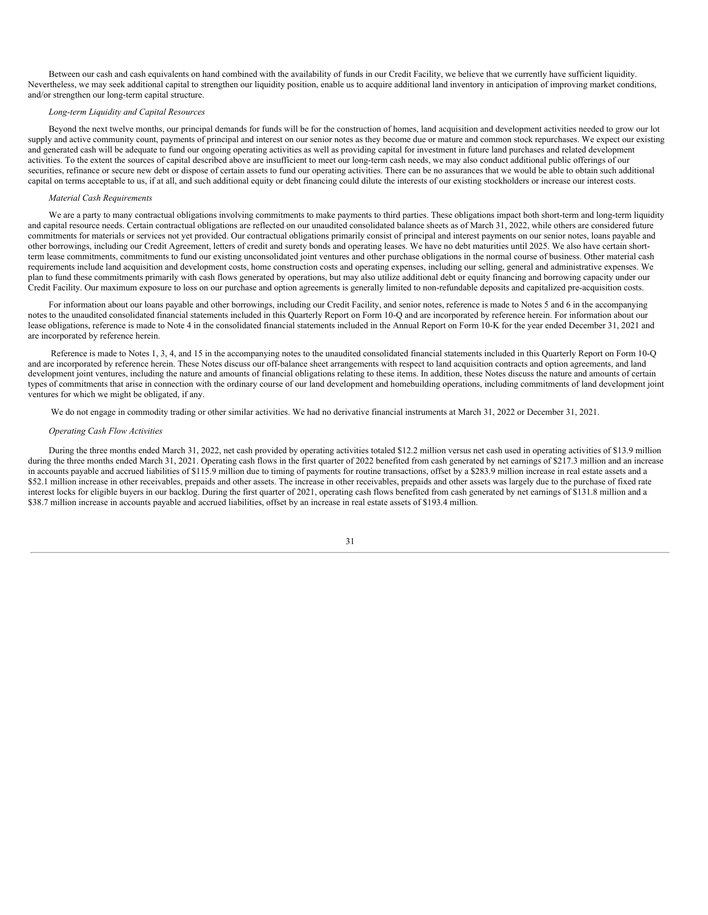Between our cash and cash equivalents on hand combined with the availability of funds in our Credit Facility, we believe that we currently have sufficient liquidity. Nevertheless, we may seek additional capital to strengthen our liquidity position, enable us to acquire additional land inventory in anticipation of improving market conditions, and/or strengthen our long-term capital structure.

#### *Long-term Liquidity and Capital Resources*

Beyond the next twelve months, our principal demands for funds will be for the construction of homes, land acquisition and development activities needed to grow our lot supply and active community count, payments of principal and interest on our senior notes as they become due or mature and common stock repurchases. We expect our existing and generated cash will be adequate to fund our ongoing operating activities as well as providing capital for investment in future land purchases and related development activities. To the extent the sources of capital described above are insufficient to meet our long-term cash needs, we may also conduct additional public offerings of our securities, refinance or secure new debt or dispose of certain assets to fund our operating activities. There can be no assurances that we would be able to obtain such additional capital on terms acceptable to us, if at all, and such additional equity or debt financing could dilute the interests of our existing stockholders or increase our interest costs.

#### *Material Cash Requirements*

We are a party to many contractual obligations involving commitments to make payments to third parties. These obligations impact both short-term and long-term liquidity and capital resource needs. Certain contractual obligations are reflected on our unaudited consolidated balance sheets as of March 31, 2022, while others are considered future commitments for materials or services not yet provided. Our contractual obligations primarily consist of principal and interest payments on our senior notes, loans payable and other borrowings, including our Credit Agreement, letters of credit and surety bonds and operating leases. We have no debt maturities until 2025. We also have certain shortterm lease commitments, commitments to fund our existing unconsolidated joint ventures and other purchase obligations in the normal course of business. Other material cash requirements include land acquisition and development costs, home construction costs and operating expenses, including our selling, general and administrative expenses. We plan to fund these commitments primarily with cash flows generated by operations, but may also utilize additional debt or equity financing and borrowing capacity under our Credit Facility. Our maximum exposure to loss on our purchase and option agreements is generally limited to non-refundable deposits and capitalized pre-acquisition costs.

For information about our loans payable and other borrowings, including our Credit Facility, and senior notes, reference is made to Notes 5 and 6 in the accompanying notes to the unaudited consolidated financial statements included in this Quarterly Report on Form 10-Q and are incorporated by reference herein. For information about our lease obligations, reference is made to Note 4 in the consolidated financial statements included in the Annual Report on Form 10-K for the year ended December 31, 2021 and are incorporated by reference herein.

Reference is made to Notes 1, 3, 4, and 15 in the accompanying notes to the unaudited consolidated financial statements included in this Quarterly Report on Form 10-Q and are incorporated by reference herein. These Notes discuss our off-balance sheet arrangements with respect to land acquisition contracts and option agreements, and land development joint ventures, including the nature and amounts of financial obligations relating to these items. In addition, these Notes discuss the nature and amounts of certain types of commitments that arise in connection with the ordinary course of our land development and homebuilding operations, including commitments of land development joint ventures for which we might be obligated, if any.

We do not engage in commodity trading or other similar activities. We had no derivative financial instruments at March 31, 2022 or December 31, 2021.

#### *Operating Cash Flow Activities*

During the three months ended March 31, 2022, net cash provided by operating activities totaled \$12.2 million versus net cash used in operating activities of \$13.9 million during the three months ended March 31, 2021. Operating cash flows in the first quarter of 2022 benefited from cash generated by net earnings of \$217.3 million and an increase in accounts payable and accrued liabilities of \$115.9 million due to timing of payments for routine transactions, offset by a \$283.9 million increase in real estate assets and a \$52.1 million increase in other receivables, prepaids and other assets. The increase in other receivables, prepaids and other assets was largely due to the purchase of fixed rate interest locks for eligible buyers in our backlog. During the first quarter of 2021, operating cash flows benefited from cash generated by net earnings of \$131.8 million and a \$38.7 million increase in accounts payable and accrued liabilities, offset by an increase in real estate assets of \$193.4 million.

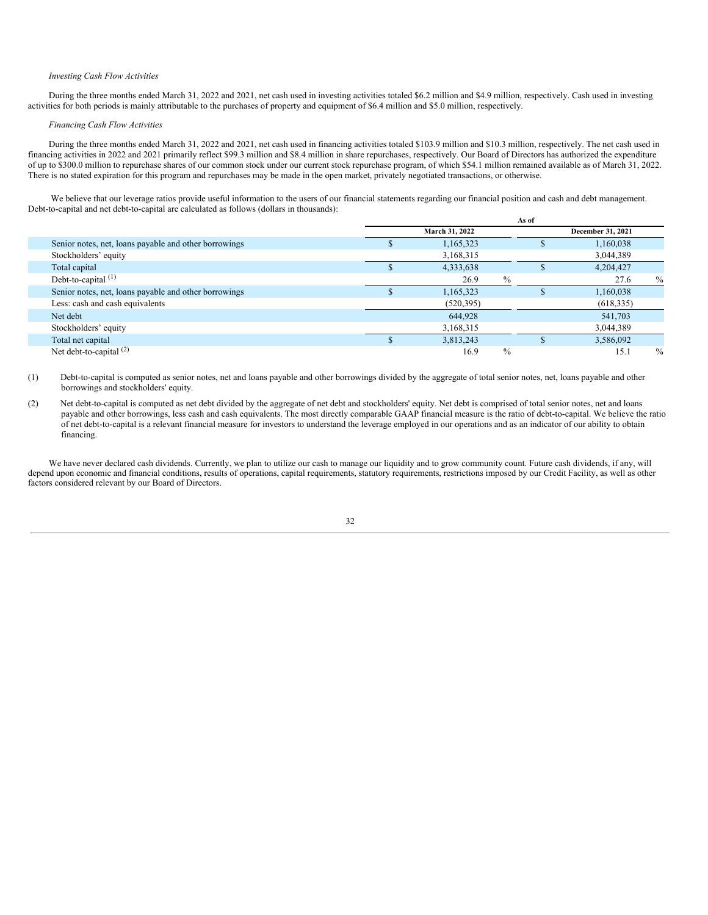#### *Investing Cash Flow Activities*

During the three months ended March 31, 2022 and 2021, net cash used in investing activities totaled \$6.2 million and \$4.9 million, respectively. Cash used in investing activities for both periods is mainly attributable to the purchases of property and equipment of \$6.4 million and \$5.0 million, respectively.

#### *Financing Cash Flow Activities*

During the three months ended March 31, 2022 and 2021, net cash used in financing activities totaled \$103.9 million and \$10.3 million, respectively. The net cash used in financing activities in 2022 and 2021 primarily reflect \$99.3 million and \$8.4 million in share repurchases, respectively. Our Board of Directors has authorized the expenditure of up to \$300.0 million to repurchase shares of our common stock under our current stock repurchase program, of which \$54.1 million remained available as of March 31, 2022. There is no stated expiration for this program and repurchases may be made in the open market, privately negotiated transactions, or otherwise.

We believe that our leverage ratios provide useful information to the users of our financial statements regarding our financial position and cash and debt management. Debt-to-capital and net debt-to-capital are calculated as follows (dollars in thousands):

|                                                       | As of          |            |               |                   |            |               |
|-------------------------------------------------------|----------------|------------|---------------|-------------------|------------|---------------|
|                                                       | March 31, 2022 |            |               | December 31, 2021 |            |               |
| Senior notes, net, loans payable and other borrowings |                | 1,165,323  |               | ۰D                | 1,160,038  |               |
| Stockholders' equity                                  |                | 3,168,315  |               |                   | 3,044,389  |               |
| Total capital                                         |                | 4,333,638  |               |                   | 4,204,427  |               |
| Debt-to-capital $(1)$                                 |                | 26.9       | $\%$          |                   | 27.6       | $\%$          |
| Senior notes, net, loans payable and other borrowings |                | 1,165,323  |               | .n                | 1,160,038  |               |
| Less: cash and cash equivalents                       |                | (520, 395) |               |                   | (618, 335) |               |
| Net debt                                              |                | 644,928    |               |                   | 541,703    |               |
| Stockholders' equity                                  |                | 3,168,315  |               |                   | 3,044,389  |               |
| Total net capital                                     |                | 3,813,243  |               |                   | 3,586,092  |               |
| Net debt-to-capital $(2)$                             |                | 16.9       | $\frac{0}{0}$ |                   | 15.1       | $\frac{0}{0}$ |

(1) Debt-to-capital is computed as senior notes, net and loans payable and other borrowings divided by the aggregate of total senior notes, net, loans payable and other borrowings and stockholders' equity.

(2) Net debt-to-capital is computed as net debt divided by the aggregate of net debt and stockholders' equity. Net debt is comprised of total senior notes, net and loans payable and other borrowings, less cash and cash equivalents. The most directly comparable GAAP financial measure is the ratio of debt-to-capital. We believe the ratio of net debt-to-capital is a relevant financial measure for investors to understand the leverage employed in our operations and as an indicator of our ability to obtain financing.

We have never declared cash dividends. Currently, we plan to utilize our cash to manage our liquidity and to grow community count. Future cash dividends, if any, will depend upon economic and financial conditions, results of operations, capital requirements, statutory requirements, restrictions imposed by our Credit Facility, as well as other factors considered relevant by our Board of Directors.

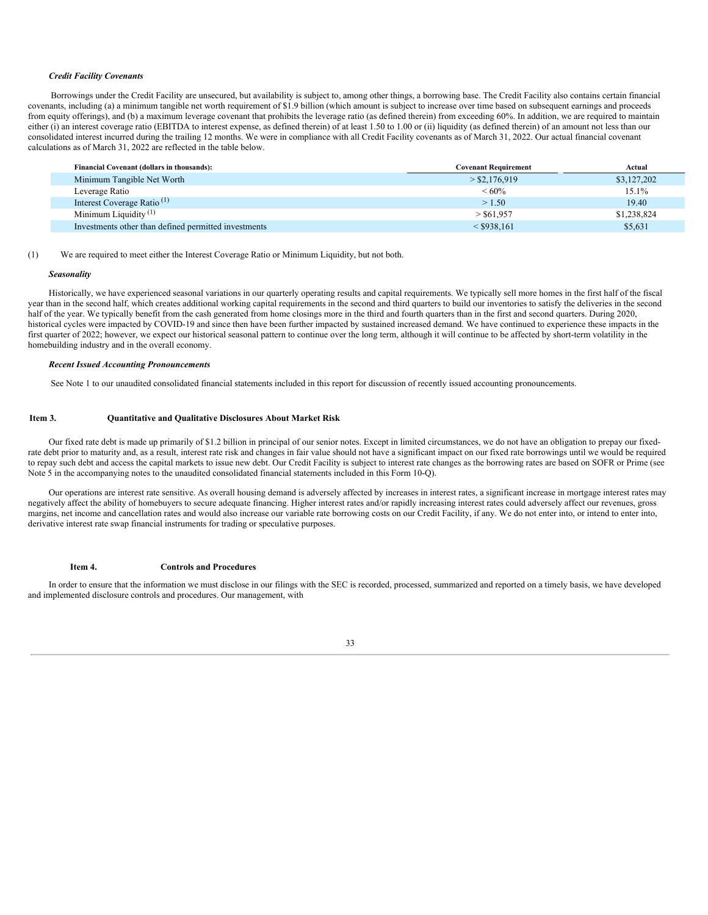#### *Credit Facility Covenants*

Borrowings under the Credit Facility are unsecured, but availability is subject to, among other things, a borrowing base. The Credit Facility also contains certain financial covenants, including (a) a minimum tangible net worth requirement of \$1.9 billion (which amount is subject to increase over time based on subsequent earnings and proceeds from equity offerings), and (b) a maximum leverage covenant that prohibits the leverage ratio (as defined therein) from exceeding 60%. In addition, we are required to maintain either (i) an interest coverage ratio (EBITDA to interest expense, as defined therein) of at least 1.50 to 1.00 or (ii) liquidity (as defined therein) of an amount not less than our consolidated interest incurred during the trailing 12 months. We were in compliance with all Credit Facility covenants as of March 31, 2022. Our actual financial covenant calculations as of March 31, 2022 are reflected in the table below.

| Financial Covenant (dollars in thousands):           | <b>Covenant Requirement</b> | Actual      |
|------------------------------------------------------|-----------------------------|-------------|
| Minimum Tangible Net Worth                           | $>$ \$2,176,919             | \$3,127,202 |
| Leverage Ratio                                       | $<60\%$                     | 15.1%       |
| Interest Coverage Ratio <sup>(1)</sup>               | >1.50                       | 19.40       |
| Minimum Liquidity $(1)$                              | $>$ \$61.957                | \$1,238,824 |
| Investments other than defined permitted investments | $<$ \$938.161               | \$5,631     |

#### (1) We are required to meet either the Interest Coverage Ratio or Minimum Liquidity, but not both.

#### *Seasonality*

Historically, we have experienced seasonal variations in our quarterly operating results and capital requirements. We typically sell more homes in the first half of the fiscal year than in the second half, which creates additional working capital requirements in the second and third quarters to build our inventories to satisfy the deliveries in the second half of the year. We typically benefit from the cash generated from home closings more in the third and fourth quarters than in the first and second quarters. During 2020, historical cycles were impacted by COVID-19 and since then have been further impacted by sustained increased demand. We have continued to experience these impacts in the first quarter of 2022; however, we expect our historical seasonal pattern to continue over the long term, although it will continue to be affected by short-term volatility in the homebuilding industry and in the overall economy.

#### *Recent Issued Accounting Pronouncements*

See Note 1 to our unaudited consolidated financial statements included in this report for discussion of recently issued accounting pronouncements.

#### <span id="page-32-0"></span>**Item 3. Quantitative and Qualitative Disclosures About Market Risk**

Our fixed rate debt is made up primarily of \$1.2 billion in principal of our senior notes. Except in limited circumstances, we do not have an obligation to prepay our fixedrate debt prior to maturity and, as a result, interest rate risk and changes in fair value should not have a significant impact on our fixed rate borrowings until we would be required to repay such debt and access the capital markets to issue new debt. Our Credit Facility is subject to interest rate changes as the borrowing rates are based on SOFR or Prime (see Note 5 in the accompanying notes to the unaudited consolidated financial statements included in this Form 10-Q).

Our operations are interest rate sensitive. As overall housing demand is adversely affected by increases in interest rates, a significant increase in mortgage interest rates may negatively affect the ability of homebuyers to secure adequate financing. Higher interest rates and/or rapidly increasing interest rates could adversely affect our revenues, gross margins, net income and cancellation rates and would also increase our variable rate borrowing costs on our Credit Facility, if any. We do not enter into, or intend to enter into, derivative interest rate swap financial instruments for trading or speculative purposes.

#### **Item 4. Controls and Procedures**

<span id="page-32-1"></span>In order to ensure that the information we must disclose in our filings with the SEC is recorded, processed, summarized and reported on a timely basis, we have developed and implemented disclosure controls and procedures. Our management, with

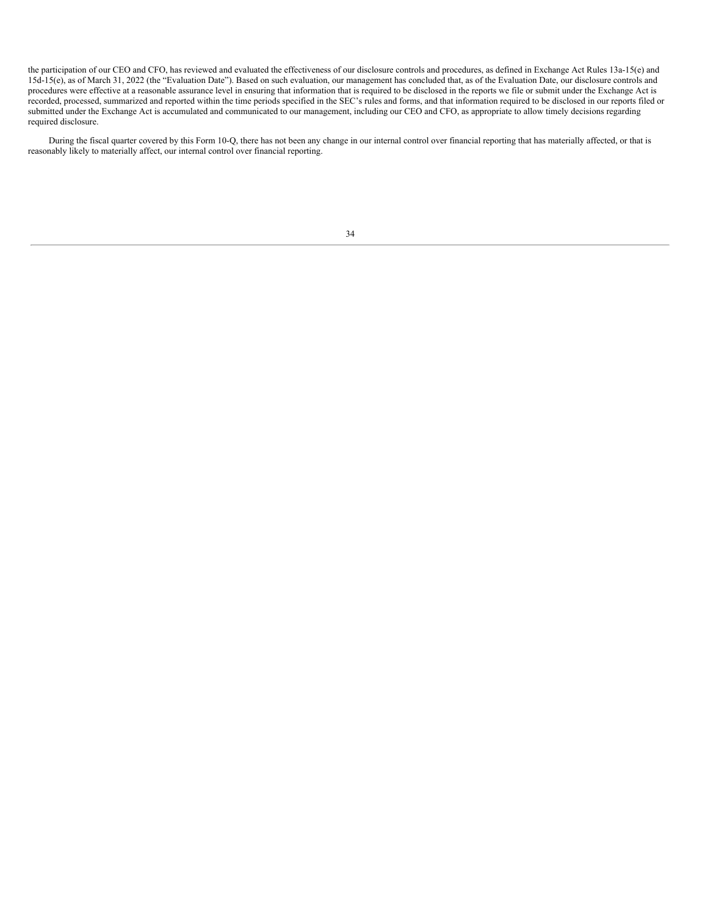the participation of our CEO and CFO, has reviewed and evaluated the effectiveness of our disclosure controls and procedures, as defined in Exchange Act Rules 13a-15(e) and 15d-15(e), as of March 31, 2022 (the "Evaluation Date"). Based on such evaluation, our management has concluded that, as of the Evaluation Date, our disclosure controls and procedures were effective at a reasonable assurance level in ensuring that information that is required to be disclosed in the reports we file or submit under the Exchange Act is recorded, processed, summarized and reported within the time periods specified in the SEC's rules and forms, and that information required to be disclosed in our reports filed or submitted under the Exchange Act is accumulated and communicated to our management, including our CEO and CFO, as appropriate to allow timely decisions regarding required disclosure.

<span id="page-33-0"></span>During the fiscal quarter covered by this Form 10-Q, there has not been any change in our internal control over financial reporting that has materially affected, or that is reasonably likely to materially affect, our internal control over financial reporting.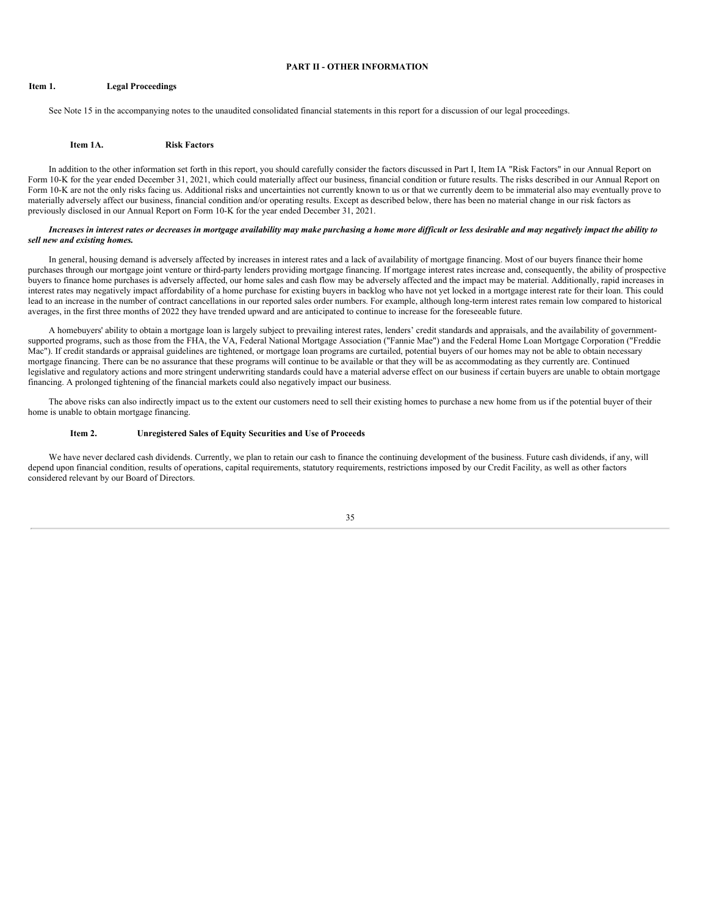#### **PART II - OTHER INFORMATION**

### <span id="page-34-0"></span>**Item 1. Legal Proceedings**

See Note 15 in the accompanying notes to the unaudited consolidated financial statements in this report for a discussion of our legal proceedings.

#### **Item 1A. Risk Factors**

<span id="page-34-1"></span>In addition to the other information set forth in this report, you should carefully consider the factors discussed in Part I, Item IA "Risk Factors" in our Annual Report on Form 10-K for the year ended December 31, 2021, which could materially affect our business, financial condition or future results. The risks described in our Annual Report on Form 10-K are not the only risks facing us. Additional risks and uncertainties not currently known to us or that we currently deem to be immaterial also may eventually prove to materially adversely affect our business, financial condition and/or operating results. Except as described below, there has been no material change in our risk factors as previously disclosed in our Annual Report on Form 10-K for the year ended December 31, 2021.

#### Increases in interest rates or decreases in mortgage availability may make purchasing a home more difficult or less desirable and may negatively impact the ability to *sell new and existing homes.*

In general, housing demand is adversely affected by increases in interest rates and a lack of availability of mortgage financing. Most of our buyers finance their home purchases through our mortgage joint venture or third-party lenders providing mortgage financing. If mortgage interest rates increase and, consequently, the ability of prospective buyers to finance home purchases is adversely affected, our home sales and cash flow may be adversely affected and the impact may be material. Additionally, rapid increases in interest rates may negatively impact affordability of a home purchase for existing buyers in backlog who have not yet locked in a mortgage interest rate for their loan. This could lead to an increase in the number of contract cancellations in our reported sales order numbers. For example, although long-term interest rates remain low compared to historical averages, in the first three months of 2022 they have trended upward and are anticipated to continue to increase for the foreseeable future.

A homebuyers' ability to obtain a mortgage loan is largely subject to prevailing interest rates, lenders' credit standards and appraisals, and the availability of governmentsupported programs, such as those from the FHA, the VA, Federal National Mortgage Association ("Fannie Mae") and the Federal Home Loan Mortgage Corporation ("Freddie Mac"). If credit standards or appraisal guidelines are tightened, or mortgage loan programs are curtailed, potential buyers of our homes may not be able to obtain necessary mortgage financing. There can be no assurance that these programs will continue to be available or that they will be as accommodating as they currently are. Continued legislative and regulatory actions and more stringent underwriting standards could have a material adverse effect on our business if certain buyers are unable to obtain mortgage financing. A prolonged tightening of the financial markets could also negatively impact our business.

<span id="page-34-2"></span>The above risks can also indirectly impact us to the extent our customers need to sell their existing homes to purchase a new home from us if the potential buyer of their home is unable to obtain mortgage financing.

#### **Item 2. Unregistered Sales of Equity Securities and Use of Proceeds**

We have never declared cash dividends. Currently, we plan to retain our cash to finance the continuing development of the business. Future cash dividends, if any, will depend upon financial condition, results of operations, capital requirements, statutory requirements, restrictions imposed by our Credit Facility, as well as other factors considered relevant by our Board of Directors.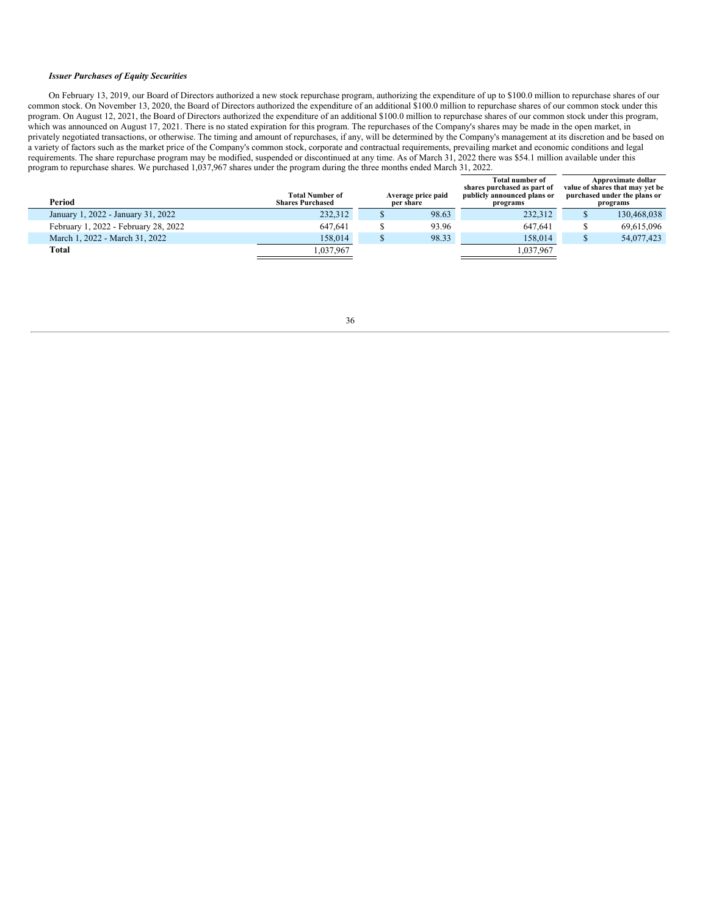#### *Issuer Purchases of Equity Securities*

On February 13, 2019, our Board of Directors authorized a new stock repurchase program, authorizing the expenditure of up to \$100.0 million to repurchase shares of our common stock. On November 13, 2020, the Board of Directors authorized the expenditure of an additional \$100.0 million to repurchase shares of our common stock under this program. On August 12, 2021, the Board of Directors authorized the expenditure of an additional \$100.0 million to repurchase shares of our common stock under this program, which was announced on August 17, 2021. There is no stated expiration for this program. The repurchases of the Company's shares may be made in the open market, in privately negotiated transactions, or otherwise. The timing and amount of repurchases, if any, will be determined by the Company's management at its discretion and be based on a variety of factors such as the market price of the Company's common stock, corporate and contractual requirements, prevailing market and economic conditions and legal requirements. The share repurchase program may be modified, suspended or discontinued at any time. As of March 31, 2022 there was \$54.1 million available under this program to repurchase shares. We purchased 1,037,967 shares under the program during the three months ended March 31, 2022.

<span id="page-35-0"></span>

| Period                               | <b>Total Number of</b><br><b>Shares Purchased</b> | Average price paid<br>per share | <b>Total number of</b><br>shares purchased as part of<br>publicly announced plans or<br>programs | Approximate dollar<br>value of shares that may vet be<br>purchased under the plans or<br>programs |
|--------------------------------------|---------------------------------------------------|---------------------------------|--------------------------------------------------------------------------------------------------|---------------------------------------------------------------------------------------------------|
| January 1, 2022 - January 31, 2022   | 232,312                                           | 98.63                           | 232,312                                                                                          | 130,468,038                                                                                       |
| February 1, 2022 - February 28, 2022 | 647.641                                           | 93.96                           | 647.641                                                                                          | 69.615.096                                                                                        |
| March 1, 2022 - March 31, 2022       | 158.014                                           | 98.33                           | 158,014                                                                                          | 54,077,423                                                                                        |
| Total                                | 1,037,967                                         |                                 | 1,037,967                                                                                        |                                                                                                   |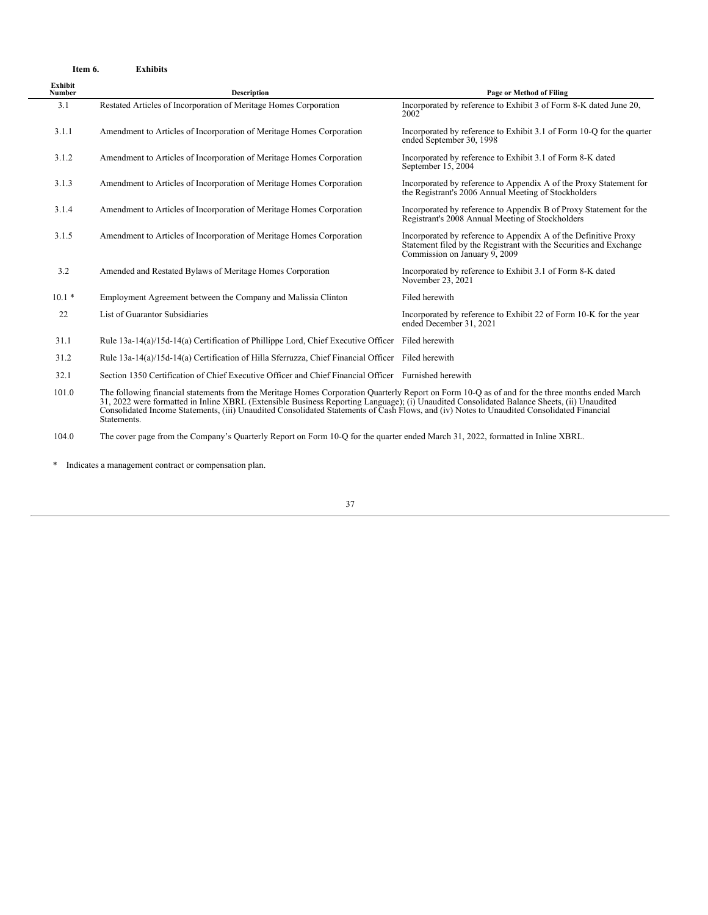| Item 6.                  | <b>Exhibits</b>                                                                                                                                                                                                                                                                                                                                                                                                                                           |                                                                                                                                                                        |
|--------------------------|-----------------------------------------------------------------------------------------------------------------------------------------------------------------------------------------------------------------------------------------------------------------------------------------------------------------------------------------------------------------------------------------------------------------------------------------------------------|------------------------------------------------------------------------------------------------------------------------------------------------------------------------|
| Exhibit<br><b>Number</b> | <b>Description</b>                                                                                                                                                                                                                                                                                                                                                                                                                                        | Page or Method of Filing                                                                                                                                               |
| 3.1                      | Restated Articles of Incorporation of Meritage Homes Corporation                                                                                                                                                                                                                                                                                                                                                                                          | Incorporated by reference to Exhibit 3 of Form 8-K dated June 20,<br>2002                                                                                              |
| 3.1.1                    | Amendment to Articles of Incorporation of Meritage Homes Corporation                                                                                                                                                                                                                                                                                                                                                                                      | Incorporated by reference to Exhibit 3.1 of Form 10-Q for the quarter<br>ended September 30, 1998                                                                      |
| 3.1.2                    | Amendment to Articles of Incorporation of Meritage Homes Corporation                                                                                                                                                                                                                                                                                                                                                                                      | Incorporated by reference to Exhibit 3.1 of Form 8-K dated<br>September 15, 2004                                                                                       |
| 3.1.3                    | Amendment to Articles of Incorporation of Meritage Homes Corporation                                                                                                                                                                                                                                                                                                                                                                                      | Incorporated by reference to Appendix A of the Proxy Statement for<br>the Registrant's 2006 Annual Meeting of Stockholders                                             |
| 3.1.4                    | Amendment to Articles of Incorporation of Meritage Homes Corporation                                                                                                                                                                                                                                                                                                                                                                                      | Incorporated by reference to Appendix B of Proxy Statement for the<br>Registrant's 2008 Annual Meeting of Stockholders                                                 |
| 3.1.5                    | Amendment to Articles of Incorporation of Meritage Homes Corporation                                                                                                                                                                                                                                                                                                                                                                                      | Incorporated by reference to Appendix A of the Definitive Proxy<br>Statement filed by the Registrant with the Securities and Exchange<br>Commission on January 9, 2009 |
| 3.2                      | Amended and Restated Bylaws of Meritage Homes Corporation                                                                                                                                                                                                                                                                                                                                                                                                 | Incorporated by reference to Exhibit 3.1 of Form 8-K dated<br>November 23, 2021                                                                                        |
| $10.1*$                  | Employment Agreement between the Company and Malissia Clinton                                                                                                                                                                                                                                                                                                                                                                                             | Filed herewith                                                                                                                                                         |
| 22                       | List of Guarantor Subsidiaries                                                                                                                                                                                                                                                                                                                                                                                                                            | Incorporated by reference to Exhibit 22 of Form 10-K for the year<br>ended December 31, 2021                                                                           |
| 31.1                     | Rule 13a-14(a)/15d-14(a) Certification of Phillippe Lord, Chief Executive Officer Filed herewith                                                                                                                                                                                                                                                                                                                                                          |                                                                                                                                                                        |
| 31.2                     | Rule 13a-14(a)/15d-14(a) Certification of Hilla Sferruzza, Chief Financial Officer Filed herewith                                                                                                                                                                                                                                                                                                                                                         |                                                                                                                                                                        |
| 32.1                     | Section 1350 Certification of Chief Executive Officer and Chief Financial Officer Furnished herewith                                                                                                                                                                                                                                                                                                                                                      |                                                                                                                                                                        |
| 101.0                    | The following financial statements from the Meritage Homes Corporation Quarterly Report on Form 10-Q as of and for the three months ended March<br>31, 2022 were formatted in Inline XBRL (Extensible Business Reporting Language); (i) Unaudited Consolidated Balance Sheets, (ii) Unaudited<br>Consolidated Income Statements, (iii) Unaudited Consolidated Statements of Cash Flows, and (iv) Notes to Unaudited Consolidated Financial<br>Statements. |                                                                                                                                                                        |

104.0 The cover page from the Company's Quarterly Report on Form 10-Q for the quarter ended March 31, 2022, formatted in Inline XBRL.

<span id="page-36-0"></span>\* Indicates a management contract or compensation plan.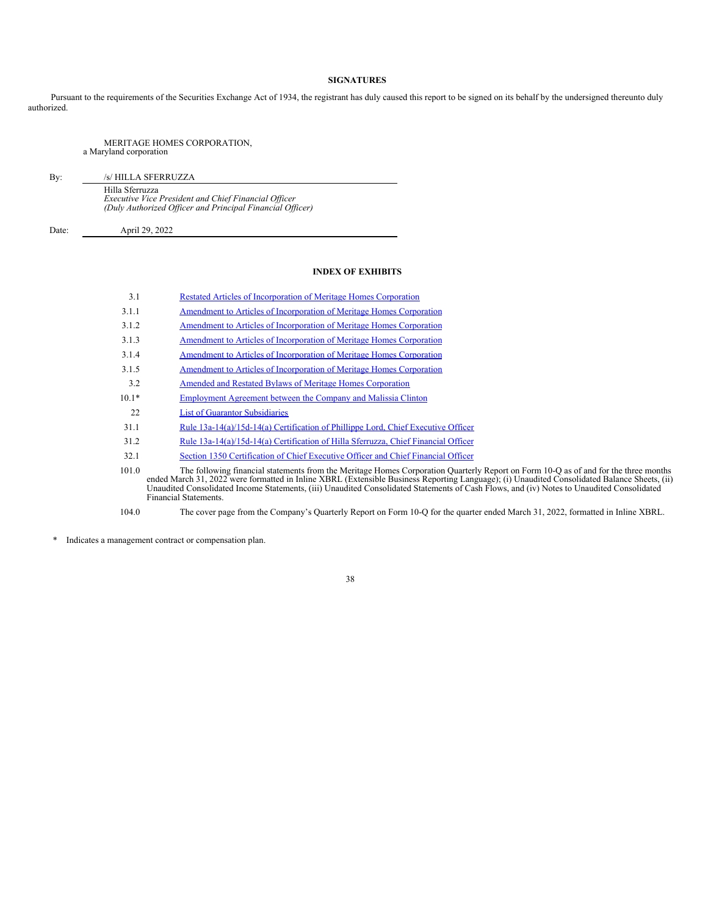# **SIGNATURES**

Pursuant to the requirements of the Securities Exchange Act of 1934, the registrant has duly caused this report to be signed on its behalf by the undersigned thereunto duly authorized.

### MERITAGE HOMES CORPORATION, a Maryland corporation

By: /s/ HILLA SFERRUZZA Hilla Sferruzza<br>Executive Vice President and Chief Financial Officer<br>(Duly Authorized Officer and Principal Financial Officer)

<span id="page-37-0"></span>

Date: April 29, 2022

# **INDEX OF EXHIBITS**

| 3.1     | Restated Articles of Incorporation of Meritage Homes Corporation                                                                                                                                                                                                                                                                                                                                                                                          |
|---------|-----------------------------------------------------------------------------------------------------------------------------------------------------------------------------------------------------------------------------------------------------------------------------------------------------------------------------------------------------------------------------------------------------------------------------------------------------------|
| 3.1.1   | Amendment to Articles of Incorporation of Meritage Homes Corporation                                                                                                                                                                                                                                                                                                                                                                                      |
| 3.1.2   | Amendment to Articles of Incorporation of Meritage Homes Corporation                                                                                                                                                                                                                                                                                                                                                                                      |
| 3.1.3   | Amendment to Articles of Incorporation of Meritage Homes Corporation                                                                                                                                                                                                                                                                                                                                                                                      |
| 3.1.4   | Amendment to Articles of Incorporation of Meritage Homes Corporation                                                                                                                                                                                                                                                                                                                                                                                      |
| 3.1.5   | Amendment to Articles of Incorporation of Meritage Homes Corporation                                                                                                                                                                                                                                                                                                                                                                                      |
| 3.2     | Amended and Restated Bylaws of Meritage Homes Corporation                                                                                                                                                                                                                                                                                                                                                                                                 |
| $10.1*$ | Employment Agreement between the Company and Malissia Clinton                                                                                                                                                                                                                                                                                                                                                                                             |
| 22      | <b>List of Guarantor Subsidiaries</b>                                                                                                                                                                                                                                                                                                                                                                                                                     |
| 31.1    | Rule $13a-14(a)/15d-14(a)$ Certification of Phillippe Lord, Chief Executive Officer                                                                                                                                                                                                                                                                                                                                                                       |
| 31.2    | Rule 13a-14(a)/15d-14(a) Certification of Hilla Sferruzza, Chief Financial Officer                                                                                                                                                                                                                                                                                                                                                                        |
| 32.1    | Section 1350 Certification of Chief Executive Officer and Chief Financial Officer                                                                                                                                                                                                                                                                                                                                                                         |
| 101.0   | The following financial statements from the Meritage Homes Corporation Quarterly Report on Form 10-Q as of and for the three months<br>ended March 31, 2022 were formatted in Inline XBRL (Extensible Business Reporting Language); (i) Unaudited Consolidated Balance Sheets, (ii)<br>Unaudited Consolidated Income Statements, (iii) Unaudited Consolidated Statements of Cash Flows, and (iv) Notes to Unaudited Consolidated<br>Financial Statements. |
| 104.0   | The cover page from the Company's Quarterly Report on Form 10-Q for the quarter ended March 31, 2022, formatted in Inline XBRL.                                                                                                                                                                                                                                                                                                                           |

\* Indicates a management contract or compensation plan.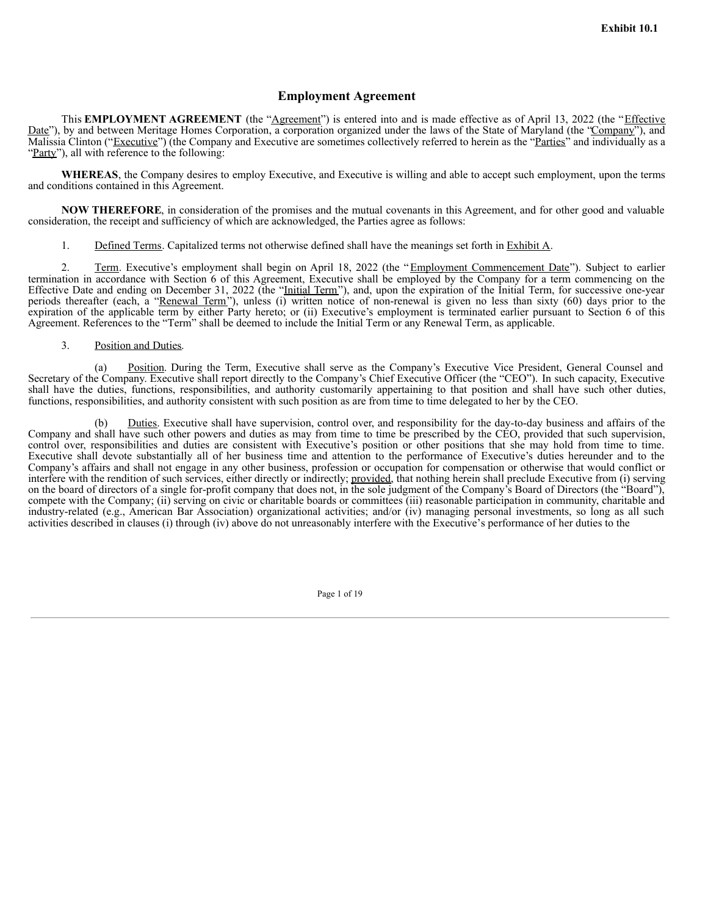# **Employment Agreement**

This **EMPLOYMENT AGREEMENT** (the "Agreement") is entered into and is made effective as of April 13, 2022 (the "*Effective* Date"), by and between Meritage Homes Corporation, a corporation organized under the laws of the State of Maryland (the "Company"), and Malissia Clinton ("Executive") (the Company and Executive are sometimes collectively referred to herein as the "Parties" and individually as a "Party"), all with reference to the following:

**WHEREAS**, the Company desires to employ Executive, and Executive is willing and able to accept such employment, upon the terms and conditions contained in this Agreement.

**NOW THEREFORE**, in consideration of the promises and the mutual covenants in this Agreement, and for other good and valuable consideration, the receipt and sufficiency of which are acknowledged, the Parties agree as follows:

1. Defined Terms. Capitalized terms not otherwise defined shall have the meanings set forth in Exhibit A.

2. Term. Executive's employment shall begin on April 18, 2022 (the "Employment Commencement Date"). Subject to earlier termination in accordance with Section 6 of this Agreement, Executive shall be employed by the Company for a term commencing on the Effective Date and ending on December 31, 2022 (the "Initial Term"), and, upon the expiration of the Initial Term, for successive one-year periods thereafter (each, a "Renewal Term"), unless (i) written notice of non-renewal is given no less than sixty (60) days prior to the expiration of the applicable term by either Party hereto; or (ii) Executive's employment is terminated earlier pursuant to Section 6 of this Agreement. References to the "Term" shall be deemed to include the Initial Term or any Renewal Term, as applicable.

3. Position and Duties.

(a) Position. During the Term, Executive shall serve as the Company's Executive Vice President, General Counsel and Secretary of the Company. Executive shall report directly to the Company's Chief Executive Officer (the "CEO"). In such capacity, Executive shall have the duties, functions, responsibilities, and authority customarily appertaining to that position and shall have such other duties, functions, responsibilities, and authority consistent with such position as are from time to time delegated to her by the CEO.

(b) Duties. Executive shall have supervision, control over, and responsibility for the day-to-day business and affairs of the Company and shall have such other powers and duties as may from time to time be prescribed by the CEO, provided that such supervision, control over, responsibilities and duties are consistent with Executive's position or other positions that she may hold from time to time. Executive shall devote substantially all of her business time and attention to the performance of Executive's duties hereunder and to the Company's affairs and shall not engage in any other business, profession or occupation for compensation or otherwise that would conflict or interfere with the rendition of such services, either directly or indirectly; provided, that nothing herein shall preclude Executive from (i) serving on the board of directors of a single for-profit company that does not, in the sole judgment of the Company's Board of Directors (the "Board"), compete with the Company; (ii) serving on civic or charitable boards or committees (iii) reasonable participation in community, charitable and industry-related (e.g., American Bar Association) organizational activities; and/or (iv) managing personal investments, so long as all such activities described in clauses (i) through (iv) above do not unreasonably interfere with the Executive's performance of her duties to the

Page 1 of 19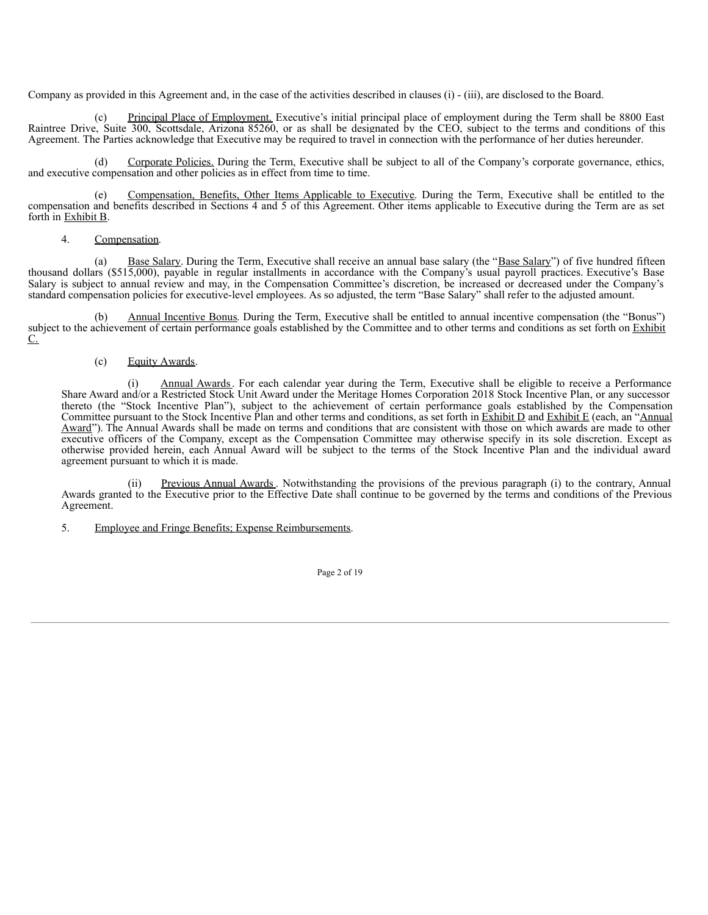Company as provided in this Agreement and, in the case of the activities described in clauses (i) - (iii), are disclosed to the Board.

Principal Place of Employment. Executive's initial principal place of employment during the Term shall be 8800 East Raintree Drive, Suite 300, Scottsdale, Arizona 85260, or as shall be designated by the CEO, subject to the terms and conditions of this Agreement. The Parties acknowledge that Executive may be required to travel in connection with the performance of her duties hereunder.

(d) Corporate Policies. During the Term, Executive shall be subject to all of the Company's corporate governance, ethics, and executive compensation and other policies as in effect from time to time.

(e) Compensation, Benefits, Other Items Applicable to Executive. During the Term, Executive shall be entitled to the compensation and benefits described in Sections 4 and 5 of this Agreement. Other items applicable to Executive during the Term are as set forth in Exhibit B.

# 4. Compensation.

(a) Base Salary. During the Term, Executive shall receive an annual base salary (the "Base Salary") of five hundred fifteen thousand dollars (\$515,000), payable in regular installments in accordance with the Company's usual payroll practices. Executive's Base Salary is subject to annual review and may, in the Compensation Committee's discretion, be increased or decreased under the Company's standard compensation policies for executive-level employees. As so adjusted, the term "Base Salary" shall refer to the adjusted amount.

(b) Annual Incentive Bonus. During the Term, Executive shall be entitled to annual incentive compensation (the "Bonus") subject to the achievement of certain performance goals established by the Committee and to other terms and conditions as set forth on Exhibit C.

# (c) Equity Awards.

Annual Awards. For each calendar year during the Term, Executive shall be eligible to receive a Performance Share Award and/or a Restricted Stock Unit Award under the Meritage Homes Corporation 2018 Stock Incentive Plan, or any successor thereto (the "Stock Incentive Plan"), subject to the achievement of certain performance goals established by the Compensation Committee pursuant to the Stock Incentive Plan and other terms and conditions, as set forth in **Exhibit D** and Exhibit E (each, an "Annual" Award"). The Annual Awards shall be made on terms and conditions that are consistent with those on which awards are made to other executive officers of the Company, except as the Compensation Committee may otherwise specify in its sole discretion. Except as otherwise provided herein, each Annual Award will be subject to the terms of the Stock Incentive Plan and the individual award agreement pursuant to which it is made.

(ii) Previous Annual Awards. Notwithstanding the provisions of the previous paragraph (i) to the contrary, Annual Awards granted to the Executive prior to the Effective Date shall continue to be governed by the terms and conditions of the Previous Agreement.

5. Employee and Fringe Benefits; Expense Reimbursements.

Page 2 of 19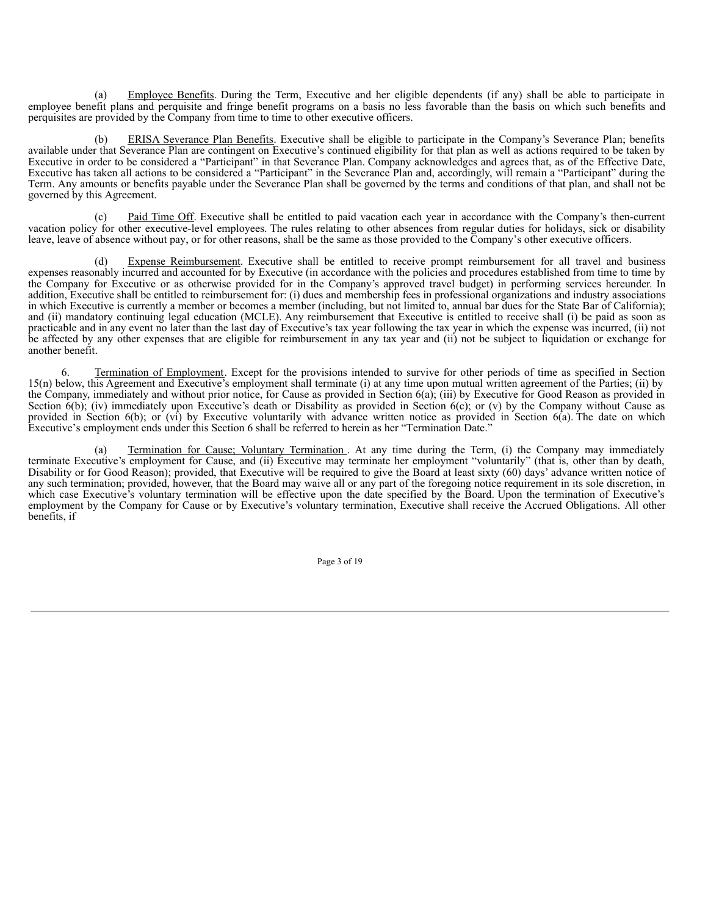(a) Employee Benefits. During the Term, Executive and her eligible dependents (if any) shall be able to participate in employee benefit plans and perquisite and fringe benefit programs on a basis no less favorable than the basis on which such benefits and perquisites are provided by the Company from time to time to other executive officers.

ERISA Severance Plan Benefits. Executive shall be eligible to participate in the Company's Severance Plan; benefits available under that Severance Plan are contingent on Executive's continued eligibility for that plan as well as actions required to be taken by Executive in order to be considered a "Participant" in that Severance Plan. Company acknowledges and agrees that, as of the Effective Date, Executive has taken all actions to be considered a "Participant" in the Severance Plan and, accordingly, will remain a "Participant" during the Term. Any amounts or benefits payable under the Severance Plan shall be governed by the terms and conditions of that plan, and shall not be governed by this Agreement.

(c) Paid Time Off. Executive shall be entitled to paid vacation each year in accordance with the Company's then-current vacation policy for other executive-level employees. The rules relating to other absences from regular duties for holidays, sick or disability leave, leave of absence without pay, or for other reasons, shall be the same as those provided to the Company's other executive officers.

Expense Reimbursement. Executive shall be entitled to receive prompt reimbursement for all travel and business expenses reasonably incurred and accounted for by Executive (in accordance with the policies and procedures established from time to time by the Company for Executive or as otherwise provided for in the Company's approved travel budget) in performing services hereunder. In addition, Executive shall be entitled to reimbursement for: (i) dues and membership fees in professional organizations and industry associations in which Executive is currently a member or becomes a member (including, but not limited to, annual bar dues for the State Bar of California); and (ii) mandatory continuing legal education (MCLE). Any reimbursement that Executive is entitled to receive shall (i) be paid as soon as practicable and in any event no later than the last day of Executive's tax year following the tax year in which the expense was incurred, (ii) not be affected by any other expenses that are eligible for reimbursement in any tax year and (ii) not be subject to liquidation or exchange for another benefit.

6. Termination of Employment. Except for the provisions intended to survive for other periods of time as specified in Section 15(n) below, this Agreement and Executive's employment shall terminate (i) at any time upon mutual written agreement of the Parties; (ii) by the Company, immediately and without prior notice, for Cause as provided in Section 6(a); (iii) by Executive for Good Reason as provided in Section  $\hat{\theta}$ (b); (iv) immediately upon Executive's death or Disability as provided in Section  $\hat{\theta}$ (c); or (v) by the Company without Cause as provided in Section 6(b); or (vi) by Executive voluntarily with advance written notice as provided in Section 6(a). The date on which Executive's employment ends under this Section 6 shall be referred to herein as her "Termination Date."

(a) Termination for Cause; Voluntary Termination . At any time during the Term, (i) the Company may immediately terminate Executive's employment for Cause, and (ii) Executive may terminate her employment "voluntarily" (that is, other than by death, Disability or for Good Reason); provided, that Executive will be required to give the Board at least sixty (60) days' advance written notice of any such termination; provided, however, that the Board may waive all or any part of the foregoing notice requirement in its sole discretion, in which case Executive's voluntary termination will be effective upon the date specified by the Board. Upon the termination of Executive's employment by the Company for Cause or by Executive's voluntary termination, Executive shall receive the Accrued Obligations. All other benefits, if

Page 3 of 19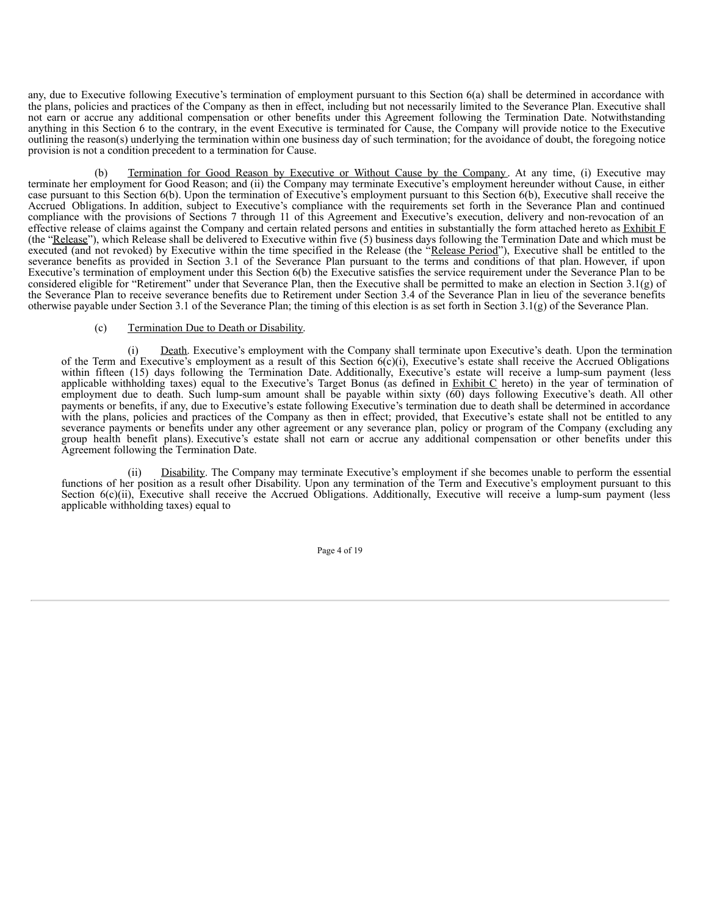any, due to Executive following Executive's termination of employment pursuant to this Section 6(a) shall be determined in accordance with the plans, policies and practices of the Company as then in effect, including but not necessarily limited to the Severance Plan. Executive shall not earn or accrue any additional compensation or other benefits under this Agreement following the Termination Date. Notwithstanding anything in this Section 6 to the contrary, in the event Executive is terminated for Cause, the Company will provide notice to the Executive outlining the reason(s) underlying the termination within one business day of such termination; for the avoidance of doubt, the foregoing notice provision is not a condition precedent to a termination for Cause.

(b) Termination for Good Reason by Executive or Without Cause by the Company . At any time, (i) Executive may terminate her employment for Good Reason; and (ii) the Company may terminate Executive's employment hereunder without Cause, in either case pursuant to this Section 6(b). Upon the termination of Executive's employment pursuant to this Section 6(b), Executive shall receive the Accrued Obligations. In addition, subject to Executive's compliance with the requirements set forth in the Severance Plan and continued compliance with the provisions of Sections 7 through 11 of this Agreement and Executive's execution, delivery and non-revocation of an effective release of claims against the Company and certain related persons and entities in substantially the form attached hereto as Exhibit F (the "Release"), which Release shall be delivered to Executive within five (5) business days following the Termination Date and which must be executed (and not revoked) by Executive within the time specified in the Release (the "Release Period"), Executive shall be entitled to the severance benefits as provided in Section 3.1 of the Severance Plan pursuant to the terms and conditions of that plan. However, if upon Executive's termination of employment under this Section 6(b) the Executive satisfies the service requirement under the Severance Plan to be considered eligible for "Retirement" under that Severance Plan, then the Executive shall be permitted to make an election in Section 3.1(g) of the Severance Plan to receive severance benefits due to Retirement under Section 3.4 of the Severance Plan in lieu of the severance benefits otherwise payable under Section 3.1 of the Severance Plan; the timing of this election is as set forth in Section 3.1(g) of the Severance Plan.

# (c) Termination Due to Death or Disability.

(i) Death. Executive's employment with the Company shall terminate upon Executive's death. Upon the termination of the Term and Executive's employment as a result of this Section  $6(c)(i)$ , Executive's estate shall receive the Accrued Obligations within fifteen (15) days following the Termination Date. Additionally, Executive's estate will receive a lump-sum payment (less applicable withholding taxes) equal to the Executive's Target Bonus (as defined in Exhibit  $C$  hereto) in the year of termination of employment due to death. Such lump-sum amount shall be payable within sixty (60) days following Executive's death. All other payments or benefits, if any, due to Executive's estate following Executive's termination due to death shall be determined in accordance with the plans, policies and practices of the Company as then in effect; provided, that Executive's estate shall not be entitled to any severance payments or benefits under any other agreement or any severance plan, policy or program of the Company (excluding any group health benefit plans). Executive's estate shall not earn or accrue any additional compensation or other benefits under this Agreement following the Termination Date.

Disability. The Company may terminate Executive's employment if she becomes unable to perform the essential functions of her position as a result ofher Disability. Upon any termination of the Term and Executive's employment pursuant to this Section 6(c)(ii), Executive shall receive the Accrued Obligations. Additionally, Executive will receive a lump-sum payment (less applicable withholding taxes) equal to

Page 4 of 19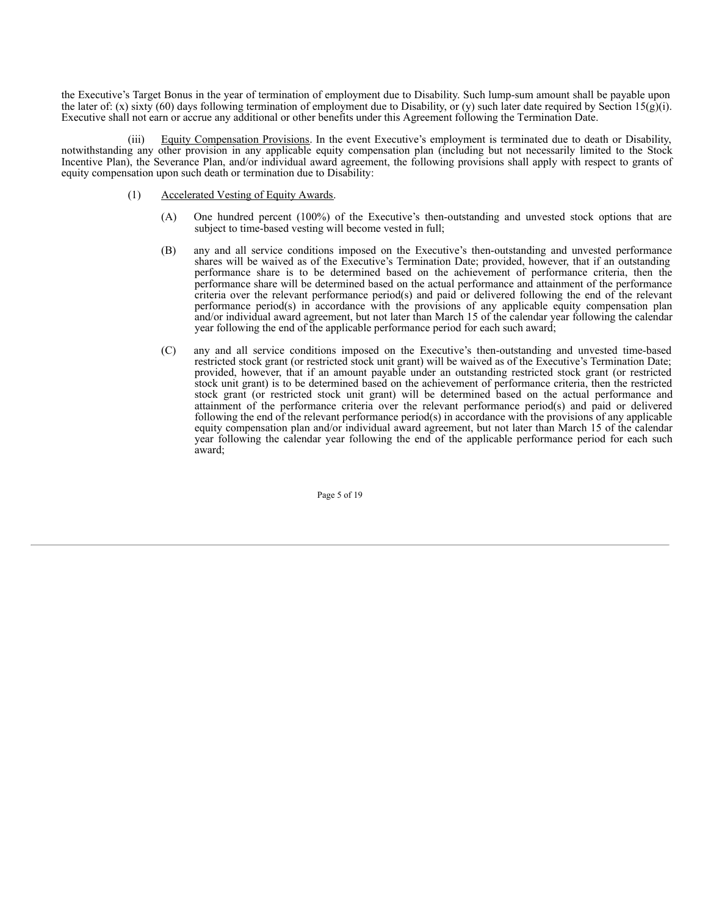the Executive's Target Bonus in the year of termination of employment due to Disability. Such lump-sum amount shall be payable upon the later of: (x) sixty (60) days following termination of employment due to Disability, or (y) such later date required by Section 15(g)(i). Executive shall not earn or accrue any additional or other benefits under this Agreement following the Termination Date.

(iii) Equity Compensation Provisions. In the event Executive's employment is terminated due to death or Disability, notwithstanding any other provision in any applicable equity compensation plan (including but not necessarily limited to the Stock Incentive Plan), the Severance Plan, and/or individual award agreement, the following provisions shall apply with respect to grants of equity compensation upon such death or termination due to Disability:

- (1) Accelerated Vesting of Equity Awards.
	- (A) One hundred percent (100%) of the Executive's then-outstanding and unvested stock options that are subject to time-based vesting will become vested in full;
	- (B) any and all service conditions imposed on the Executive's then-outstanding and unvested performance shares will be waived as of the Executive's Termination Date; provided, however, that if an outstanding performance share is to be determined based on the achievement of performance criteria, then the performance share will be determined based on the actual performance and attainment of the performance criteria over the relevant performance period(s) and paid or delivered following the end of the relevant performance period(s) in accordance with the provisions of any applicable equity compensation plan and/or individual award agreement, but not later than March 15 of the calendar year following the calendar year following the end of the applicable performance period for each such award;
	- (C) any and all service conditions imposed on the Executive's then-outstanding and unvested time-based restricted stock grant (or restricted stock unit grant) will be waived as of the Executive's Termination Date; provided, however, that if an amount payable under an outstanding restricted stock grant (or restricted stock unit grant) is to be determined based on the achievement of performance criteria, then the restricted stock grant (or restricted stock unit grant) will be determined based on the actual performance and attainment of the performance criteria over the relevant performance period(s) and paid or delivered following the end of the relevant performance period(s) in accordance with the provisions of any applicable equity compensation plan and/or individual award agreement, but not later than March 15 of the calendar year following the calendar year following the end of the applicable performance period for each such award;

Page 5 of 19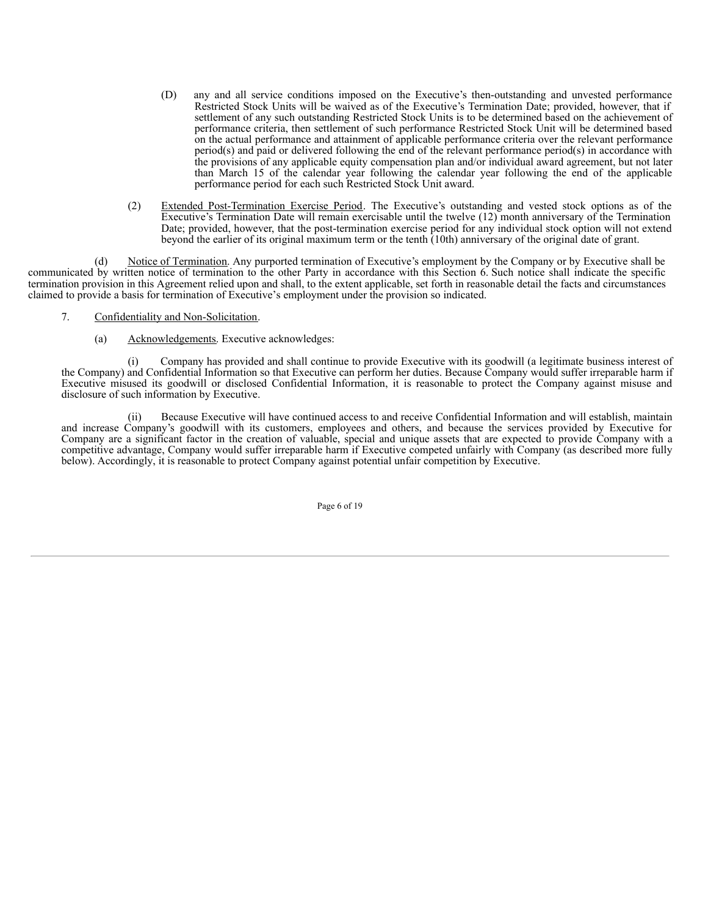- (D) any and all service conditions imposed on the Executive's then-outstanding and unvested performance Restricted Stock Units will be waived as of the Executive's Termination Date; provided, however, that if settlement of any such outstanding Restricted Stock Units is to be determined based on the achievement of performance criteria, then settlement of such performance Restricted Stock Unit will be determined based on the actual performance and attainment of applicable performance criteria over the relevant performance period(s) and paid or delivered following the end of the relevant performance period(s) in accordance with the provisions of any applicable equity compensation plan and/or individual award agreement, but not later than March 15 of the calendar year following the calendar year following the end of the applicable performance period for each such Restricted Stock Unit award.
- (2) Extended Post-Termination Exercise Period. The Executive's outstanding and vested stock options as of the Executive's Termination Date will remain exercisable until the twelve (12) month anniversary of the Termination Date; provided, however, that the post-termination exercise period for any individual stock option will not extend beyond the earlier of its original maximum term or the tenth (10th) anniversary of the original date of grant.

(d) Notice of Termination. Any purported termination of Executive's employment by the Company or by Executive shall be communicated by written notice of termination to the other Party in accordance with this Section 6. Such notice shall indicate the specific termination provision in this Agreement relied upon and shall, to the extent applicable, set forth in reasonable detail the facts and circumstances claimed to provide a basis for termination of Executive's employment under the provision so indicated.

- 7. Confidentiality and Non-Solicitation.
	- (a) Acknowledgements. Executive acknowledges:

Company has provided and shall continue to provide Executive with its goodwill (a legitimate business interest of the Company) and Confidential Information so that Executive can perform her duties. Because Company would suffer irreparable harm if Executive misused its goodwill or disclosed Confidential Information, it is reasonable to protect the Company against misuse and disclosure of such information by Executive.

(ii) Because Executive will have continued access to and receive Confidential Information and will establish, maintain and increase Company's goodwill with its customers, employees and others, and because the services provided by Executive for Company are a significant factor in the creation of valuable, special and unique assets that are expected to provide Company with a competitive advantage, Company would suffer irreparable harm if Executive competed unfairly with Company (as described more fully below). Accordingly, it is reasonable to protect Company against potential unfair competition by Executive.

Page 6 of 19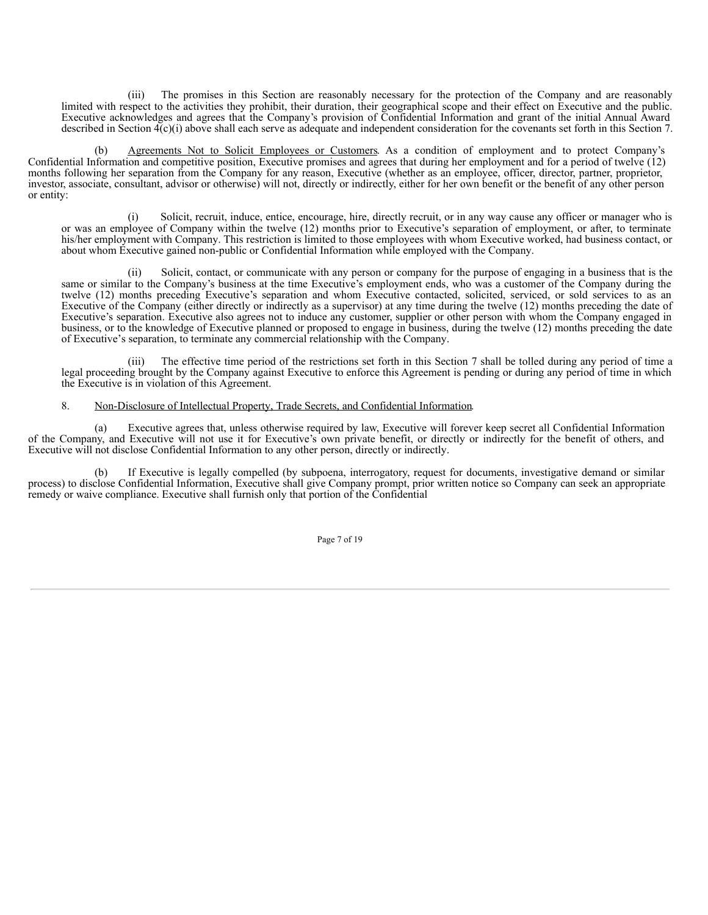(iii) The promises in this Section are reasonably necessary for the protection of the Company and are reasonably limited with respect to the activities they prohibit, their duration, their geographical scope and their effect on Executive and the public. Executive acknowledges and agrees that the Company's provision of Confidential Information and grant of the initial Annual Award described in Section  $\mathcal{A}(c)(i)$  above shall each serve as adequate and independent consideration for the covenants set forth in this Section 7.

(b) Agreements Not to Solicit Employees or Customers. As a condition of employment and to protect Company's Confidential Information and competitive position, Executive promises and agrees that during her employment and for a period of twelve (12) months following her separation from the Company for any reason, Executive (whether as an employee, officer, director, partner, proprietor, investor, associate, consultant, advisor or otherwise) will not, directly or indirectly, either for her own benefit or the benefit of any other person or entity:

(i) Solicit, recruit, induce, entice, encourage, hire, directly recruit, or in any way cause any officer or manager who is or was an employee of Company within the twelve (12) months prior to Executive's separation of employment, or after, to terminate his/her employment with Company. This restriction is limited to those employees with whom Executive worked, had business contact, or about whom Executive gained non-public or Confidential Information while employed with the Company.

(ii) Solicit, contact, or communicate with any person or company for the purpose of engaging in a business that is the same or similar to the Company's business at the time Executive's employment ends, who was a customer of the Company during the twelve (12) months preceding Executive's separation and whom Executive contacted, solicited, serviced, or sold services to as an Executive of the Company (either directly or indirectly as a supervisor) at any time during the twelve (12) months preceding the date of Executive's separation. Executive also agrees not to induce any customer, supplier or other person with whom the Company engaged in business, or to the knowledge of Executive planned or proposed to engage in business, during the twelve (12) months preceding the date of Executive's separation, to terminate any commercial relationship with the Company.

(iii) The effective time period of the restrictions set forth in this Section 7 shall be tolled during any period of time a legal proceeding brought by the Company against Executive to enforce this Agreement is pending or during any period of time in which the Executive is in violation of this Agreement.

# 8. Non-Disclosure of Intellectual Property, Trade Secrets, and Confidential Information.

(a) Executive agrees that, unless otherwise required by law, Executive will forever keep secret all Confidential Information of the Company, and Executive will not use it for Executive's own private benefit, or directly or indirectly for the benefit of others, and Executive will not disclose Confidential Information to any other person, directly or indirectly.

(b) If Executive is legally compelled (by subpoena, interrogatory, request for documents, investigative demand or similar process) to disclose Confidential Information, Executive shall give Company prompt, prior written notice so Company can seek an appropriate remedy or waive compliance. Executive shall furnish only that portion of the Confidential

Page 7 of 19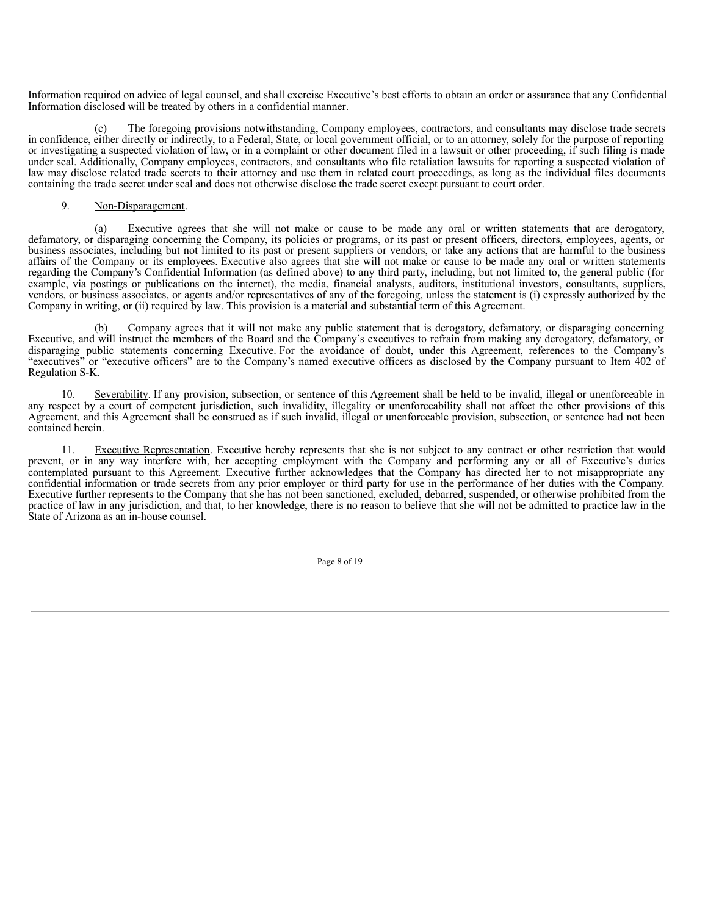Information required on advice of legal counsel, and shall exercise Executive's best efforts to obtain an order or assurance that any Confidential Information disclosed will be treated by others in a confidential manner.

(c) The foregoing provisions notwithstanding, Company employees, contractors, and consultants may disclose trade secrets in confidence, either directly or indirectly, to a Federal, State, or local government official, or to an attorney, solely for the purpose of reporting or investigating a suspected violation of law, or in a complaint or other document filed in a lawsuit or other proceeding, if such filing is made under seal. Additionally, Company employees, contractors, and consultants who file retaliation lawsuits for reporting a suspected violation of law may disclose related trade secrets to their attorney and use them in related court proceedings, as long as the individual files documents containing the trade secret under seal and does not otherwise disclose the trade secret except pursuant to court order.

# 9. Non-Disparagement.

(a) Executive agrees that she will not make or cause to be made any oral or written statements that are derogatory, defamatory, or disparaging concerning the Company, its policies or programs, or its past or present officers, directors, employees, agents, or business associates, including but not limited to its past or present suppliers or vendors, or take any actions that are harmful to the business affairs of the Company or its employees. Executive also agrees that she will not make or cause to be made any oral or written statements regarding the Company's Confidential Information (as defined above) to any third party, including, but not limited to, the general public (for example, via postings or publications on the internet), the media, financial analysts, auditors, institutional investors, consultants, suppliers, vendors, or business associates, or agents and/or representatives of any of the foregoing, unless the statement is (i) expressly authorized by the Company in writing, or (ii) required by law. This provision is a material and substantial term of this Agreement.

(b) Company agrees that it will not make any public statement that is derogatory, defamatory, or disparaging concerning Executive, and will instruct the members of the Board and the Company's executives to refrain from making any derogatory, defamatory, or disparaging public statements concerning Executive. For the avoidance of doubt, under this Agreement, references to the Company's "executives" or "executive officers" are to the Company's named executive officers as disclosed by the Company pursuant to Item 402 of Regulation S-K.

10. Severability. If any provision, subsection, or sentence of this Agreement shall be held to be invalid, illegal or unenforceable in any respect by a court of competent jurisdiction, such invalidity, illegality or unenforceability shall not affect the other provisions of this Agreement, and this Agreement shall be construed as if such invalid, illegal or unenforceable provision, subsection, or sentence had not been contained herein.

11. Executive Representation. Executive hereby represents that she is not subject to any contract or other restriction that would prevent, or in any way interfere with, her accepting employment with the Company and performing any or all of Executive's duties contemplated pursuant to this Agreement. Executive further acknowledges that the Company has directed her to not misappropriate any confidential information or trade secrets from any prior employer or third party for use in the performance of her duties with the Company. Executive further represents to the Company that she has not been sanctioned, excluded, debarred, suspended, or otherwise prohibited from the practice of law in any jurisdiction, and that, to her knowledge, there is no reason to believe that she will not be admitted to practice law in the State of Arizona as an in-house counsel.

Page 8 of 19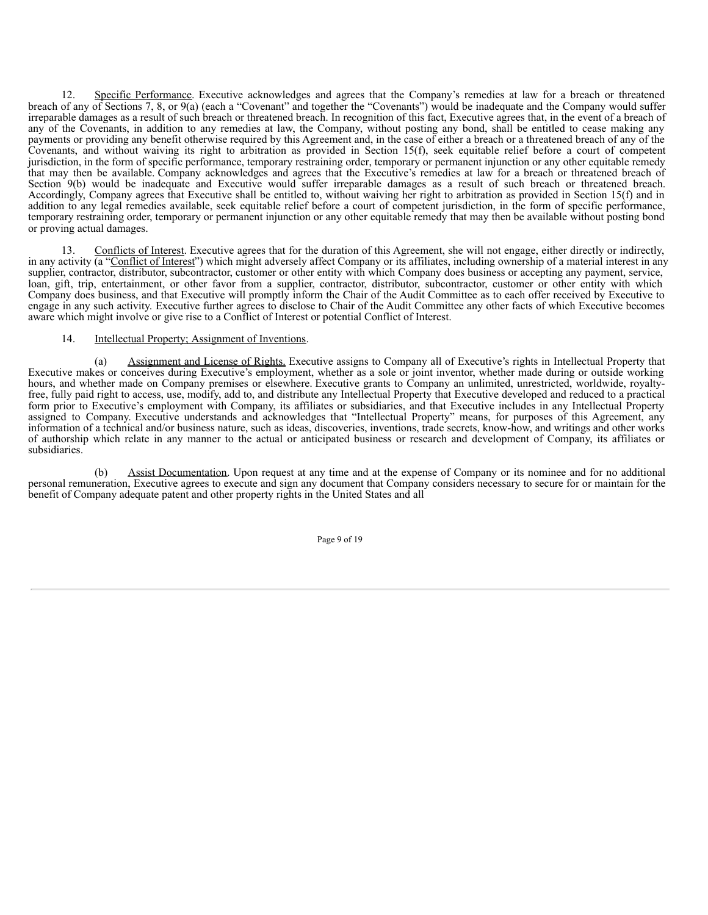12. Specific Performance. Executive acknowledges and agrees that the Company's remedies at law for a breach or threatened breach of any of Sections 7, 8, or 9(a) (each a "Covenant" and together the "Covenants") would be inadequate and the Company would suffer irreparable damages as a result of such breach or threatened breach. In recognition of this fact, Executive agrees that, in the event of a breach of any of the Covenants, in addition to any remedies at law, the Company, without posting any bond, shall be entitled to cease making any payments or providing any benefit otherwise required by this Agreement and, in the case of either a breach or a threatened breach of any of the Covenants, and without waiving its right to arbitration as provided in Section 15(f), seek equitable relief before a court of competent jurisdiction, in the form of specific performance, temporary restraining order, temporary or permanent injunction or any other equitable remedy that may then be available. Company acknowledges and agrees that the Executive's remedies at law for a breach or threatened breach of Section 9(b) would be inadequate and Executive would suffer irreparable damages as a result of such breach or threatened breach. Accordingly, Company agrees that Executive shall be entitled to, without waiving her right to arbitration as provided in Section 15(f) and in addition to any legal remedies available, seek equitable relief before a court of competent jurisdiction, in the form of specific performance, temporary restraining order, temporary or permanent injunction or any other equitable remedy that may then be available without posting bond or proving actual damages.

13. Conflicts of Interest. Executive agrees that for the duration of this Agreement, she will not engage, either directly or indirectly, in any activity (a "Conflict of Interest") which might adversely affect Company or its affiliates, including ownership of a material interest in any supplier, contractor, distributor, subcontractor, customer or other entity with which Company does business or accepting any payment, service, loan, gift, trip, entertainment, or other favor from a supplier, contractor, distributor, subcontractor, customer or other entity with which Company does business, and that Executive will promptly inform the Chair of the Audit Committee as to each offer received by Executive to engage in any such activity. Executive further agrees to disclose to Chair of the Audit Committee any other facts of which Executive becomes aware which might involve or give rise to a Conflict of Interest or potential Conflict of Interest.

# 14. Intellectual Property; Assignment of Inventions.

(a) Assignment and License of Rights. Executive assigns to Company all of Executive's rights in Intellectual Property that Executive makes or conceives during Executive's employment, whether as a sole or joint inventor, whether made during or outside working hours, and whether made on Company premises or elsewhere. Executive grants to Company an unlimited, unrestricted, worldwide, royaltyfree, fully paid right to access, use, modify, add to, and distribute any Intellectual Property that Executive developed and reduced to a practical form prior to Executive's employment with Company, its affiliates or subsidiaries, and that Executive includes in any Intellectual Property assigned to Company. Executive understands and acknowledges that "Intellectual Property" means, for purposes of this Agreement, any information of a technical and/or business nature, such as ideas, discoveries, inventions, trade secrets, know-how, and writings and other works of authorship which relate in any manner to the actual or anticipated business or research and development of Company, its affiliates or subsidiaries.

(b) Assist Documentation. Upon request at any time and at the expense of Company or its nominee and for no additional personal remuneration, Executive agrees to execute and sign any document that Company considers necessary to secure for or maintain for the benefit of Company adequate patent and other property rights in the United States and all

Page 9 of 19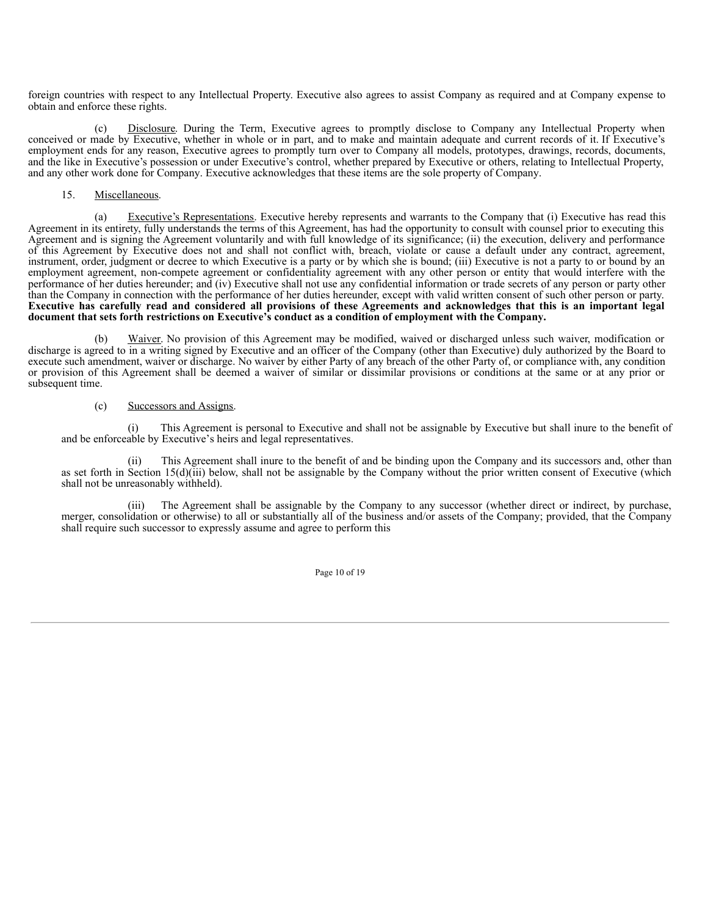foreign countries with respect to any Intellectual Property. Executive also agrees to assist Company as required and at Company expense to obtain and enforce these rights.

(c) Disclosure. During the Term, Executive agrees to promptly disclose to Company any Intellectual Property when conceived or made by Executive, whether in whole or in part, and to make and maintain adequate and current records of it. If Executive's employment ends for any reason, Executive agrees to promptly turn over to Company all models, prototypes, drawings, records, documents, and the like in Executive's possession or under Executive's control, whether prepared by Executive or others, relating to Intellectual Property, and any other work done for Company. Executive acknowledges that these items are the sole property of Company.

# 15. Miscellaneous.

(a) Executive's Representations. Executive hereby represents and warrants to the Company that (i) Executive has read this Agreement in its entirety, fully understands the terms of this Agreement, has had the opportunity to consult with counsel prior to executing this Agreement and is signing the Agreement voluntarily and with full knowledge of its significance; (ii) the execution, delivery and performance of this Agreement by Executive does not and shall not conflict with, breach, violate or cause a default under any contract, agreement, instrument, order, judgment or decree to which Executive is a party or by which she is bound; (iii) Executive is not a party to or bound by an employment agreement, non-compete agreement or confidentiality agreement with any other person or entity that would interfere with the performance of her duties hereunder; and (iv) Executive shall not use any confidential information or trade secrets of any person or party other than the Company in connection with the performance of her duties hereunder, except with valid written consent of such other person or party. Executive has carefully read and considered all provisions of these Agreements and acknowledges that this is an important legal **document that sets forth restrictions on Executive's conduct as a condition of employment with the Company.**

(b) Waiver. No provision of this Agreement may be modified, waived or discharged unless such waiver, modification or discharge is agreed to in a writing signed by Executive and an officer of the Company (other than Executive) duly authorized by the Board to execute such amendment, waiver or discharge. No waiver by either Party of any breach of the other Party of, or compliance with, any condition or provision of this Agreement shall be deemed a waiver of similar or dissimilar provisions or conditions at the same or at any prior or subsequent time.

# (c) Successors and Assigns.

(i) This Agreement is personal to Executive and shall not be assignable by Executive but shall inure to the benefit of and be enforceable by Executive's heirs and legal representatives.

This Agreement shall inure to the benefit of and be binding upon the Company and its successors and, other than as set forth in Section 15(d)(iii) below, shall not be assignable by the Company without the prior written consent of Executive (which shall not be unreasonably withheld).

(iii) The Agreement shall be assignable by the Company to any successor (whether direct or indirect, by purchase, merger, consolidation or otherwise) to all or substantially all of the business and/or assets of the Company; provided, that the Company shall require such successor to expressly assume and agree to perform this

Page 10 of 19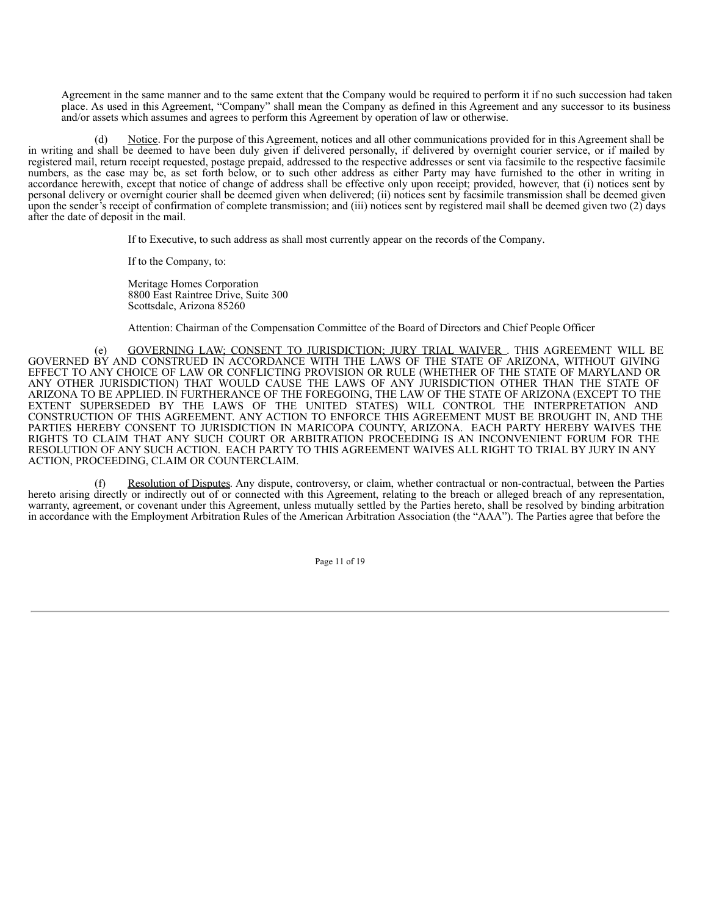Agreement in the same manner and to the same extent that the Company would be required to perform it if no such succession had taken place. As used in this Agreement, "Company" shall mean the Company as defined in this Agreement and any successor to its business and/or assets which assumes and agrees to perform this Agreement by operation of law or otherwise.

Notice. For the purpose of this Agreement, notices and all other communications provided for in this Agreement shall be in writing and shall be deemed to have been duly given if delivered personally, if delivered by overnight courier service, or if mailed by registered mail, return receipt requested, postage prepaid, addressed to the respective addresses or sent via facsimile to the respective facsimile numbers, as the case may be, as set forth below, or to such other address as either Party may have furnished to the other in writing in accordance herewith, except that notice of change of address shall be effective only upon receipt; provided, however, that (i) notices sent by personal delivery or overnight courier shall be deemed given when delivered; (ii) notices sent by facsimile transmission shall be deemed given upon the sender's receipt of confirmation of complete transmission; and (iii) notices sent by registered mail shall be deemed given two (2) days after the date of deposit in the mail.

If to Executive, to such address as shall most currently appear on the records of the Company.

If to the Company, to:

Meritage Homes Corporation 8800 East Raintree Drive, Suite 300 Scottsdale, Arizona 85260

Attention: Chairman of the Compensation Committee of the Board of Directors and Chief People Officer

(e) GOVERNING LAW; CONSENT TO JURISDICTION; JURY TRIAL WAIVER . THIS AGREEMENT WILL BE GOVERNED BY AND CONSTRUED IN ACCORDANCE WITH THE LAWS OF THE STATE OF ARIZONA, WITHOUT GIVING EFFECT TO ANY CHOICE OF LAW OR CONFLICTING PROVISION OR RULE (WHETHER OF THE STATE OF MARYLAND OR ANY OTHER JURISDICTION) THAT WOULD CAUSE THE LAWS OF ANY JURISDICTION OTHER THAN THE STATE OF ARIZONA TO BE APPLIED. IN FURTHERANCE OF THE FOREGOING, THE LAW OF THE STATE OF ARIZONA (EXCEPT TO THE EXTENT SUPERSEDED BY THE LAWS OF THE UNITED STATES) WILL CONTROL THE INTERPRETATION AND CONSTRUCTION OF THIS AGREEMENT. ANY ACTION TO ENFORCE THIS AGREEMENT MUST BE BROUGHT IN, AND THE PARTIES HEREBY CONSENT TO JURISDICTION IN MARICOPA COUNTY, ARIZONA. EACH PARTY HEREBY WAIVES THE RIGHTS TO CLAIM THAT ANY SUCH COURT OR ARBITRATION PROCEEDING IS AN INCONVENIENT FORUM FOR THE RESOLUTION OF ANY SUCH ACTION. EACH PARTY TO THIS AGREEMENT WAIVES ALL RIGHT TO TRIAL BY JURY IN ANY ACTION, PROCEEDING, CLAIM OR COUNTERCLAIM.

(f) Resolution of Disputes. Any dispute, controversy, or claim, whether contractual or non-contractual, between the Parties hereto arising directly or indirectly out of or connected with this Agreement, relating to the breach or alleged breach of any representation, warranty, agreement, or covenant under this Agreement, unless mutually settled by the Parties hereto, shall be resolved by binding arbitration in accordance with the Employment Arbitration Rules of the American Arbitration Association (the "AAA"). The Parties agree that before the

Page 11 of 19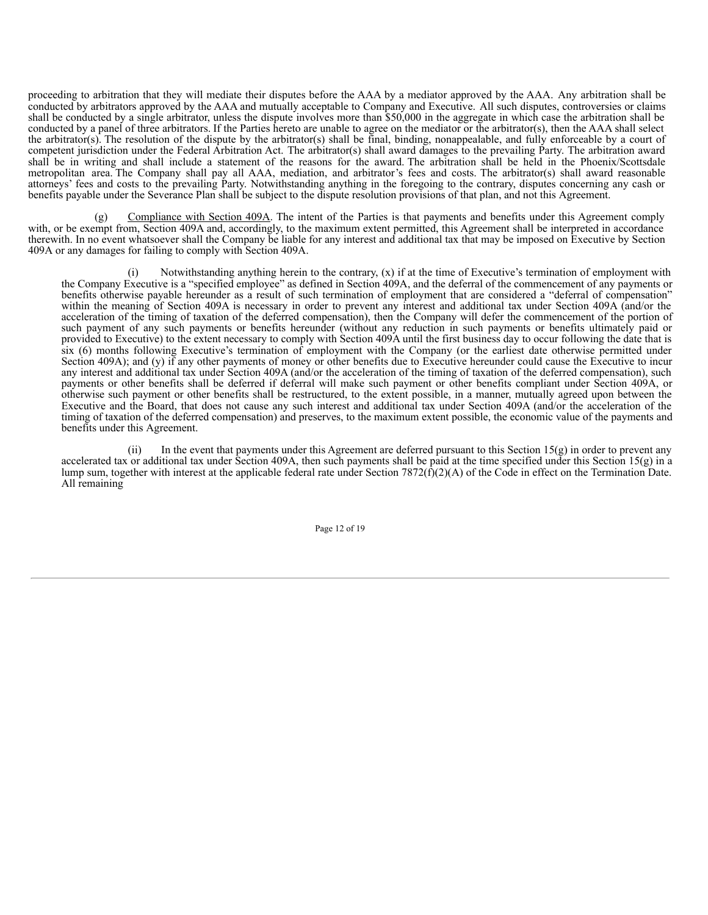proceeding to arbitration that they will mediate their disputes before the AAA by a mediator approved by the AAA. Any arbitration shall be conducted by arbitrators approved by the AAA and mutually acceptable to Company and Executive. All such disputes, controversies or claims shall be conducted by a single arbitrator, unless the dispute involves more than \$50,000 in the aggregate in which case the arbitration shall be conducted by a panel of three arbitrators. If the Parties hereto are unable to agree on the mediator or the arbitrator(s), then the AAA shall select the arbitrator(s). The resolution of the dispute by the arbitrator(s) shall be final, binding, nonappealable, and fully enforceable by a court of competent jurisdiction under the Federal Arbitration Act. The arbitrator(s) shall award damages to the prevailing Party. The arbitration award shall be in writing and shall include a statement of the reasons for the award. The arbitration shall be held in the Phoenix/Scottsdale metropolitan area. The Company shall pay all AAA, mediation, and arbitrator's fees and costs. The arbitrator(s) shall award reasonable attorneys' fees and costs to the prevailing Party. Notwithstanding anything in the foregoing to the contrary, disputes concerning any cash or benefits payable under the Severance Plan shall be subject to the dispute resolution provisions of that plan, and not this Agreement.

(g) Compliance with Section 409A. The intent of the Parties is that payments and benefits under this Agreement comply with, or be exempt from, Section 409A and, accordingly, to the maximum extent permitted, this Agreement shall be interpreted in accordance therewith. In no event whatsoever shall the Company be liable for any interest and additional tax that may be imposed on Executive by Section 409A or any damages for failing to comply with Section 409A.

(i) Notwithstanding anything herein to the contrary, (x) if at the time of Executive's termination of employment with the Company Executive is a "specified employee" as defined in Section 409A, and the deferral of the commencement of any payments or benefits otherwise payable hereunder as a result of such termination of employment that are considered a "deferral of compensation" within the meaning of Section 409A is necessary in order to prevent any interest and additional tax under Section 409A (and/or the acceleration of the timing of taxation of the deferred compensation), then the Company will defer the commencement of the portion of such payment of any such payments or benefits hereunder (without any reduction in such payments or benefits ultimately paid or provided to Executive) to the extent necessary to comply with Section 409A until the first business day to occur following the date that is six (6) months following Executive's termination of employment with the Company (or the earliest date otherwise permitted under Section 409A); and (y) if any other payments of money or other benefits due to Executive hereunder could cause the Executive to incur any interest and additional tax under Section 409A (and/or the acceleration of the timing of taxation of the deferred compensation), such payments or other benefits shall be deferred if deferral will make such payment or other benefits compliant under Section 409A, or otherwise such payment or other benefits shall be restructured, to the extent possible, in a manner, mutually agreed upon between the Executive and the Board, that does not cause any such interest and additional tax under Section 409A (and/or the acceleration of the timing of taxation of the deferred compensation) and preserves, to the maximum extent possible, the economic value of the payments and benefits under this Agreement.

(ii) In the event that payments under this Agreement are deferred pursuant to this Section 15(g) in order to prevent any accelerated tax or additional tax under Section 409A, then such payments shall be paid at the time specified under this Section 15(g) in a lump sum, together with interest at the applicable federal rate under Section 7872( $\hat{f}(2)(A)$ ) of the Code in effect on the Termination Date. All remaining

Page 12 of 19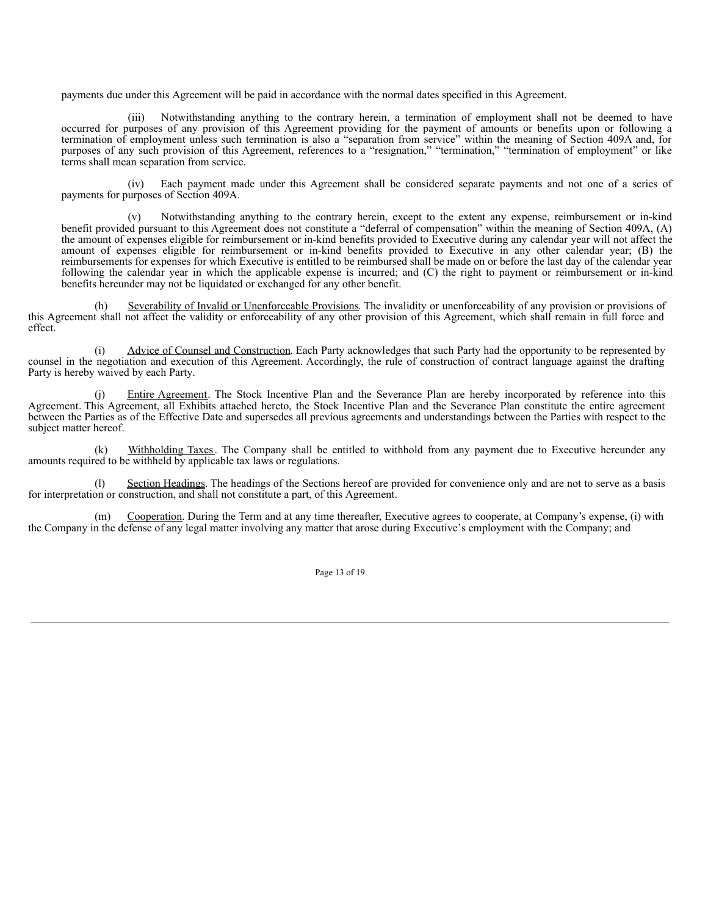payments due under this Agreement will be paid in accordance with the normal dates specified in this Agreement.

(iii) Notwithstanding anything to the contrary herein, a termination of employment shall not be deemed to have occurred for purposes of any provision of this Agreement providing for the payment of amounts or benefits upon or following a termination of employment unless such termination is also a "separation from service" within the meaning of Section 409A and, for purposes of any such provision of this Agreement, references to a "resignation," "termination," "termination of employment" or like terms shall mean separation from service.

(iv) Each payment made under this Agreement shall be considered separate payments and not one of a series of payments for purposes of Section 409A.

(v) Notwithstanding anything to the contrary herein, except to the extent any expense, reimbursement or in-kind benefit provided pursuant to this Agreement does not constitute a "deferral of compensation" within the meaning of Section 409A, (A) the amount of expenses eligible for reimbursement or in-kind benefits provided to Executive during any calendar year will not affect the amount of expenses eligible for reimbursement or in-kind benefits provided to Executive in any other calendar year; (B) the reimbursements for expenses for which Executive is entitled to be reimbursed shall be made on or before the last day of the calendar year following the calendar year in which the applicable expense is incurred; and (C) the right to payment or reimbursement or in-kind benefits hereunder may not be liquidated or exchanged for any other benefit.

(h) Severability of Invalid or Unenforceable Provisions. The invalidity or unenforceability of any provision or provisions of this Agreement shall not affect the validity or enforceability of any other provision of this Agreement, which shall remain in full force and effect.

(i) Advice of Counsel and Construction. Each Party acknowledges that such Party had the opportunity to be represented by counsel in the negotiation and execution of this Agreement. Accordingly, the rule of construction of contract language against the drafting Party is hereby waived by each Party.

Entire Agreement. The Stock Incentive Plan and the Severance Plan are hereby incorporated by reference into this Agreement. This Agreement, all Exhibits attached hereto, the Stock Incentive Plan and the Severance Plan constitute the entire agreement between the Parties as of the Effective Date and supersedes all previous agreements and understandings between the Parties with respect to the subject matter hereof.

(k) Withholding Taxes. The Company shall be entitled to withhold from any payment due to Executive hereunder any amounts required to be withheld by applicable tax laws or regulations.

Section Headings. The headings of the Sections hereof are provided for convenience only and are not to serve as a basis for interpretation or construction, and shall not constitute a part, of this Agreement.

(m) Cooperation. During the Term and at any time thereafter, Executive agrees to cooperate, at Company's expense, (i) with the Company in the defense of any legal matter involving any matter that arose during Executive's employment with the Company; and

Page 13 of 19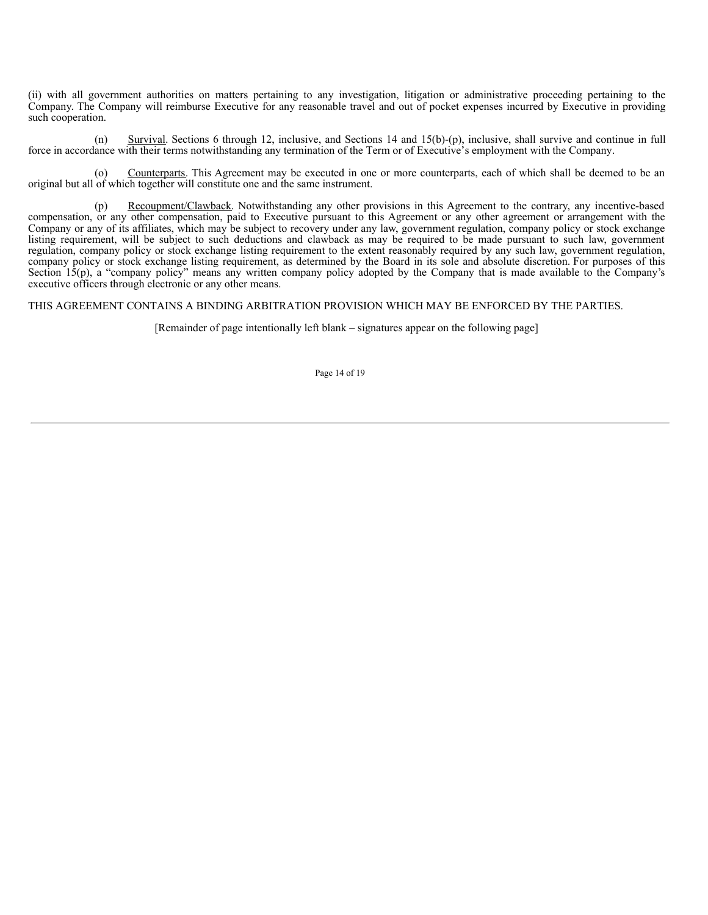<span id="page-51-0"></span>(ii) with all government authorities on matters pertaining to any investigation, litigation or administrative proceeding pertaining to the Company. The Company will reimburse Executive for any reasonable travel and out of pocket expenses incurred by Executive in providing such cooperation.

(n) Survival. Sections 6 through 12, inclusive, and Sections 14 and  $15(b)-(p)$ , inclusive, shall survive and continue in full force in accordance with their terms notwithstanding any termination of the Term or of Executive's employment with the Company.

(o) Counterparts. This Agreement may be executed in one or more counterparts, each of which shall be deemed to be an original but all of which together will constitute one and the same instrument.

(p) Recoupment/Clawback. Notwithstanding any other provisions in this Agreement to the contrary, any incentive-based compensation, or any other compensation, paid to Executive pursuant to this Agreement or any other agreement or arrangement with the Company or any of its affiliates, which may be subject to recovery under any law, government regulation, company policy or stock exchange listing requirement, will be subject to such deductions and clawback as may be required to be made pursuant to such law, government regulation, company policy or stock exchange listing requirement to the extent reasonably required by any such law, government regulation, company policy or stock exchange listing requirement, as determined by the Board in its sole and absolute discretion. For purposes of this Section 15(p), a "company policy" means any written company policy adopted by the Company that is made available to the Company's executive officers through electronic or any other means.

THIS AGREEMENT CONTAINS A BINDING ARBITRATION PROVISION WHICH MAY BE ENFORCED BY THE PARTIES.

[Remainder of page intentionally left blank – signatures appear on the following page]

Page 14 of 19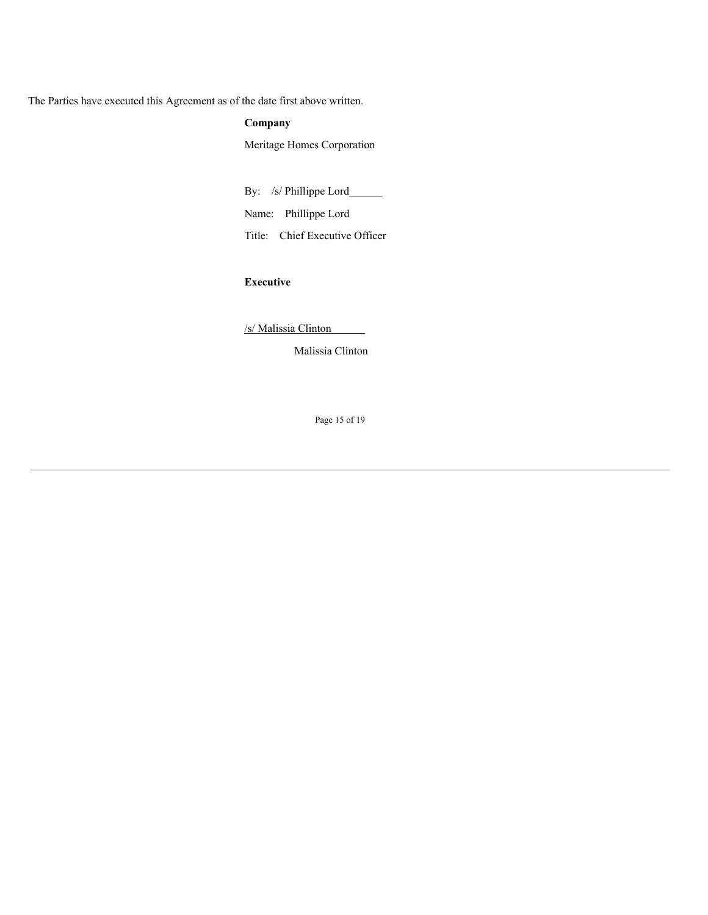The Parties have executed this Agreement as of the date first above written.

# **Company**

Meritage Homes Corporation

By: /s/ Phillippe Lord\_\_\_\_\_\_\_

Name: Phillippe Lord

Title: Chief Executive Officer

# **Executive**

/s/ Malissia Clinton

Malissia Clinton

Page 15 of 19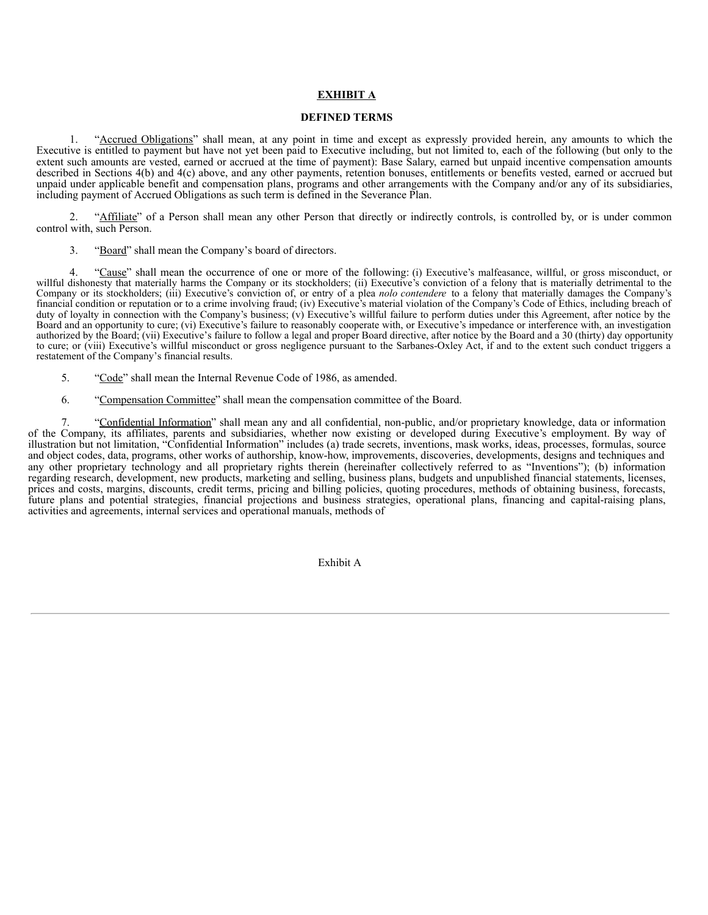# **EXHIBIT A**

# **DEFINED TERMS**

1. "Accrued Obligations" shall mean, at any point in time and except as expressly provided herein, any amounts to which the Executive is entitled to payment but have not yet been paid to Executive including, but not limited to, each of the following (but only to the extent such amounts are vested, earned or accrued at the time of payment): Base Salary, earned but unpaid incentive compensation amounts described in Sections 4(b) and 4(c) above, and any other payments, retention bonuses, entitlements or benefits vested, earned or accrued but unpaid under applicable benefit and compensation plans, programs and other arrangements with the Company and/or any of its subsidiaries, including payment of Accrued Obligations as such term is defined in the Severance Plan.

2. "Affiliate" of a Person shall mean any other Person that directly or indirectly controls, is controlled by, or is under common control with, such Person.

3. "Board" shall mean the Company's board of directors.

"Cause" shall mean the occurrence of one or more of the following: (i) Executive's malfeasance, willful, or gross misconduct, or willful dishonesty that materially harms the Company or its stockholders; (ii) Executive's conviction of a felony that is materially detrimental to the Company or its stockholders; (iii) Executive's conviction of, or entry of a plea *nolo contendere* to a felony that materially damages the Company's financial condition or reputation or to a crime involving fraud; (iv) Executive's material violation of the Company's Code of Ethics, including breach of duty of loyalty in connection with the Company's business; (v) Executive's willful failure to perform duties under this Agreement, after notice by the Board and an opportunity to cure; (vi) Executive's failure to reasonably cooperate with, or Executive's impedance or interference with, an investigation authorized by the Board; (vii) Executive's failure to follow a legal and proper Board directive, after notice by the Board and a 30 (thirty) day opportunity to cure; or (viii) Executive's willful misconduct or gross negligence pursuant to the Sarbanes-Oxley Act, if and to the extent such conduct triggers a restatement of the Company's financial results.

- 5. "Code" shall mean the Internal Revenue Code of 1986, as amended.
- 6. "Compensation Committee" shall mean the compensation committee of the Board.

"Confidential Information" shall mean any and all confidential, non-public, and/or proprietary knowledge, data or information of the Company, its affiliates, parents and subsidiaries, whether now existing or developed during Executive's employment. By way of illustration but not limitation, "Confidential Information" includes (a) trade secrets, inventions, mask works, ideas, processes, formulas, source and object codes, data, programs, other works of authorship, know-how, improvements, discoveries, developments, designs and techniques and any other proprietary technology and all proprietary rights therein (hereinafter collectively referred to as "Inventions"); (b) information regarding research, development, new products, marketing and selling, business plans, budgets and unpublished financial statements, licenses, prices and costs, margins, discounts, credit terms, pricing and billing policies, quoting procedures, methods of obtaining business, forecasts, future plans and potential strategies, financial projections and business strategies, operational plans, financing and capital-raising plans, activities and agreements, internal services and operational manuals, methods of

Exhibit A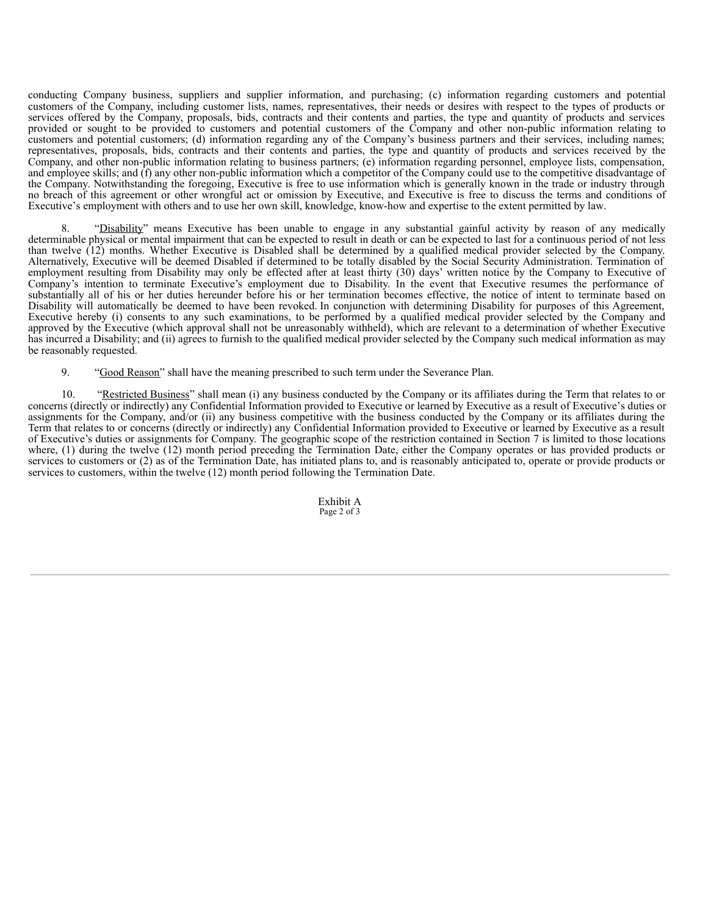conducting Company business, suppliers and supplier information, and purchasing; (c) information regarding customers and potential customers of the Company, including customer lists, names, representatives, their needs or desires with respect to the types of products or services offered by the Company, proposals, bids, contracts and their contents and parties, the type and quantity of products and services provided or sought to be provided to customers and potential customers of the Company and other non-public information relating to customers and potential customers; (d) information regarding any of the Company's business partners and their services, including names; representatives, proposals, bids, contracts and their contents and parties, the type and quantity of products and services received by the Company, and other non-public information relating to business partners; (e) information regarding personnel, employee lists, compensation, and employee skills; and (f) any other non-public information which a competitor of the Company could use to the competitive disadvantage of the Company. Notwithstanding the foregoing, Executive is free to use information which is generally known in the trade or industry through no breach of this agreement or other wrongful act or omission by Executive, and Executive is free to discuss the terms and conditions of Executive's employment with others and to use her own skill, knowledge, know-how and expertise to the extent permitted by law.

8. "Disability" means Executive has been unable to engage in any substantial gainful activity by reason of any medically determinable physical or mental impairment that can be expected to result in death or can be expected to last for a continuous period of not less than twelve (12) months. Whether Executive is Disabled shall be determined by a qualified medical provider selected by the Company. Alternatively, Executive will be deemed Disabled if determined to be totally disabled by the Social Security Administration. Termination of employment resulting from Disability may only be effected after at least thirty (30) days' written notice by the Company to Executive of Company's intention to terminate Executive's employment due to Disability. In the event that Executive resumes the performance of substantially all of his or her duties hereunder before his or her termination becomes effective, the notice of intent to terminate based on Disability will automatically be deemed to have been revoked. In conjunction with determining Disability for purposes of this Agreement, Executive hereby (i) consents to any such examinations, to be performed by a qualified medical provider selected by the Company and approved by the Executive (which approval shall not be unreasonably withheld), which are relevant to a determination of whether Executive has incurred a Disability; and (ii) agrees to furnish to the qualified medical provider selected by the Company such medical information as may be reasonably requested.

9. "Good Reason" shall have the meaning prescribed to such term under the Severance Plan.

10. "Restricted Business" shall mean (i) any business conducted by the Company or its affiliates during the Term that relates to or concerns (directly or indirectly) any Confidential Information provided to Executive or learned by Executive as a result of Executive's duties or assignments for the Company, and/or (ii) any business competitive with the business conducted by the Company or its affiliates during the Term that relates to or concerns (directly or indirectly) any Confidential Information provided to Executive or learned by Executive as a result of Executive's duties or assignments for Company. The geographic scope of the restriction contained in Section 7 is limited to those locations where, (1) during the twelve (12) month period preceding the Termination Date, either the Company operates or has provided products or services to customers or (2) as of the Termination Date, has initiated plans to, and is reasonably anticipated to, operate or provide products or services to customers, within the twelve (12) month period following the Termination Date.

> Exhibit A Page 2 of 3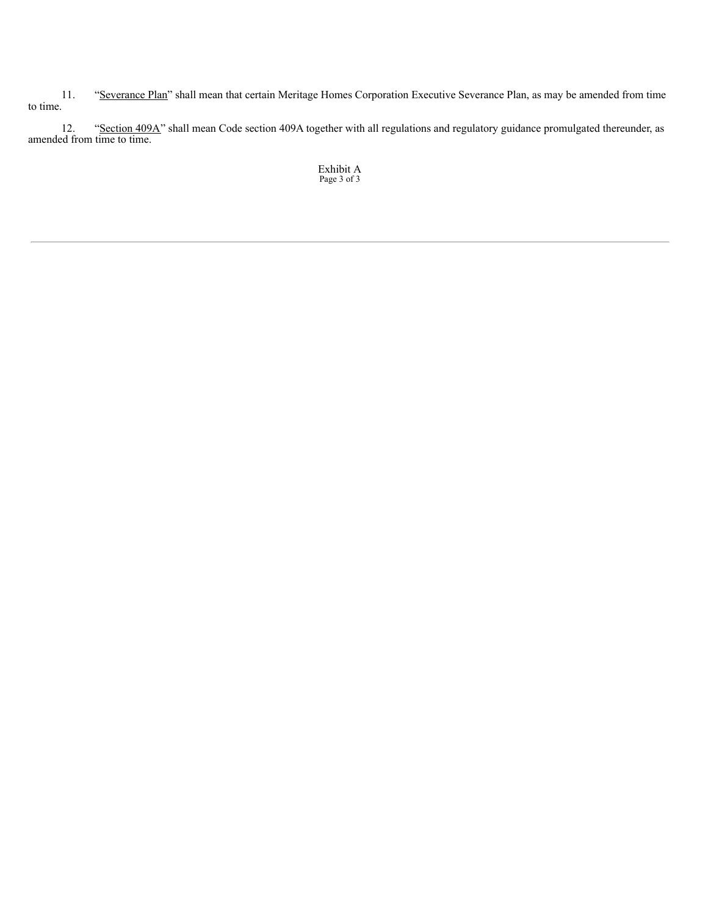11. "Severance Plan" shall mean that certain Meritage Homes Corporation Executive Severance Plan, as may be amended from time to time.

12. "Section 409A" shall mean Code section 409A together with all regulations and regulatory guidance promulgated thereunder, as amended from time to time.

Exhibit A Page 3 of 3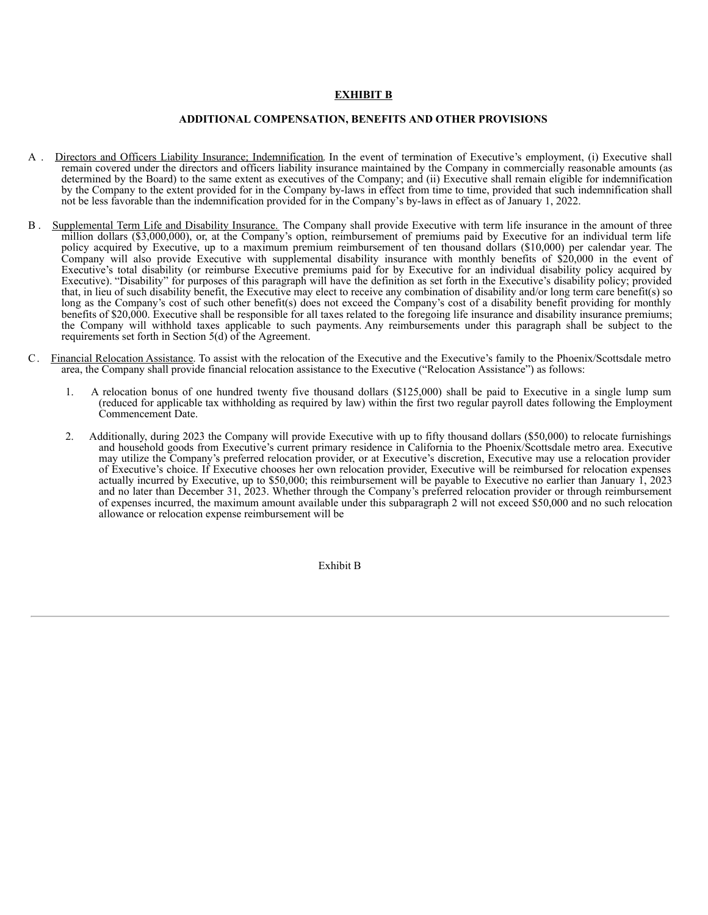# **EXHIBIT B**

# **ADDITIONAL COMPENSATION, BENEFITS AND OTHER PROVISIONS**

- A . Directors and Officers Liability Insurance; Indemnification. In the event of termination of Executive's employment, (i) Executive shall remain covered under the directors and officers liability insurance maintained by the Company in commercially reasonable amounts (as determined by the Board) to the same extent as executives of the Company; and (ii) Executive shall remain eligible for indemnification by the Company to the extent provided for in the Company by-laws in effect from time to time, provided that such indemnification shall not be less favorable than the indemnification provided for in the Company's by-laws in effect as of January 1, 2022.
- B . Supplemental Term Life and Disability Insurance. The Company shall provide Executive with term life insurance in the amount of three million dollars (\$3,000,000), or, at the Company's option, reimbursement of premiums paid by Executive for an individual term life policy acquired by Executive, up to a maximum premium reimbursement of ten thousand dollars (\$10,000) per calendar year. The Company will also provide Executive with supplemental disability insurance with monthly benefits of \$20,000 in the event of Executive's total disability (or reimburse Executive premiums paid for by Executive for an individual disability policy acquired by Executive). "Disability" for purposes of this paragraph will have the definition as set forth in the Executive's disability policy; provided that, in lieu of such disability benefit, the Executive may elect to receive any combination of disability and/or long term care benefit(s) so long as the Company's cost of such other benefit(s) does not exceed the Company's cost of a disability benefit providing for monthly benefits of \$20,000. Executive shall be responsible for all taxes related to the foregoing life insurance and disability insurance premiums; the Company will withhold taxes applicable to such payments. Any reimbursements under this paragraph shall be subject to the requirements set forth in Section  $5(d)$  of the Agreement.
- C. Financial Relocation Assistance. To assist with the relocation of the Executive and the Executive's family to the Phoenix/Scottsdale metro area, the Company shall provide financial relocation assistance to the Executive ("Relocation Assistance") as follows:
	- 1. A relocation bonus of one hundred twenty five thousand dollars (\$125,000) shall be paid to Executive in a single lump sum (reduced for applicable tax withholding as required by law) within the first two regular payroll dates following the Employment Commencement Date.
	- 2. Additionally, during 2023 the Company will provide Executive with up to fifty thousand dollars (\$50,000) to relocate furnishings and household goods from Executive's current primary residence in California to the Phoenix/Scottsdale metro area. Executive may utilize the Company's preferred relocation provider, or at Executive's discretion, Executive may use a relocation provider of Executive's choice. If Executive chooses her own relocation provider, Executive will be reimbursed for relocation expenses actually incurred by Executive, up to \$50,000; this reimbursement will be payable to Executive no earlier than January 1, 2023 and no later than December 31, 2023. Whether through the Company's preferred relocation provider or through reimbursement of expenses incurred, the maximum amount available under this subparagraph 2 will not exceed \$50,000 and no such relocation allowance or relocation expense reimbursement will be

Exhibit B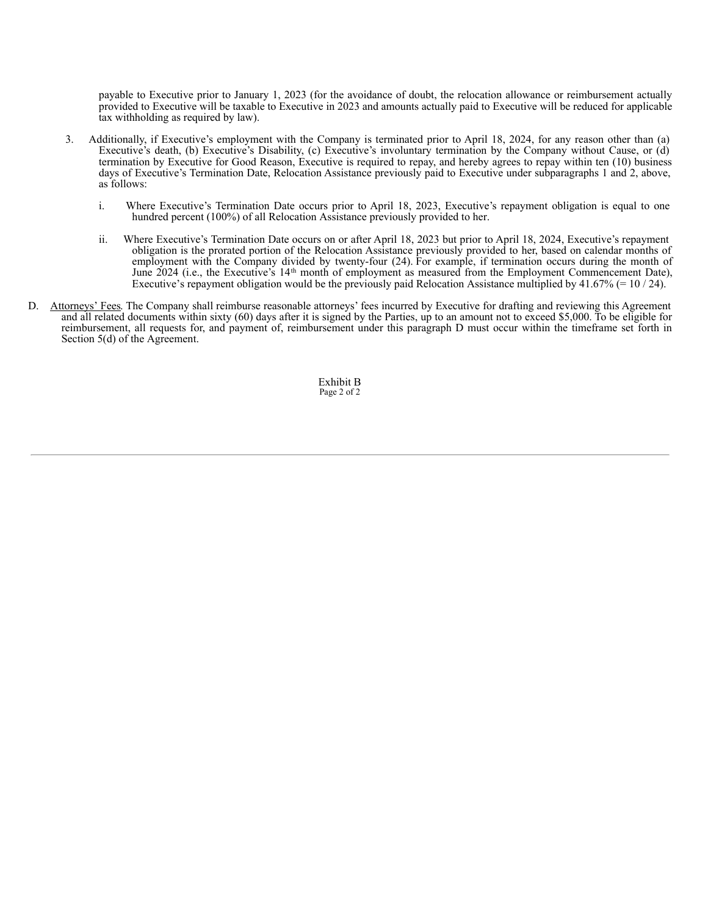payable to Executive prior to January 1, 2023 (for the avoidance of doubt, the relocation allowance or reimbursement actually provided to Executive will be taxable to Executive in 2023 and amounts actually paid to Executive will be reduced for applicable tax withholding as required by law).

- 3. Additionally, if Executive's employment with the Company is terminated prior to April 18, 2024, for any reason other than (a) Executive's death, (b) Executive's Disability, (c) Executive's involuntary termination by the Company without Cause, or (d) termination by Executive for Good Reason, Executive is required to repay, and hereby agrees to repay within ten (10) business days of Executive's Termination Date, Relocation Assistance previously paid to Executive under subparagraphs 1 and 2, above, as follows:
	- i. Where Executive's Termination Date occurs prior to April 18, 2023, Executive's repayment obligation is equal to one hundred percent (100%) of all Relocation Assistance previously provided to her.
	- ii. Where Executive's Termination Date occurs on or after April 18, 2023 but prior to April 18, 2024, Executive's repayment obligation is the prorated portion of the Relocation Assistance previously provided to her, based on calendar months of employment with the Company divided by twenty-four (24). For example, if termination occurs during the month of June 2024 (i.e., the Executive's 14<sup>th</sup> month of employment as measured from the Employment Commencement Date), Executive's repayment obligation would be the previously paid Relocation Assistance multiplied by  $41.67\%$  (= 10 / 24).
- D. Attorneys' Fees. The Company shall reimburse reasonable attorneys' fees incurred by Executive for drafting and reviewing this Agreement and all related documents within sixty (60) days after it is signed by the Parties, up to an amount not to exceed \$5,000. To be eligible for reimbursement, all requests for, and payment of, reimbursement under this paragraph D must occur within the timeframe set forth in Section 5(d) of the Agreement.

Exhibit B Page 2 of 2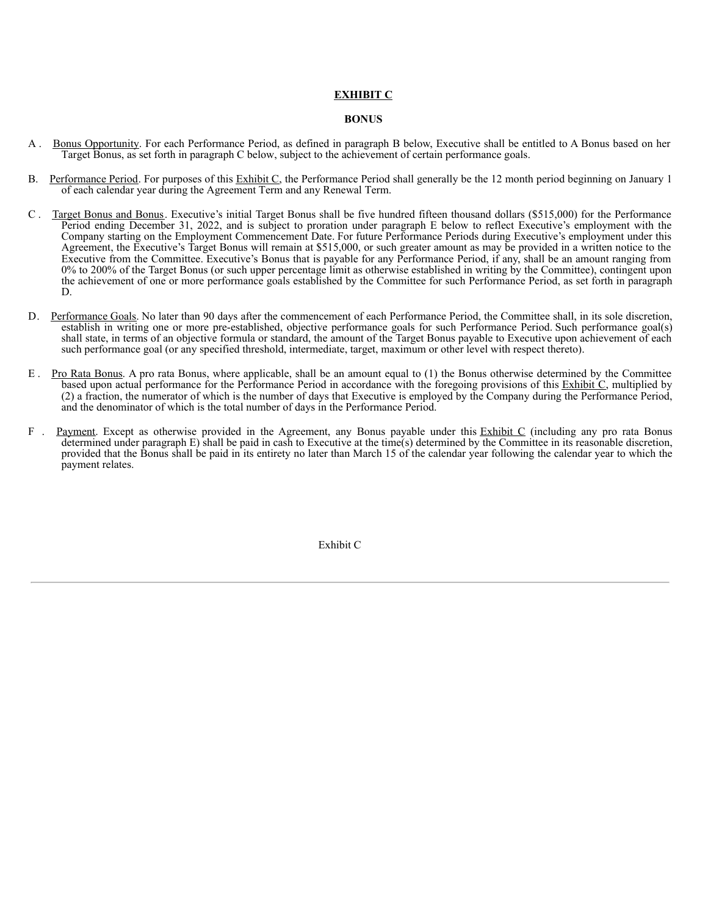# **EXHIBIT C**

## **BONUS**

- A . Bonus Opportunity. For each Performance Period, as defined in paragraph B below, Executive shall be entitled to A Bonus based on her Target Bonus, as set forth in paragraph C below, subject to the achievement of certain performance goals.
- B. Performance Period. For purposes of this Exhibit C, the Performance Period shall generally be the 12 month period beginning on January 1 of each calendar year during the Agreement Term and any Renewal Term.
- C . Target Bonus and Bonus. Executive's initial Target Bonus shall be five hundred fifteen thousand dollars (\$515,000) for the Performance Period ending December 31, 2022, and is subject to proration under paragraph E below to reflect Executive's employment with the Company starting on the Employment Commencement Date. For future Performance Periods during Executive's employment under this Agreement, the Executive's Target Bonus will remain at \$515,000, or such greater amount as may be provided in a written notice to the Executive from the Committee. Executive's Bonus that is payable for any Performance Period, if any, shall be an amount ranging from 0% to 200% of the Target Bonus (or such upper percentage limit as otherwise established in writing by the Committee), contingent upon the achievement of one or more performance goals established by the Committee for such Performance Period, as set forth in paragraph D.
- D. Performance Goals. No later than 90 days after the commencement of each Performance Period, the Committee shall, in its sole discretion, establish in writing one or more pre-established, objective performance goals for such Performance Period. Such performance goal(s) shall state, in terms of an objective formula or standard, the amount of the Target Bonus payable to Executive upon achievement of each such performance goal (or any specified threshold, intermediate, target, maximum or other level with respect thereto).
- E . Pro Rata Bonus. A pro rata Bonus, where applicable, shall be an amount equal to (1) the Bonus otherwise determined by the Committee based upon actual performance for the Performance Period in accordance with the foregoing provisions of this Exhibit C, multiplied by (2) a fraction, the numerator of which is the number of days that Executive is employed by the Company during the Performance Period, and the denominator of which is the total number of days in the Performance Period.
- F . Payment. Except as otherwise provided in the Agreement, any Bonus payable under this Exhibit C (including any pro rata Bonus determined under paragraph E) shall be paid in cash to Executive at the time(s) determined by the Committee in its reasonable discretion, provided that the Bonus shall be paid in its entirety no later than March 15 of the calendar year following the calendar year to which the payment relates.

Exhibit C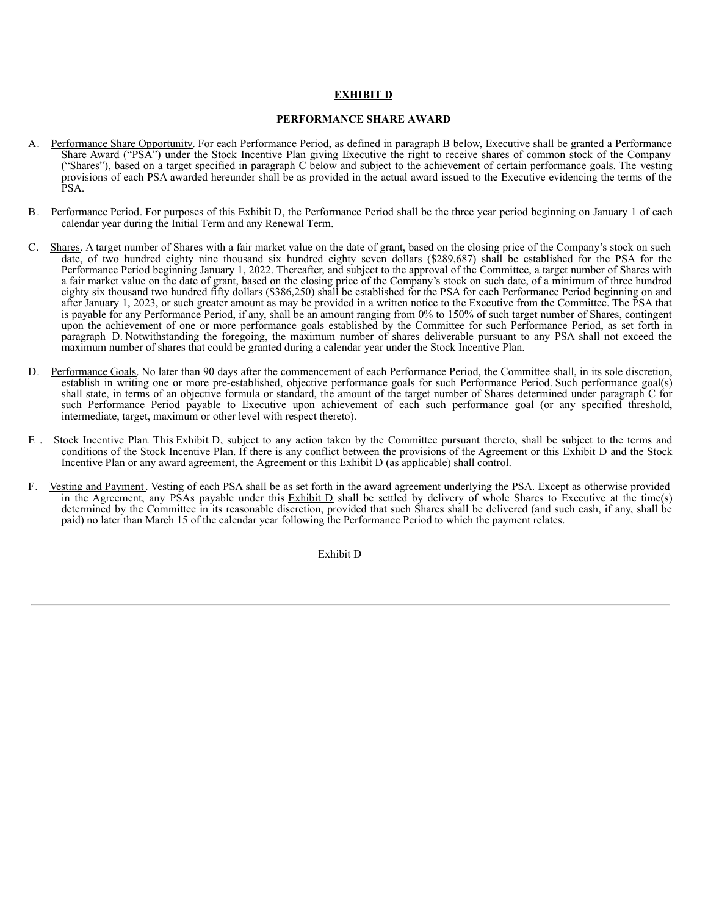# **EXHIBIT D**

## **PERFORMANCE SHARE AWARD**

- A. Performance Share Opportunity. For each Performance Period, as defined in paragraph B below, Executive shall be granted a Performance Share Award ("PSA") under the Stock Incentive Plan giving Executive the right to receive shares of common stock of the Company ("Shares"), based on a target specified in paragraph C below and subject to the achievement of certain performance goals. The vesting provisions of each PSA awarded hereunder shall be as provided in the actual award issued to the Executive evidencing the terms of the PSA.
- B. Performance Period. For purposes of this Exhibit D, the Performance Period shall be the three year period beginning on January 1 of each calendar year during the Initial Term and any Renewal Term.
- C. Shares. A target number of Shares with a fair market value on the date of grant, based on the closing price of the Company's stock on such date, of two hundred eighty nine thousand six hundred eighty seven dollars (\$289,687) shall be established for the PSA for the Performance Period beginning January 1, 2022. Thereafter, and subject to the approval of the Committee, a target number of Shares with a fair market value on the date of grant, based on the closing price of the Company's stock on such date, of a minimum of three hundred eighty six thousand two hundred fifty dollars (\$386,250) shall be established for the PSA for each Performance Period beginning on and after January 1, 2023, or such greater amount as may be provided in a written notice to the Executive from the Committee. The PSA that is payable for any Performance Period, if any, shall be an amount ranging from 0% to 150% of such target number of Shares, contingent upon the achievement of one or more performance goals established by the Committee for such Performance Period, as set forth in paragraph D. Notwithstanding the foregoing, the maximum number of shares deliverable pursuant to any PSA shall not exceed the maximum number of shares that could be granted during a calendar year under the Stock Incentive Plan.
- D. Performance Goals. No later than 90 days after the commencement of each Performance Period, the Committee shall, in its sole discretion, establish in writing one or more pre-established, objective performance goals for such Performance Period. Such performance goal(s) shall state, in terms of an objective formula or standard, the amount of the target number of Shares determined under paragraph C for such Performance Period payable to Executive upon achievement of each such performance goal (or any specified threshold, intermediate, target, maximum or other level with respect thereto).
- E . Stock Incentive Plan. This Exhibit D, subject to any action taken by the Committee pursuant thereto, shall be subject to the terms and conditions of the Stock Incentive Plan. If there is any conflict between the provisions of the Agreement or this Exhibit D and the Stock Incentive Plan or any award agreement, the Agreement or this  $\overline{\text{Exhibit D}}$  (as applicable) shall control.
- F. Vesting and Payment. Vesting of each PSA shall be as set forth in the award agreement underlying the PSA. Except as otherwise provided in the Agreement, any PSAs payable under this  $Exhibit D$  shall be settled by delivery of whole Shares to Executive at the time(s) determined by the Committee in its reasonable discretion, provided that such Shares shall be delivered (and such cash, if any, shall be paid) no later than March 15 of the calendar year following the Performance Period to which the payment relates.

Exhibit D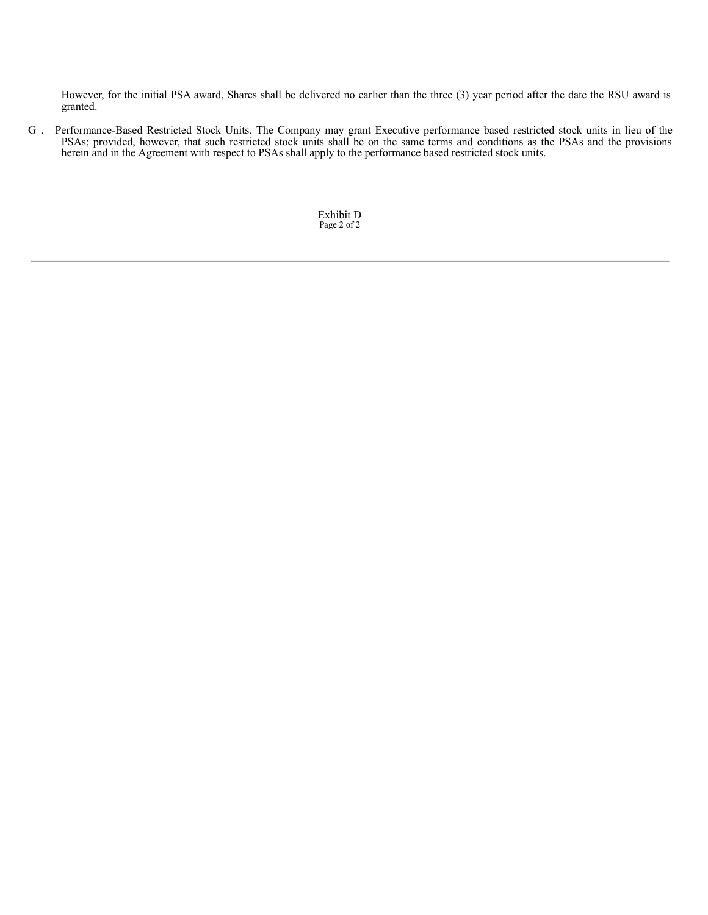However, for the initial PSA award, Shares shall be delivered no earlier than the three (3) year period after the date the RSU award is granted.

G . Performance-Based Restricted Stock Units. The Company may grant Executive performance based restricted stock units in lieu of the PSAs; provided, however, that such restricted stock units shall be on the same terms and conditions as the PSAs and the provisions herein and in the Agreement with respect to PSAs shall apply to the performance based restricted stock units.

> Exhibit D Page 2 of 2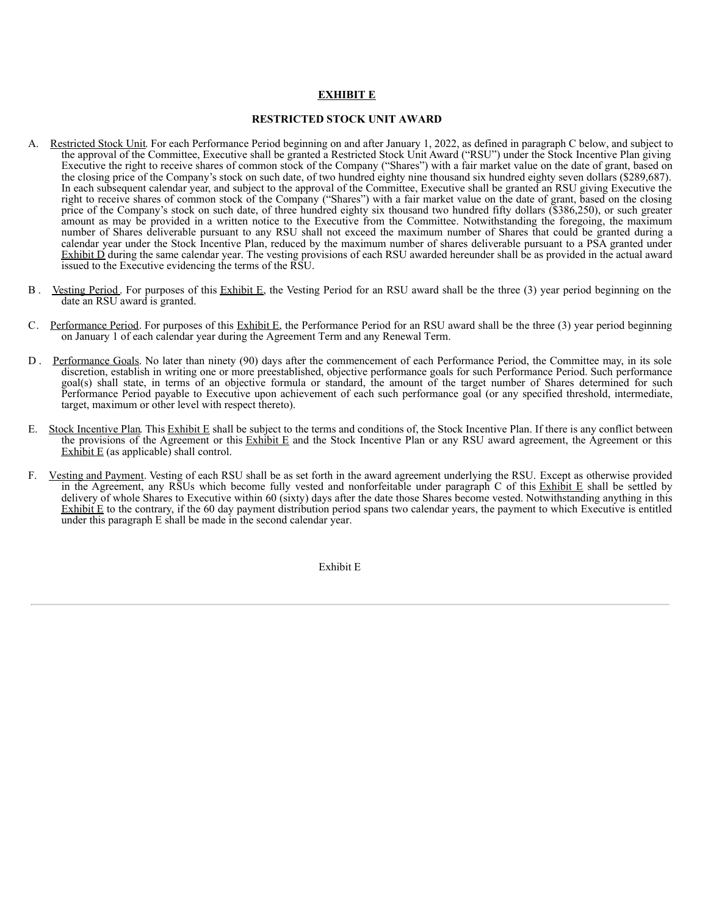# **EXHIBIT E**

# **RESTRICTED STOCK UNIT AWARD**

- A. Restricted Stock Unit. For each Performance Period beginning on and after January 1, 2022, as defined in paragraph C below, and subject to the approval of the Committee, Executive shall be granted a Restricted Stock Unit Award ("RSU") under the Stock Incentive Plan giving Executive the right to receive shares of common stock of the Company ("Shares") with a fair market value on the date of grant, based on the closing price of the Company's stock on such date, of two hundred eighty nine thousand six hundred eighty seven dollars (\$289,687). In each subsequent calendar year, and subject to the approval of the Committee, Executive shall be granted an RSU giving Executive the right to receive shares of common stock of the Company ("Shares") with a fair market value on the date of grant, based on the closing price of the Company's stock on such date, of three hundred eighty six thousand two hundred fifty dollars (\$386,250), or such greater amount as may be provided in a written notice to the Executive from the Committee. Notwithstanding the foregoing, the maximum number of Shares deliverable pursuant to any RSU shall not exceed the maximum number of Shares that could be granted during a calendar year under the Stock Incentive Plan, reduced by the maximum number of shares deliverable pursuant to a PSA granted under Exhibit  $\overrightarrow{D}$  during the same calendar year. The vesting provisions of each RSU awarded hereunder shall be as provided in the actual award issued to the Executive evidencing the terms of the RSU.
- B . Vesting Period . For purposes of this Exhibit E, the Vesting Period for an RSU award shall be the three (3) year period beginning on the date an RSU award is granted.
- C. Performance Period. For purposes of this  $\frac{Exhibit E}{E}$ , the Performance Period for an RSU award shall be the three (3) year period beginning on January 1 of each calendar year during the Agreement Term and any Renewal Term.
- D . Performance Goals. No later than ninety (90) days after the commencement of each Performance Period, the Committee may, in its sole discretion, establish in writing one or more preestablished, objective performance goals for such Performance Period. Such performance goal(s) shall state, in terms of an objective formula or standard, the amount of the target number of Shares determined for such Performance Period payable to Executive upon achievement of each such performance goal (or any specified threshold, intermediate, target, maximum or other level with respect thereto).
- E. Stock Incentive Plan. This Exhibit E shall be subject to the terms and conditions of, the Stock Incentive Plan. If there is any conflict between the provisions of the Agreement or this Exhibit E and the Stock Incentive Plan or any RSU award agreement, the Agreement or this Exhibit  $E$  (as applicable) shall control.
- F. Vesting and Payment. Vesting of each RSU shall be as set forth in the award agreement underlying the RSU. Except as otherwise provided in the Agreement, any RSUs which become fully vested and nonforfeitable under paragraph C of this Exhibit E shall be settled by delivery of whole Shares to Executive within 60 (sixty) days after the date those Shares become vested. Notwithstanding anything in this Exhibit  $E$  to the contrary, if the 60 day payment distribution period spans two calendar years, the payment to which Executive is entitled under this paragraph  $E$  shall be made in the second calendar year.

Exhibit E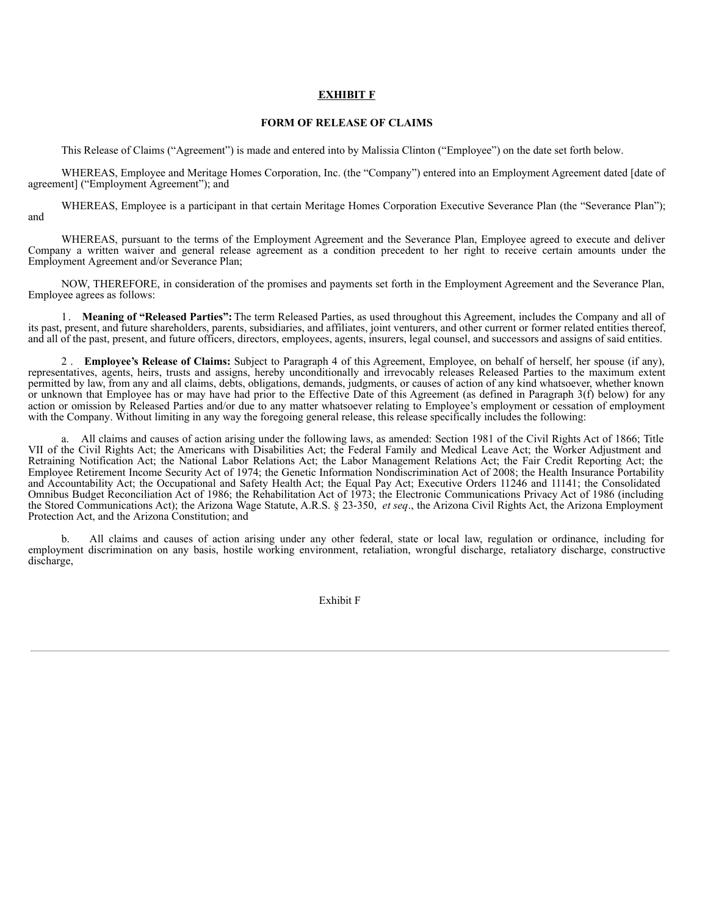### **EXHIBIT F**

# **FORM OF RELEASE OF CLAIMS**

This Release of Claims ("Agreement") is made and entered into by Malissia Clinton ("Employee") on the date set forth below.

WHEREAS, Employee and Meritage Homes Corporation, Inc. (the "Company") entered into an Employment Agreement dated [date of agreement] ("Employment Agreement"); and

WHEREAS, Employee is a participant in that certain Meritage Homes Corporation Executive Severance Plan (the "Severance Plan"); and

WHEREAS, pursuant to the terms of the Employment Agreement and the Severance Plan, Employee agreed to execute and deliver Company a written waiver and general release agreement as a condition precedent to her right to receive certain amounts under the Employment Agreement and/or Severance Plan;

NOW, THEREFORE, in consideration of the promises and payments set forth in the Employment Agreement and the Severance Plan, Employee agrees as follows:

1 . **Meaning of "Released Parties":** The term Released Parties, as used throughout this Agreement, includes the Company and all of its past, present, and future shareholders, parents, subsidiaries, and affiliates, joint venturers, and other current or former related entities thereof, and all of the past, present, and future officers, directors, employees, agents, insurers, legal counsel, and successors and assigns of said entities.

2 . **Employee's Release of Claims:** Subject to Paragraph 4 of this Agreement, Employee, on behalf of herself, her spouse (if any), representatives, agents, heirs, trusts and assigns, hereby unconditionally and irrevocably releases Released Parties to the maximum extent permitted by law, from any and all claims, debts, obligations, demands, judgments, or causes of action of any kind whatsoever, whether known or unknown that Employee has or may have had prior to the Effective Date of this Agreement (as defined in Paragraph 3(f) below) for any action or omission by Released Parties and/or due to any matter whatsoever relating to Employee's employment or cessation of employment with the Company. Without limiting in any way the foregoing general release, this release specifically includes the following:

a. All claims and causes of action arising under the following laws, as amended: Section 1981 of the Civil Rights Act of 1866; Title VII of the Civil Rights Act; the Americans with Disabilities Act; the Federal Family and Medical Leave Act; the Worker Adjustment and Retraining Notification Act; the National Labor Relations Act; the Labor Management Relations Act; the Fair Credit Reporting Act; the Employee Retirement Income Security Act of 1974; the Genetic Information Nondiscrimination Act of 2008; the Health Insurance Portability and Accountability Act; the Occupational and Safety Health Act; the Equal Pay Act; Executive Orders 11246 and 11141; the Consolidated Omnibus Budget Reconciliation Act of 1986; the Rehabilitation Act of 1973; the Electronic Communications Privacy Act of 1986 (including the Stored Communications Act); the Arizona Wage Statute, A.R.S. § 23-350, *et seq*., the Arizona Civil Rights Act, the Arizona Employment Protection Act, and the Arizona Constitution; and

b. All claims and causes of action arising under any other federal, state or local law, regulation or ordinance, including for employment discrimination on any basis, hostile working environment, retaliation, wrongful discharge, retaliatory discharge, constructive discharge,

Exhibit F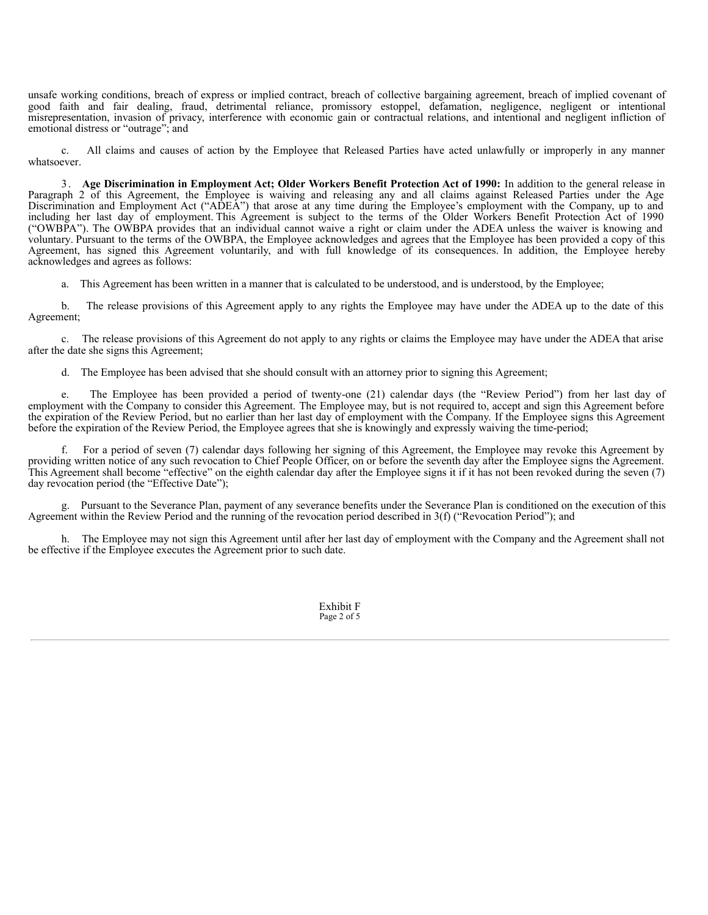unsafe working conditions, breach of express or implied contract, breach of collective bargaining agreement, breach of implied covenant of good faith and fair dealing, fraud, detrimental reliance, promissory estoppel, defamation, negligence, negligent or intentional misrepresentation, invasion of privacy, interference with economic gain or contractual relations, and intentional and negligent infliction of emotional distress or "outrage"; and

c. All claims and causes of action by the Employee that Released Parties have acted unlawfully or improperly in any manner whatsoever.

3 . **Age Discrimination in Employment Act; Older Workers Benefit Protection Act of 1990:** In addition to the general release in Paragraph 2 of this Agreement, the Employee is waiving and releasing any and all claims against Released Parties under the Age Discrimination and Employment Act ("ADEA") that arose at any time during the Employee's employment with the Company, up to and including her last day of employment. This Agreement is subject to the terms of the Older Workers Benefit Protection Act of 1990 ("OWBPA"). The OWBPA provides that an individual cannot waive a right or claim under the ADEA unless the waiver is knowing and voluntary. Pursuant to the terms of the OWBPA, the Employee acknowledges and agrees that the Employee has been provided a copy of this Agreement, has signed this Agreement voluntarily, and with full knowledge of its consequences. In addition, the Employee hereby acknowledges and agrees as follows:

a. This Agreement has been written in a manner that is calculated to be understood, and is understood, by the Employee;

b. The release provisions of this Agreement apply to any rights the Employee may have under the ADEA up to the date of this Agreement;

c. The release provisions of this Agreement do not apply to any rights or claims the Employee may have under the ADEA that arise after the date she signs this Agreement;

d. The Employee has been advised that she should consult with an attorney prior to signing this Agreement;

e. The Employee has been provided a period of twenty-one (21) calendar days (the "Review Period") from her last day of employment with the Company to consider this Agreement. The Employee may, but is not required to, accept and sign this Agreement before the expiration of the Review Period, but no earlier than her last day of employment with the Company. If the Employee signs this Agreement before the expiration of the Review Period, the Employee agrees that she is knowingly and expressly waiving the time-period;

f. For a period of seven (7) calendar days following her signing of this Agreement, the Employee may revoke this Agreement by providing written notice of any such revocation to Chief People Officer, on or before the seventh day after the Employee signs the Agreement. This Agreement shall become "effective" on the eighth calendar day after the Employee signs it if it has not been revoked during the seven (7) day revocation period (the "Effective Date");

g. Pursuant to the Severance Plan, payment of any severance benefits under the Severance Plan is conditioned on the execution of this Agreement within the Review Period and the running of the revocation period described in 3(f) ("Revocation Period"); and

h. The Employee may not sign this Agreement until after her last day of employment with the Company and the Agreement shall not be effective if the Employee executes the Agreement prior to such date.

> Exhibit F Page 2 of 5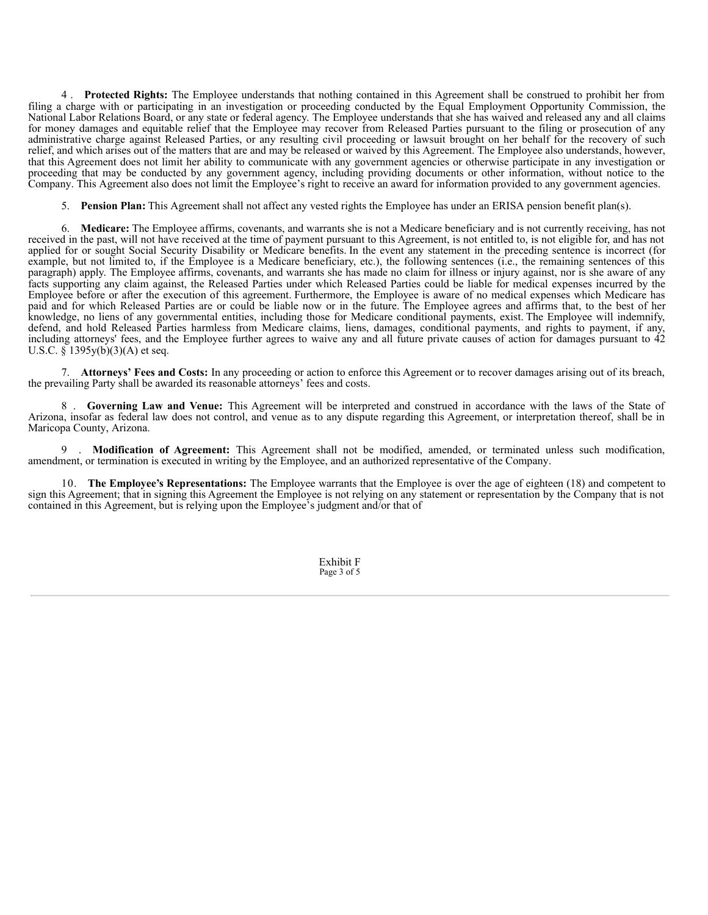4 . **Protected Rights:** The Employee understands that nothing contained in this Agreement shall be construed to prohibit her from filing a charge with or participating in an investigation or proceeding conducted by the Equal Employment Opportunity Commission, the National Labor Relations Board, or any state or federal agency. The Employee understands that she has waived and released any and all claims for money damages and equitable relief that the Employee may recover from Released Parties pursuant to the filing or prosecution of any administrative charge against Released Parties, or any resulting civil proceeding or lawsuit brought on her behalf for the recovery of such relief, and which arises out of the matters that are and may be released or waived by this Agreement. The Employee also understands, however, that this Agreement does not limit her ability to communicate with any government agencies or otherwise participate in any investigation or proceeding that may be conducted by any government agency, including providing documents or other information, without notice to the Company. This Agreement also does not limit the Employee's right to receive an award for information provided to any government agencies.

5. **Pension Plan:** This Agreement shall not affect any vested rights the Employee has under an ERISA pension benefit plan(s).

6. **Medicare:** The Employee affirms, covenants, and warrants she is not a Medicare beneficiary and is not currently receiving, has not received in the past, will not have received at the time of payment pursuant to this Agreement, is not entitled to, is not eligible for, and has not applied for or sought Social Security Disability or Medicare benefits. In the event any statement in the preceding sentence is incorrect (for example, but not limited to, if the Employee is a Medicare beneficiary, etc.), the following sentences (i.e., the remaining sentences of this paragraph) apply. The Employee affirms, covenants, and warrants she has made no claim for illness or injury against, nor is she aware of any facts supporting any claim against, the Released Parties under which Released Parties could be liable for medical expenses incurred by the Employee before or after the execution of this agreement. Furthermore, the Employee is aware of no medical expenses which Medicare has paid and for which Released Parties are or could be liable now or in the future. The Employee agrees and affirms that, to the best of her knowledge, no liens of any governmental entities, including those for Medicare conditional payments, exist. The Employee will indemnify, defend, and hold Released Parties harmless from Medicare claims, liens, damages, conditional payments, and rights to payment, if any, including attorneys' fees, and the Employee further agrees to waive any and all future private causes of action for damages pursuant to 42 U.S.C.  $\S$  1395y(b)(3)(A) et seq.

7. **Attorneys' Fees and Costs:** In any proceeding or action to enforce this Agreement or to recover damages arising out of its breach, the prevailing Party shall be awarded its reasonable attorneys' fees and costs.

8 . **Governing Law and Venue:** This Agreement will be interpreted and construed in accordance with the laws of the State of Arizona, insofar as federal law does not control, and venue as to any dispute regarding this Agreement, or interpretation thereof, shall be in Maricopa County, Arizona.

9 . **Modification of Agreement:** This Agreement shall not be modified, amended, or terminated unless such modification, amendment, or termination is executed in writing by the Employee, and an authorized representative of the Company.

10. **The Employee's Representations:** The Employee warrants that the Employee is over the age of eighteen (18) and competent to sign this Agreement; that in signing this Agreement the Employee is not relying on any statement or representation by the Company that is not contained in this Agreement, but is relying upon the Employee's judgment and/or that of

> Exhibit F Page 3 of 5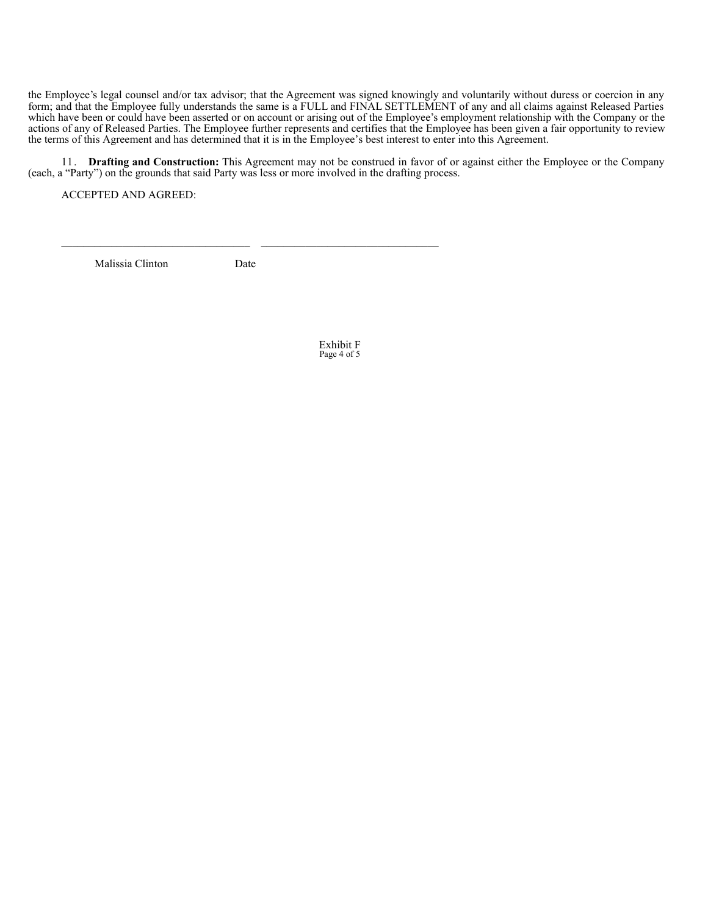the Employee's legal counsel and/or tax advisor; that the Agreement was signed knowingly and voluntarily without duress or coercion in any form; and that the Employee fully understands the same is a FULL and FINAL SETTLEMENT of any and all claims against Released Parties which have been or could have been asserted or on account or arising out of the Employee's employment relationship with the Company or the actions of any of Released Parties. The Employee further represents and certifies that the Employee has been given a fair opportunity to review the terms of this Agreement and has determined that it is in the Employee's best interest to enter into this Agreement.

11. **Drafting and Construction:** This Agreement may not be construed in favor of or against either the Employee or the Company (each, a "Party") on the grounds that said Party was less or more involved in the drafting process.

ACCEPTED AND AGREED:

Malissia Clinton Date

Exhibit F Page 4 of 5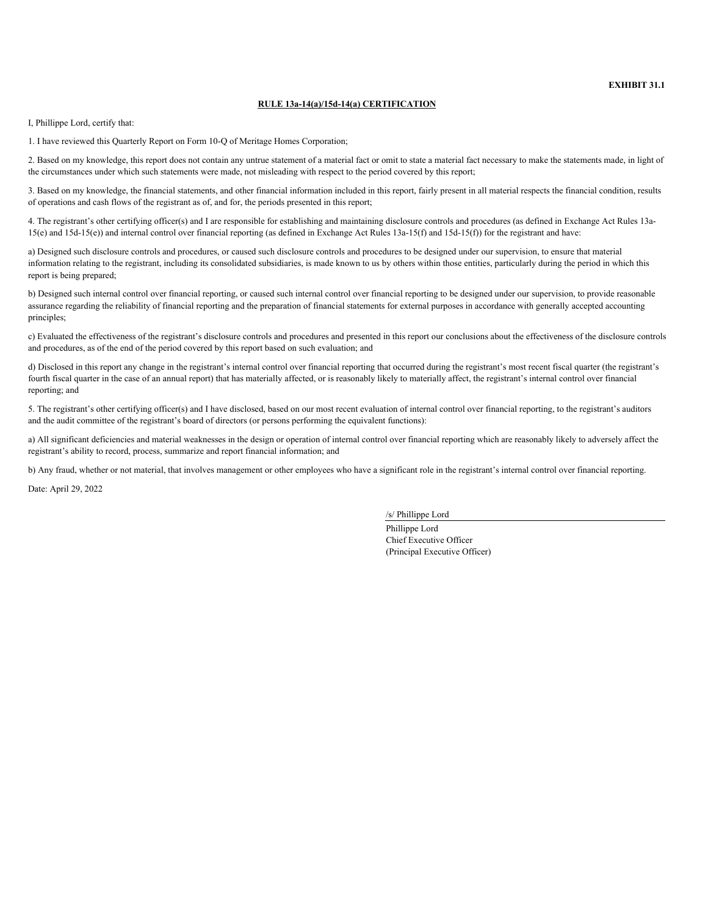**EXHIBIT 31.1**

### **RULE 13a-14(a)/15d-14(a) CERTIFICATION**

<span id="page-66-0"></span>I, Phillippe Lord, certify that:

1. I have reviewed this Quarterly Report on Form 10-Q of Meritage Homes Corporation;

2. Based on my knowledge, this report does not contain any untrue statement of a material fact or omit to state a material fact necessary to make the statements made, in light of the circumstances under which such statements were made, not misleading with respect to the period covered by this report;

3. Based on my knowledge, the financial statements, and other financial information included in this report, fairly present in all material respects the financial condition, results of operations and cash flows of the registrant as of, and for, the periods presented in this report;

4. The registrant's other certifying officer(s) and I are responsible for establishing and maintaining disclosure controls and procedures (as defined in Exchange Act Rules 13a- $15(e)$  and  $15d-15(e)$  and internal control over financial reporting (as defined in Exchange Act Rules  $13a-15(f)$  and  $15d-15(f)$ ) for the registrant and have:

a) Designed such disclosure controls and procedures, or caused such disclosure controls and procedures to be designed under our supervision, to ensure that material information relating to the registrant, including its consolidated subsidiaries, is made known to us by others within those entities, particularly during the period in which this report is being prepared;

b) Designed such internal control over financial reporting, or caused such internal control over financial reporting to be designed under our supervision, to provide reasonable assurance regarding the reliability of financial reporting and the preparation of financial statements for external purposes in accordance with generally accepted accounting principles;

c) Evaluated the effectiveness of the registrant's disclosure controls and procedures and presented in this report our conclusions about the effectiveness of the disclosure controls and procedures, as of the end of the period covered by this report based on such evaluation; and

d) Disclosed in this report any change in the registrant's internal control over financial reporting that occurred during the registrant's most recent fiscal quarter (the registrant's fourth fiscal quarter in the case of an annual report) that has materially affected, or is reasonably likely to materially affect, the registrant's internal control over financial reporting; and

5. The registrant's other certifying officer(s) and I have disclosed, based on our most recent evaluation of internal control over financial reporting, to the registrant's auditors and the audit committee of the registrant's board of directors (or persons performing the equivalent functions):

a) All significant deficiencies and material weaknesses in the design or operation of internal control over financial reporting which are reasonably likely to adversely affect the registrant's ability to record, process, summarize and report financial information; and

b) Any fraud, whether or not material, that involves management or other employees who have a significant role in the registrant's internal control over financial reporting.

Date: April 29, 2022

/s/ Phillippe Lord

Phillippe Lord Chief Executive Officer (Principal Executive Officer)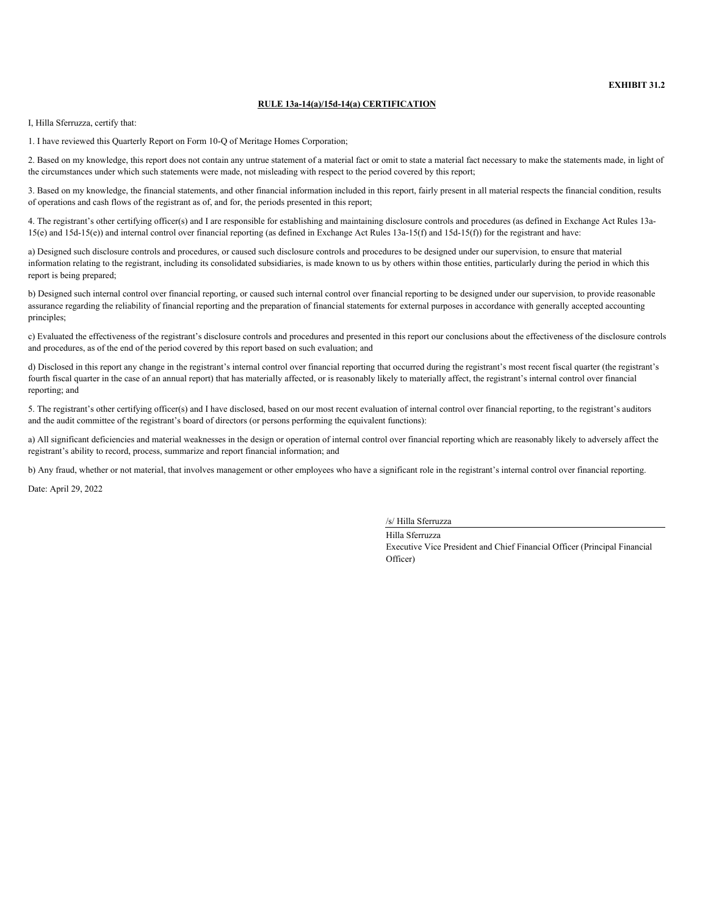**EXHIBIT 31.2**

### **RULE 13a-14(a)/15d-14(a) CERTIFICATION**

<span id="page-67-0"></span>I, Hilla Sferruzza, certify that:

1. I have reviewed this Quarterly Report on Form 10-Q of Meritage Homes Corporation;

2. Based on my knowledge, this report does not contain any untrue statement of a material fact or omit to state a material fact necessary to make the statements made, in light of the circumstances under which such statements were made, not misleading with respect to the period covered by this report;

3. Based on my knowledge, the financial statements, and other financial information included in this report, fairly present in all material respects the financial condition, results of operations and cash flows of the registrant as of, and for, the periods presented in this report;

4. The registrant's other certifying officer(s) and I are responsible for establishing and maintaining disclosure controls and procedures (as defined in Exchange Act Rules 13a- $15(e)$  and  $15d-15(e)$  and internal control over financial reporting (as defined in Exchange Act Rules  $13a-15(f)$  and  $15d-15(f)$ ) for the registrant and have:

a) Designed such disclosure controls and procedures, or caused such disclosure controls and procedures to be designed under our supervision, to ensure that material information relating to the registrant, including its consolidated subsidiaries, is made known to us by others within those entities, particularly during the period in which this report is being prepared;

b) Designed such internal control over financial reporting, or caused such internal control over financial reporting to be designed under our supervision, to provide reasonable assurance regarding the reliability of financial reporting and the preparation of financial statements for external purposes in accordance with generally accepted accounting principles;

c) Evaluated the effectiveness of the registrant's disclosure controls and procedures and presented in this report our conclusions about the effectiveness of the disclosure controls and procedures, as of the end of the period covered by this report based on such evaluation; and

d) Disclosed in this report any change in the registrant's internal control over financial reporting that occurred during the registrant's most recent fiscal quarter (the registrant's fourth fiscal quarter in the case of an annual report) that has materially affected, or is reasonably likely to materially affect, the registrant's internal control over financial reporting; and

5. The registrant's other certifying officer(s) and I have disclosed, based on our most recent evaluation of internal control over financial reporting, to the registrant's auditors and the audit committee of the registrant's board of directors (or persons performing the equivalent functions):

a) All significant deficiencies and material weaknesses in the design or operation of internal control over financial reporting which are reasonably likely to adversely affect the registrant's ability to record, process, summarize and report financial information; and

b) Any fraud, whether or not material, that involves management or other employees who have a significant role in the registrant's internal control over financial reporting.

Date: April 29, 2022

/s/ Hilla Sferruzza

Hilla Sferruzza Executive Vice President and Chief Financial Officer (Principal Financial Officer)